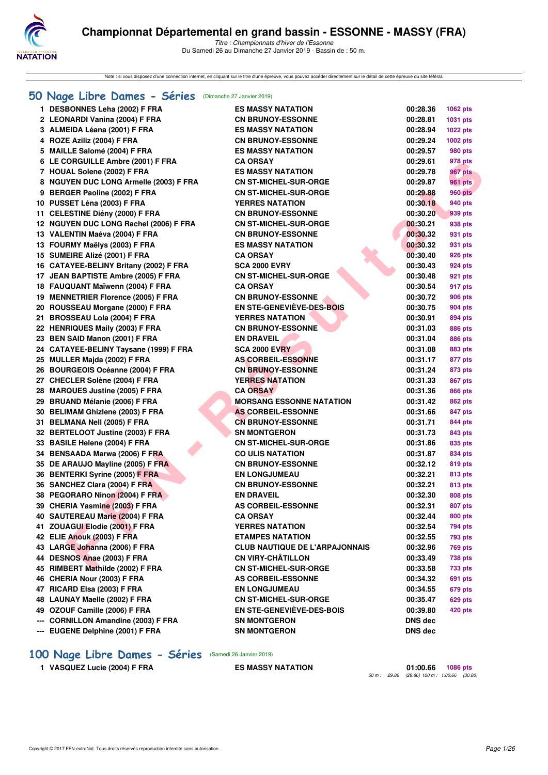

Note : si vous disposez d'une connection internet, en cliquant sur le titre d'une épreuve, vous pouvez accéder directement sur le détail de cette épreuve du site féféral.

#### **[50 Nage Libre Dames - Séries](http://www.ffnatation.fr/webffn/resultats.php?idact=nat&go=epr&idcpt=58437&idepr=1)** (Dimanche 27 Janvier 2019)

|     | 1 DESBONNES Leha (2002) F FRA                              | <b>ES MASSY NATATION</b>                                  | 00:28.36             | 1062 pts           |
|-----|------------------------------------------------------------|-----------------------------------------------------------|----------------------|--------------------|
|     | 2 LEONARDI Vanina (2004) F FRA                             | <b>CN BRUNOY-ESSONNE</b>                                  | 00:28.81             | 1031 pts           |
|     | 3 ALMEIDA Léana (2001) F FRA                               | <b>ES MASSY NATATION</b>                                  | 00:28.94             | <b>1022 pts</b>    |
|     | 4 ROZE Aziliz (2004) F FRA                                 | <b>CN BRUNOY-ESSONNE</b>                                  | 00:29.24             | 1002 pts           |
|     | 5 MAILLE Salomé (2004) F FRA                               | <b>ES MASSY NATATION</b>                                  | 00:29.57             | 980 pts            |
|     | 6 LE CORGUILLE Ambre (2001) F FRA                          | <b>CA ORSAY</b>                                           | 00:29.61             | 978 pts            |
|     | 7 HOUAL Solene (2002) F FRA                                | <b>ES MASSY NATATION</b>                                  | 00:29.78             | 967 pts            |
|     | 8 NGUYEN DUC LONG Armelle (2003) F FRA                     | <b>CN ST-MICHEL-SUR-ORGE</b>                              | 00:29.87             | 961 pts            |
|     | 9 BERGER Paoline (2002) F FRA                              | <b>CN ST-MICHEL-SUR-ORGE</b>                              | 00:29.88             | <b>960 pts</b>     |
|     | 10 PUSSET Léna (2003) F FRA                                | <b>YERRES NATATION</b>                                    | 00:30.18             | 940 pts            |
|     | 11 CELESTINE Diény (2000) F FRA                            | <b>CN BRUNOY-ESSONNE</b>                                  | 00:30.20             | 939 pts            |
|     | 12 NGUYEN DUC LONG Rachel (2006) F FRA                     | <b>CN ST-MICHEL-SUR-ORGE</b>                              | 00:30.21             | 938 pts            |
|     | 13 VALENTIN Maéva (2004) F FRA                             | <b>CN BRUNOY-ESSONNE</b>                                  | 00:30.32             | 931 pts            |
|     | 13 FOURMY Maëlys (2003) F FRA                              | <b>ES MASSY NATATION</b>                                  | 00:30.32             | 931 pts            |
|     | 15 SUMEIRE Alizé (2001) F FRA                              | <b>CA ORSAY</b>                                           | 00:30.40             | 926 pts            |
|     | 16 CATAYEE-BELINY Britany (2002) F FRA                     | <b>SCA 2000 EVRY</b>                                      | 00:30.43             | 924 pts            |
|     | 17 JEAN BAPTISTE Ambre (2005) F FRA                        | <b>CN ST-MICHEL-SUR-ORGE</b>                              | 00:30.48             | 921 pts            |
|     | 18 FAUQUANT Maïwenn (2004) F FRA                           | <b>CA ORSAY</b>                                           | 00:30.54             | 917 pts            |
|     | 19 MENNETRIER Florence (2005) F FRA                        | <b>CN BRUNOY-ESSONNE</b>                                  | 00:30.72             | <b>906 pts</b>     |
|     | 20 ROUSSEAU Morgane (2000) F FRA                           | <b>EN STE-GENEVIÈVE-DES-BOIS</b>                          | 00:30.75             | 904 pts            |
|     | 21 BROSSEAU Lola (2004) F FRA                              | <b>YERRES NATATION</b>                                    | 00:30.91             | 894 pts            |
|     | 22 HENRIQUES Maily (2003) F FRA                            | <b>CN BRUNOY-ESSONNE</b>                                  | 00:31.03             | 886 pts            |
|     | 23 BEN SAID Manon (2001) F FRA                             | <b>EN DRAVEIL</b>                                         | 00:31.04             | 886 pts            |
|     | 24 CATAYEE-BELINY Taysane (1999) F FRA                     | <b>SCA 2000 EVRY</b>                                      | 00:31.08             | 883 pts            |
|     | 25 MULLER Majda (2002) F FRA                               | <b>AS CORBEIL-ESSONNE</b>                                 | 00:31.17             | 877 pts            |
|     | 26 BOURGEOIS Océanne (2004) F FRA                          | <b>CN BRUNOY-ESSONNE</b>                                  | 00:31.24             | 873 pts            |
|     | 27 CHECLER Solène (2004) F FRA                             | <b>YERRES NATATION</b>                                    | 00:31.33             | 867 pts            |
|     | 28 MARQUES Justine (2005) F FRA                            | <b>CA ORSAY</b>                                           | 00:31.36             | 866 pts            |
|     | 29 BRUAND Mélanie (2006) F FRA                             | <b>MORSANG ESSONNE NATATION</b>                           | 00:31.42             | 862 pts            |
|     | 30 BELIMAM Ghizlene (2003) F FRA                           | <b>AS CORBEIL-ESSONNE</b>                                 | 00:31.66             | 847 pts            |
|     | 31 BELMANA Nell (2005) F FRA                               | <b>CN BRUNOY-ESSONNE</b>                                  | 00:31.71             | 844 pts            |
|     | 32 BERTELOOT Justine (2003) F FRA                          | <b>SN MONTGERON</b>                                       | 00:31.73             | 843 pts            |
|     | 33 BASILE Helene (2004) F FRA                              | <b>CN ST-MICHEL-SUR-ORGE</b>                              | 00:31.86             | 835 pts            |
|     | 34 BENSAADA Marwa (2006) F FRA                             | <b>CO ULIS NATATION</b>                                   | 00:31.87             | 834 pts            |
|     | 35 DE ARAUJO Mayline (2005) F FRA                          | <b>CN BRUNOY-ESSONNE</b>                                  | 00:32.12             | 819 pts            |
|     | 36 BENTERKI Syrine (2005) F FRA                            | <b>EN LONGJUMEAU</b>                                      | 00:32.21             | 813 pts            |
|     | 36 SANCHEZ Clara (2004) F FRA                              | <b>CN BRUNOY-ESSONNE</b>                                  | 00:32.21             | 813 pts            |
|     | 38 PEGORARO Ninon (2004) F FRA                             | <b>EN DRAVEIL</b>                                         | 00:32.30             | 808 pts            |
|     | 39 CHERIA Yasmine (2003) F FRA                             | <b>AS CORBEIL-ESSONNE</b>                                 | 00:32.31             | <b>807 pts</b>     |
|     | 40 SAUTEREAU Marie (2004) F FRA                            | <b>CA ORSAY</b>                                           | 00:32.44             | 800 pts            |
|     | 41 ZOUAGUI Elodie (2001) F FRA                             | <b>YERRES NATATION</b>                                    | 00:32.54             | 794 pts            |
|     | 42 ELIE Anouk (2003) F FRA                                 | <b>ETAMPES NATATION</b>                                   | 00:32.55             | 793 pts            |
|     | 43 LARGE Johanna (2006) F FRA                              | <b>CLUB NAUTIQUE DE L'ARPAJONNAIS</b>                     | 00:32.96             | <b>769 pts</b>     |
|     | 44 DESNOS Anae (2003) F FRA                                | <b>CN VIRY-CHÂTILLON</b>                                  | 00:33.49             | 738 pts            |
|     | 45 RIMBERT Mathilde (2002) F FRA                           | <b>CN ST-MICHEL-SUR-ORGE</b><br><b>AS CORBEIL-ESSONNE</b> | 00:33.58             | 733 pts            |
|     | 46 CHERIA Nour (2003) F FRA<br>47 RICARD Elsa (2003) F FRA | <b>EN LONGJUMEAU</b>                                      | 00:34.32<br>00:34.55 | 691 pts            |
|     | 48 LAUNAY Maelle (2002) F FRA                              | <b>CN ST-MICHEL-SUR-ORGE</b>                              | 00:35.47             | 679 pts            |
|     | 49 OZOUF Camille (2006) F FRA                              | <b>EN STE-GENEVIEVE-DES-BOIS</b>                          | 00:39.80             | 629 pts<br>420 pts |
| --- | <b>CORNILLON Amandine (2003) F FRA</b>                     | <b>SN MONTGERON</b>                                       | <b>DNS</b> dec       |                    |
|     | --- EUGENE Delphine (2001) F FRA                           | <b>SN MONTGERON</b>                                       | <b>DNS</b> dec       |                    |
|     |                                                            |                                                           |                      |                    |

# **[100 Nage Libre Dames - Séries](http://www.ffnatation.fr/webffn/resultats.php?idact=nat&go=epr&idcpt=58437&idepr=2)** (Samedi 26 Janvier 2019)

**1 VASQUEZ Lucie (2004) F FRA ES MASSY NATATION 01:00.66 1086 pts**

*50 m : 29.86 (29.86) 100 m : 1:00.66 (30.80)*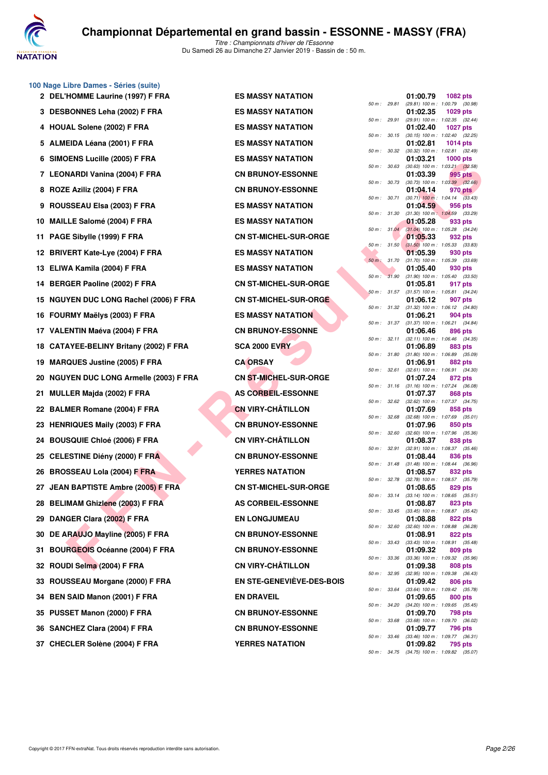

|     | 100 Nage Libre Dames - Séries (suite)       |                                  |              |          |                                                |
|-----|---------------------------------------------|----------------------------------|--------------|----------|------------------------------------------------|
|     | 2 DEL'HOMME Laurine (1997) F FRA            | <b>ES MASSY NATATION</b>         | 50 m : 29.81 | 01:00.79 | 1082 pts<br>(29.81) 100 m: 1:00.79 (30.98)     |
|     | 3 DESBONNES Leha (2002) F FRA               | <b>ES MASSY NATATION</b>         | 50 m : 29.91 | 01:02.35 | 1029 pts<br>(29.91) 100 m: 1:02.35 (32.44)     |
|     | 4 HOUAL Solene (2002) F FRA                 | <b>ES MASSY NATATION</b>         |              | 01:02.40 | <b>1027 pts</b>                                |
|     | 5 ALMEIDA Léana (2001) F FRA                | <b>ES MASSY NATATION</b>         | 50 m : 30.15 | 01:02.81 | (30.15) 100 m: 1:02.40 (32.25)<br>1014 pts     |
|     | 6 SIMOENS Lucille (2005) F FRA              | <b>ES MASSY NATATION</b>         | 50 m : 30.32 | 01:03.21 | (30.32) 100 m: 1:02.81 (32.49)<br>$1000$ pts   |
|     | 7 LEONARDI Vanina (2004) F FRA              | <b>CN BRUNOY-ESSONNE</b>         | 50 m : 30.63 | 01:03.39 | $(30.63)$ 100 m : 1:03.21 $(32.58)$<br>995 pts |
|     | 8 ROZE Aziliz (2004) F FRA                  | <b>CN BRUNOY-ESSONNE</b>         | 50 m : 30.73 | 01:04.14 | $(30.73)$ 100 m : 1:03.39 $(32.66)$<br>970 pts |
|     | 9 ROUSSEAU Elsa (2003) F FRA                | <b>ES MASSY NATATION</b>         | 50 m : 30.71 | 01:04.59 | $(30.71)$ 100 m : 1:04.14 $(33.43)$<br>956 pts |
|     | 10 MAILLE Salomé (2004) F FRA               | <b>ES MASSY NATATION</b>         | 50 m : 31.30 | 01:05.28 | $(31.30)$ 100 m : 1:04.59 $(33.29)$<br>933 pts |
| 11  | PAGE Sibylle (1999) F FRA                   | <b>CN ST-MICHEL-SUR-ORGE</b>     | 50 m: 31.04  | 01:05.33 | (31.04) 100 m : 1:05.28 (34.24)<br>932 pts     |
|     | 12 BRIVERT Kate-Lye (2004) F FRA            | <b>ES MASSY NATATION</b>         | 50 m: 31.50  | 01:05.39 | $(31.50)$ 100 m : 1:05.33 $(33.83)$<br>930 pts |
| 13. | ELIWA Kamila (2004) F FRA                   | <b>ES MASSY NATATION</b>         | 50 m : 31.70 | 01:05.40 | $(31.70)$ 100 m : 1:05.39 $(33.69)$<br>930 pts |
|     |                                             |                                  | 50 m: 31.90  | 01:05.81 | $(31.90)$ 100 m : 1:05.40 $(33.50)$            |
| 14  | <b>BERGER Paoline (2002) F FRA</b>          | <b>CN ST-MICHEL-SUR-ORGE</b>     | 50 m : 31.57 |          | 917 pts<br>$(31.57)$ 100 m : 1:05.81 $(34.24)$ |
|     | 15 NGUYEN DUC LONG Rachel (2006) F FRA      | <b>CN ST-MICHEL-SUR-ORGE</b>     | 50 m : 31.32 | 01:06.12 | 907 pts<br>$(31.32)$ 100 m : 1:06.12 $(34.80)$ |
|     | 16 FOURMY Maëlys (2003) F FRA               | <b>ES MASSY NATATION</b>         | 50 m : 31.37 | 01:06.21 | 904 pts<br>$(31.37)$ 100 m : 1:06.21 $(34.84)$ |
|     | 17 VALENTIN Maéva (2004) F FRA              | <b>CN BRUNOY-ESSONNE</b>         | 50 m : 32.11 | 01:06.46 | 896 pts<br>(32.11) 100 m: 1:06.46 (34.35)      |
| 18  | CATAYEE-BELINY Britany (2002) F FRA         | <b>SCA 2000 EVRY</b>             | 50 m : 31.80 | 01:06.89 | 883 pts<br>$(31.80)$ 100 m : 1:06.89 $(35.09)$ |
| 19  | <b>MARQUES Justine (2005) F FRA</b>         | <b>CA ORSAY</b>                  | 50 m : 32.61 | 01:06.91 | 882 pts<br>$(32.61)$ 100 m : 1:06.91 $(34.30)$ |
| 20  | <b>NGUYEN DUC LONG Armelle (2003) F FRA</b> | <b>CN ST-MICHEL-SUR-ORGE</b>     | 50 m : 31.16 | 01:07.24 | 872 pts<br>$(31.16)$ 100 m : 1:07.24 $(36.08)$ |
| 21  | <b>MULLER Majda (2002) F FRA</b>            | <b>AS CORBEIL-ESSONNE</b>        | 50 m : 32.62 | 01:07.37 | 868 pts<br>$(32.62)$ 100 m : 1:07.37 $(34.75)$ |
|     | 22 BALMER Romane (2004) F FRA               | <b>CN VIRY-CHÂTILLON</b>         |              | 01:07.69 | 858 pts                                        |
|     | 23 HENRIQUES Maily (2003) F FRA             | <b>CN BRUNOY-ESSONNE</b>         | 50 m : 32.68 | 01:07.96 | $(32.68)$ 100 m : 1:07.69 $(35.01)$<br>850 pts |
| 24  | <b>BOUSQUIE Chloé (2006) F FRA</b>          | <b>CN VIRY-CHÂTILLON</b>         | 50 m : 32.60 | 01:08.37 | $(32.60)$ 100 m : 1:07.96 $(35.36)$<br>838 pts |
| 25  | <b>CELESTINE Diény (2000) F FRA</b>         | <b>CN BRUNOY-ESSONNE</b>         | 50 m : 32.91 | 01:08.44 | $(32.91)$ 100 m : 1:08.37 $(35.46)$<br>836 pts |
| 26  | <b>BROSSEAU Lola (2004) F FRA</b>           | <b>YERRES NATATION</b>           | 50 m : 31.48 | 01:08.57 | $(31.48)$ 100 m : 1:08.44 $(36.96)$<br>832 pts |
|     | 27 JEAN BAPTISTE Ambre (2005) F FRA         | <b>CN ST-MICHEL-SUR-ORGE</b>     | 50 m : 32.78 | 01:08.65 | (32.78) 100 m : 1:08.57 (35.79)<br>829 pts     |
|     | 28 BELIMAM Ghizlene (2003) F FRA            | <b>AS CORBEIL-ESSONNE</b>        | 50 m : 33.14 | 01:08.87 | $(33.14)$ 100 m : 1:08.65 $(35.51)$<br>823 pts |
|     | 29 DANGER Clara (2002) F FRA                | <b>EN LONGJUMEAU</b>             | 50 m : 33.45 | 01:08.88 | (33.45) 100 m: 1:08.87 (35.42)<br>822 pts      |
|     | 30 DE ARAUJO Mayline (2005) F FRA           | <b>CN BRUNOY-ESSONNE</b>         | 50 m : 32.60 | 01:08.91 | (32.60) 100 m: 1:08.88 (36.28)<br>822 pts      |
| 31  | <b>BOURGEOIS Océanne (2004) F FRA</b>       | <b>CN BRUNOY-ESSONNE</b>         | 50 m : 33.43 | 01:09.32 | $(33.43)$ 100 m : 1:08.91 $(35.48)$<br>809 pts |
|     | 32 ROUDI Selma (2004) F FRA                 | <b>CN VIRY-CHÂTILLON</b>         | 50 m : 33.36 | 01:09.38 | (33.36) 100 m : 1:09.32 (35.96)<br>808 pts     |
| 33  | ROUSSEAU Morgane (2000) F FRA               | <b>EN STE-GENEVIÈVE-DES-BOIS</b> | 50 m : 32.95 | 01:09.42 | (32.95) 100 m : 1:09.38 (36.43)<br>806 pts     |
|     |                                             | <b>EN DRAVEIL</b>                | 50 m : 33.64 |          | (33.64) 100 m: 1:09.42 (35.78)                 |
| 34  | <b>BEN SAID Manon (2001) F FRA</b>          |                                  | 50 m : 34.20 | 01:09.65 | 800 pts<br>$(34.20)$ 100 m : 1:09.65 $(35.45)$ |
|     | 35 PUSSET Manon (2000) F FRA                | <b>CN BRUNOY-ESSONNE</b>         | 50 m : 33.68 | 01:09.70 | 798 pts<br>(33.68) 100 m : 1:09.70 (36.02)     |
|     | 36 SANCHEZ Clara (2004) F FRA               | <b>CN BRUNOY-ESSONNE</b>         |              | 01:09.77 | 796 pts                                        |

37 CHECLER Solène (2004) F FRA YERRES NATATION

|          |       | 01:00.79                      | 1082 pts                             |
|----------|-------|-------------------------------|--------------------------------------|
| $50 m$ : | 29.81 | $(29.81)$ 100 m :             | 1:00.79<br>(30.98)                   |
|          | 29.91 | 01:02.35<br>$(29.91)$ 100 m : | 1029 pts<br>1:02.35<br>(32.44)       |
| 50 m :   |       | 01:02.40                      | 1027<br>pts                          |
| $50 m$ : | 30.15 | $(30.15) 100 m$ :             | 1:02.40<br>(32.25)                   |
|          |       | 01:02.81                      | 1014 pts                             |
| $50 m$ : | 30.32 | $(30.32)$ 100 m :             | 1:02.81<br>(32.49)                   |
|          |       | 01:03.21                      | 1000 pts                             |
| 50 m :   | 30.63 | $(30.63) 100 m$ :             | 1:03.21<br>(32.58)                   |
|          |       | 01:03.39                      | 995 pts                              |
| $50 m$ : | 30.73 | (30.73) 100 m :               | 1:03.39<br>(32.66)                   |
| $50 m$ : | 30.71 | 01:04.14<br>$(30.71)$ 100 m : | 970 pts<br>1:04.14<br>(33.43)        |
|          |       | 01:04.59                      | 956 pts                              |
| 50 m :   | 31.30 | $(31.30)$ 100 m:              | 1:04.59<br>(33.29)                   |
|          |       | 01:05.28                      | 933 pts                              |
| $50 m$ : | 31.04 | $(31.04) 100 m$ :             | 1:05.28<br>(34.24)                   |
|          |       | 01:05.33                      | 932 pts                              |
| $50 m$ : | 31.50 | $(31.50)$ 100 m :             | 1:05.33<br>(33.83)                   |
| $50 m$ : | 31.70 | 01:05.39<br>$(31.70) 100 m$ : | 930 pts<br>1:05.39<br>(33.69)        |
|          |       | 01:05.40                      | 930 pts                              |
| $50 m$ : | 31.90 | $(31.90) 100 m$ :             | 1:05.40<br>(33.50)                   |
|          |       | 01:05.81                      | 917<br>pts                           |
| $50 m$ : | 31.57 | $(31.57) 100 m$ :             | 1:05.81<br>(34.24)                   |
|          |       | 01:06.12                      | 907 pts                              |
| 50 m :   | 31.32 | $(31.32)$ 100 m :             | 1:06.12<br>(34.80)                   |
| $50 m$ : | 31.37 | 01:06.21<br>$(31.37) 100 m$ : | <b>904 pts</b><br>1:06.21<br>(34.84) |
|          |       | 01:06.46                      | 896 pts                              |
| $50 m$ : | 32.11 | $(32.11)$ 100 m :             | 1:06.46<br>(34.35)                   |
|          |       | 01:06.89                      | 883 pts                              |
| 50 m :   | 31.80 | $(31.80) 100 m$ :             | 1:06.89<br>(35.09)                   |
|          |       | 01:06.91                      | <b>882 pts</b>                       |
| $50 m$ : | 32.61 | $(32.61)$ 100 m :<br>01:07.24 | 1:06.91<br>(34.30)<br>872 pts        |
| $50 m$ : | 31.16 | $(31.16) 100 m$ :             | 1:07.24<br>(36.08)                   |
|          |       | 01:07.37                      | <b>868 pts</b>                       |
| $50 m$ : | 32.62 | $(32.62)$ 100 m :             | 1:07.37<br>(34.75)                   |
|          |       | 01:07.69                      | 858 pts                              |
| $50 m$ : | 32.68 | $(32.68) 100 m$ :             | 1:07.69<br>(35.01)                   |
| $50 m$ : | 32.60 | 01:07.96<br>$(32.60)$ 100 m : | 850 pts<br>1:07.96<br>(35.36)        |
|          |       | 01:08.37                      | 838 pts                              |
| $50 m$ : | 32.91 | $(32.91)$ 100 m :             | 1:08.37<br>(35.46)                   |
|          |       | 01:08.44                      | 836 pts                              |
| $50 m$ : | 31.48 | $(31.48) 100 m$ :             | 1:08.44<br>(36.96)                   |
|          |       | 01:08.57                      | 832<br>pts                           |
| $50 m$ : | 32.78 | $(32.78) 100 m$ :             | 1:08.57<br>(35.79)<br><b>829 pts</b> |
| 50 m :   | 33.14 | 01:08.65<br>$(33.14) 100 m$ : | 1:08.65<br>(35.51)                   |
|          |       | U1:U8.87                      | 823 pts                              |
| $50 m$ : | 33.45 | $(33.45)$ 100 m :             | 1:08.87<br>(35.42)                   |
|          |       | 01:08.88                      | 822 pts                              |
| $50 m$ : | 32.60 | $(32.60)$ 100 m :             | 1:08.88<br>(36.28)                   |
|          |       | 01:08.91                      | 822 pts                              |
| $50 m$ : | 33.43 | $(33.43) 100 m$ :<br>01:09.32 | 1:08.91<br>(35.48)                   |
| $50 m$ : | 33.36 | (33.36) 100 m :               | 809 pts<br>1:09.32<br>(35.96)        |
|          |       | 01:09.38                      | 808 pts                              |
| $50 m$ : | 32.95 | $(32.95)$ 100 m :             | 1:09.38<br>(36.43)                   |
|          |       | 01:09.42                      | <b>806 pts</b>                       |
| 50 m :   | 33.64 | $(33.64) 100 m$ :             | 1:09.42<br>(35.78)                   |
|          |       | 01:09.65                      | 800 pts                              |
| $50 m$ : | 34.20 | $(34.20)$ 100 m :<br>01:09.70 | 1:09.65<br>(35.45)<br>798 pts        |
| $50 m$ : | 33.68 | $(33.68) 100 m$ :             | 1:09.70<br>(36.02)                   |
|          |       | 01:09.77                      | 796 pts                              |
| $50 m$ : | 33.46 | $(33.46) 100 m$ :             | 1:09.77<br>(36.31)                   |
|          |       | 01:09.82                      | 795 pts                              |
| $50 m$ : | 34.75 | $(34.75)$ 100 m :             | 1:09.82 (35.07)                      |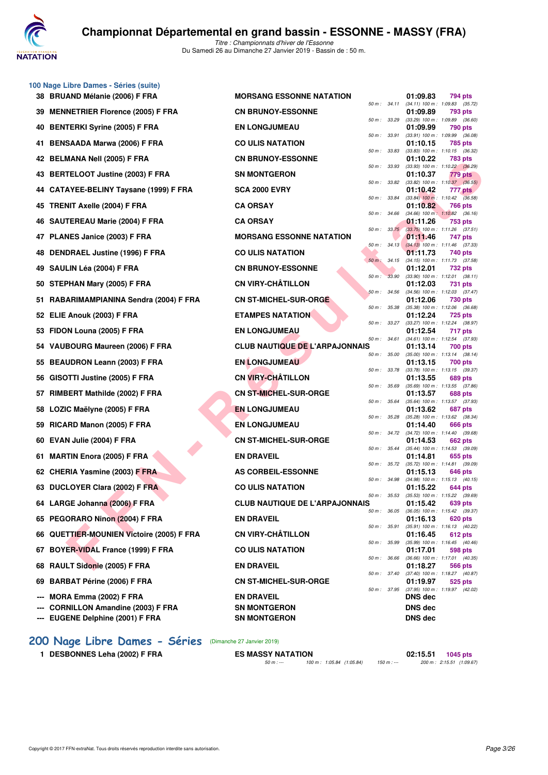

**100 Nage Libre Dames - Séries (suite)**

*Titre : Championnats d'hiver de l'Essonne* Du Samedi 26 au Dimanche 27 Janvier 2019 - Bassin de : 50 m.

| 38 BRUAND Mélanie (2006) F FRA                | <b>MORSANG ESSONNE NATATION</b>       |              | 01:09.83       | 794 pts                                                   |
|-----------------------------------------------|---------------------------------------|--------------|----------------|-----------------------------------------------------------|
| <b>MENNETRIER Florence (2005) F FRA</b><br>39 | <b>CN BRUNOY-ESSONNE</b>              | 50 m : 34.11 | 01:09.89       | $(34.11)$ 100 m : 1:09.83 $(35.72)$<br>793 pts            |
| <b>BENTERKI Syrine (2005) F FRA</b><br>40     | <b>EN LONGJUMEAU</b>                  | 50 m : 33.29 | 01:09.99       | $(33.29)$ 100 m : 1:09.89 $(36.60)$<br>790 pts            |
| <b>BENSAADA Marwa (2006) F FRA</b><br>41      | <b>CO ULIS NATATION</b>               | 50 m : 33.91 | 01:10.15       | (33.91) 100 m: 1:09.99 (36.08)<br>785 pts                 |
| 42 BELMANA Nell (2005) F FRA                  | <b>CN BRUNOY-ESSONNE</b>              | 50 m : 33.83 | 01:10.22       | $(33.83)$ 100 m : 1:10.15 $(36.32)$<br>783 pts            |
| 43 BERTELOOT Justine (2003) F FRA             | <b>SN MONTGERON</b>                   | 50 m : 33.93 | 01:10.37       | $(33.93)$ 100 m : 1:10.22 $(36.29)$<br>779 pts            |
| 44 CATAYEE-BELINY Taysane (1999) F FRA        | <b>SCA 2000 EVRY</b>                  | 50 m : 33.82 | 01:10.42       | $(33.82)$ 100 m : 1:10.37 $(36.55)$<br>777 pts            |
| <b>TRENIT Axelle (2004) F FRA</b><br>45       | <b>CA ORSAY</b>                       | 50 m : 33.84 | 01:10.82       | $(33.84)$ 100 m : 1:10.42 $(36.58)$<br>766 pts            |
| <b>SAUTEREAU Marie (2004) F FRA</b><br>46     | <b>CA ORSAY</b>                       | 50 m: 34.66  | 01:11.26       | $(34.66)$ 100 m : 1:10.82 $(36.16)$<br>753 pts            |
| 47 PLANES Janice (2003) F FRA                 | <b>MORSANG ESSONNE NATATION</b>       | 50 m: 33.75  | 01:11.46       | $(33.75)$ 100 m : 1:11.26 $(37.51)$<br>747 pts            |
| <b>DENDRAEL Justine (1996) F FRA</b><br>48    | <b>CO ULIS NATATION</b>               | 50 m: 34.13  | 01:11.73       | $(34.13)$ 100 m : 1:11.46 $(37.33)$<br>740 pts            |
| SAULIN Léa (2004) F FRA<br>49                 | <b>CN BRUNOY-ESSONNE</b>              | 50 m: 34.15  | 01:12.01       | (34.15) 100 m: 1:11.73 (37.58)<br>732 pts                 |
| STEPHAN Mary (2005) F FRA                     | <b>CN VIRY-CHÂTILLON</b>              | 50 m: 33.90  | 01:12.03       | $(33.90)$ 100 m : 1:12.01 $(38.11)$                       |
| 50                                            |                                       | 50 m : 34.56 |                | 731 pts<br>(34.56) 100 m: 1:12.03 (37.47)                 |
| RABARIMAMPIANINA Sendra (2004) F FRA<br>51    | <b>CN ST-MICHEL-SUR-ORGE</b>          | 50 m : 35.38 | 01:12.06       | 730 pts<br>$(35.38)$ 100 m : 1:12.06 $(36.68)$            |
| <b>ELIE Anouk (2003) F FRA</b><br>52          | <b>ETAMPES NATATION</b>               | 50 m: 33.27  | 01:12.24       | <b>725 pts</b><br>(33.27) 100 m: 1:12.24 (38.97)          |
| FIDON Louna (2005) F FRA<br>53                | <b>EN LONGJUMEAU</b>                  | 50 m : 34.61 | 01:12.54       | 717 pts<br>(34.61) 100 m: 1:12.54 (37.93)                 |
| VAUBOURG Maureen (2006) F FRA<br>54           | <b>CLUB NAUTIQUE DE L'ARPAJONNAIS</b> | 50 m : 35.00 | 01:13.14       | 700 pts<br>$(35.00)$ 100 m : 1:13.14 $(38.14)$            |
| <b>BEAUDRON Leann (2003) F FRA</b><br>55      | <b>EN LONGJUMEAU</b>                  | 50 m : 33.78 | 01:13.15       | 700 pts<br>(33.78) 100 m: 1:13.15 (39.37)                 |
| GISOTTI Justine (2005) F FRA<br>56            | <b>CN VIRY-CHÂTILLON</b>              | 50 m : 35.69 | 01:13.55       | 689 pts<br>(35.69) 100 m: 1:13.55 (37.86)                 |
| 57 RIMBERT Mathilde (2002) F FRA              | <b>CN ST-MICHEL-SUR-ORGE</b>          | 50 m : 35.64 | 01:13.57       | 688 pts<br>$(35.64)$ 100 m : 1:13.57 $(37.93)$            |
| LOZIC Maëlyne (2005) F FRA<br>58              | <b>EN LONGJUMEAU</b>                  |              | 01:13.62       | 687 pts                                                   |
| RICARD Manon (2005) F FRA<br>59               | <b>EN LONGJUMEAU</b>                  | 50 m : 35.28 | 01:14.40       | (35.28) 100 m: 1:13.62 (38.34)<br>666 pts                 |
| EVAN Julie (2004) F FRA<br>60                 | <b>CN ST-MICHEL-SUR-ORGE</b>          | 50 m : 34.72 | 01:14.53       | (34.72) 100 m: 1:14.40 (39.68)<br>662 pts                 |
| <b>MARTIN Enora (2005) F FRA</b><br>61        | <b>EN DRAVEIL</b>                     | 50 m : 35.44 | 01:14.81       | (35.44) 100 m: 1:14.53 (39.09)<br>655 pts                 |
| 62 CHERIA Yasmine (2003) F FRA                | <b>AS CORBEIL-ESSONNE</b>             | 50 m : 35.72 | 01:15.13       | $(35.72)$ 100 m : 1:14.81 $(39.09)$<br>646 pts            |
| 63 DUCLOYER Clara (2002) F FRA                | <b>CO ULIS NATATION</b>               | 50 m : 34.98 | 01:15.22       | $(34.98)$ 100 m : 1:15.13 $(40.15)$<br>644 pts            |
| 64 LARGE Johanna (2006) F FRA                 | <b>CLUB NAUTIQUE DE L'ARPAJONNAIS</b> | 50 m : 35.53 | 01:15.42       | (35.53) 100 m: 1:15.22 (39.69)<br>639 pts                 |
| 65 PEGORARO Ninon (2004) F FRA                | <b>EN DRAVEIL</b>                     |              | 01:16.13       | 50 m : 36.05 (36.05) 100 m : 1:15.42 (39.37)<br>$620$ pts |
| 66 QUETTIER-MOUNIEN Victoire (2005) F FRA     | <b>CN VIRY-CHÂTILLON</b>              |              | 01:16.45       | 50 m: 35.91 (35.91) 100 m: 1:16.13 (40.22)<br>612 pts     |
| <b>BOYER-VIDAL France (1999) F FRA</b><br>67  | <b>CO ULIS NATATION</b>               | 50 m : 35.99 | 01:17.01       | $(35.99)$ 100 m : 1:16.45 $(40.46)$<br>598 pts            |
| RAULT Sidonie (2005) F FRA<br>68              | <b>EN DRAVEIL</b>                     | 50 m : 36.66 | 01:18.27       | $(36.66)$ 100 m : 1:17.01 $(40.35)$                       |
|                                               |                                       |              |                | 566 pts<br>50 m: 37.40 (37.40) 100 m: 1:18.27 (40.87)     |
| <b>BARBAT Périne (2006) F FRA</b><br>69       | <b>CN ST-MICHEL-SUR-ORGE</b>          |              | 01:19.97       | 525 pts<br>50 m: 37.95 (37.95) 100 m: 1:19.97 (42.02)     |
| MORA Emma (2002) F FRA<br>---                 | <b>EN DRAVEIL</b>                     |              | <b>DNS</b> dec |                                                           |
| <b>CORNILLON Amandine (2003) F FRA</b><br>--- | <b>SN MONTGERON</b>                   |              | <b>DNS dec</b> |                                                           |
| EUGENE Delphine (2001) F FRA                  | <b>SN MONTGERON</b>                   |              | <b>DNS dec</b> |                                                           |

# **[200 Nage Libre Dames - Séries](http://www.ffnatation.fr/webffn/resultats.php?idact=nat&go=epr&idcpt=58437&idepr=3)** (Dimanche 27 Janvier 2019)

**1 DESBONNES Leha (2002) F FRA** ES MASSY NATATION **02:15.51 1045 pts**<br>  $\frac{100 \text{ m} \cdot 1.05.84}{100 \text{ m} \cdot 1.05.84}$  (1:05.84) **150 m** :  $\frac{200 \text{ m} \cdot 2.15.51}{200 \text{ m} \cdot 2.15.51}$  (1:09.67)

*50 m : --- 100 m : 1:05.84 (1:05.84) 150 m : --- 200 m : 2:15.51 (1:09.67)*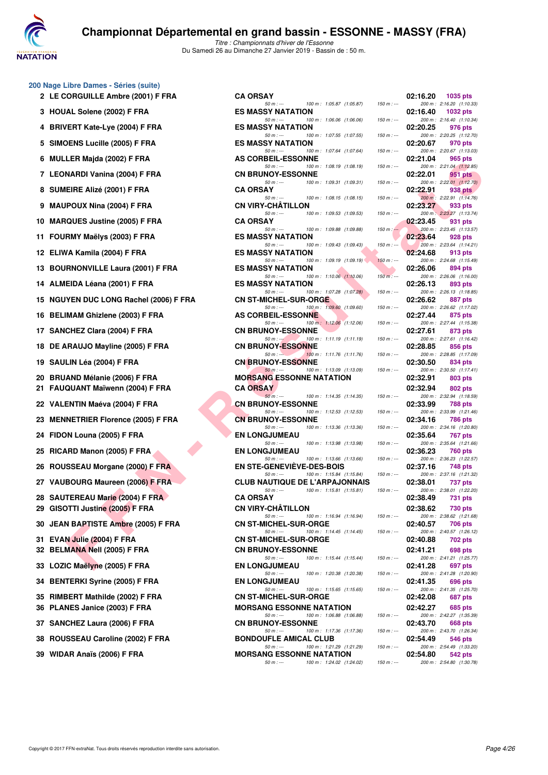

| 200 Nage Libre Dames - Séries (suite) |  |  |
|---------------------------------------|--|--|
|---------------------------------------|--|--|

- 2 LE CORGUILLE Ambre (2001) F FRA CA
- **3 HOUAL Solene (2002) F FRA BILLET ES**
- 4 BRIVERT Kate-Lye (2004) F FRA **ESSENGES**
- **5 SIMOENS Lucille (2005) F FRA BIMOENS**
- **6 MULLER Majda (2002) F FRA ASSEMBLEM**
- 7 LEONARDI Vanina (2004) F FRA CI
- **8 SUMEIRE Alizé (2001) F FRA CA ORSAY PROPERTY**
- **9 MAUPOUX Nina (2004) F FRA CIRCLON 03:33.27 PTS**
- **10 MARQUES Justine (2005) F FRA CA ORSAY PTS**
- **11 FOURMY Maëlys (2003) F FRA BILLET ES**
- 12 **ELIWA Kamila (2004) F FRA ES**
- 13 BOURNONVILLE Laura (2001) F FRA ES
- 14 **ALMEIDA Léana (2001) F FRA ES**
- 15 NGUYEN DUC LONG Rachel (2006) F FRA CI
- 16 BELIMAM Ghizlene (2003) F FRA AS
- 17 SANCHEZ Clara (2004) F FRA **C**
- 18 DE ARAUJO Mayline (2005) F FRA **CIME 02:38**
- 19 SAULIN Léa (2004) F FRA **CONSIDERENT CONSTRUE OF SAULIN**
- **20 BRUAND Mélanie (2006) F FRA MORSANG ESSONANT M**
- **21 FAUQUANT Maïwenn (2004) F FRA CA ORSAY DR AN ORSAY PROPERTY**
- **22 VALENTIN Maéva (2004) F FRA CN BRUNOV-ESSON PTS**
- **23 MENNETRIER Florence (2005) F FRA C**
- **24 FIDON Louna (2005) F FRA ENGLISHER**
- **25 RICARD Manon (2005) F FRA <b>ENELONGIATE**
- **26 ROUSSEAU Morgane (2000) F FRA BILLER STEEPS EN STEEPS AND STEEP BEING A STEEP BEING A STEEP BEING A STEEP BEING A STEEP BEING A STEEP BEING A STEEP BEING A STEEP BEING A STEEP BEING A STEEP BEING A STEEP BEING A STEEP**
- 27 VAUBOURG Maureen (2006) F FRA CLUB CLUB OURG NAUTICIDE DE L'ARPA
- **28 SAUTEREAU Marie (2004) F FRA CA ORSAY PTS**
- **29 GISOTTI Justine (2005) F FRA CIRCHILLON CI**
- **30 JEAN BAPTISTE Ambre (2005) F FRA CITE**
- **31 EVAN Julie (2004) F FRA CONSUMICHER-SURFER 32 BELMANA Nell (2005) F FRA CONSERVANCE**
- **33 LOZIC Maëlyne (2005) F FRA CONGLIER EN LONGITY BUMER DE LONGITY BUMER BUMER DE LONGITY BUMER BUMER DE LONGITY BUMER BUMER BUMER BUMER BUMER BUMER BUMER BUMER BUMER BUMER BUMER BUMER BUMER BUMER BUMER BUMER BUMER BUMER**
- **34 BENTERKI Syrine (2005) F FRA LONGITY BUMER CONGITY**
- **35 RIMBERT Mathilde (2002) F FRA CONSTANT CONSTRUCTED ON STATE OF STATE OF STATE OF STATE OF STATE OF STATE OF STATE OF STATE OF STATE OF STATE OF STATE OF STATE OF STATE OF STATE OF STATE OF STATE OF STATE OF STATE OF ST 36 PLANES Janice (2003) F FRA MORE NATA IN BIG PLANES**
- **37 SANCHEZ Laura (2006) F FRA CONSERVANCE**
- **38 ROUSSEAU Caroline (2002) F FRA BOUSSEAU**
- **39 WIDAR Anaïs (2006) F FRA MORSANG ESSON**

| -ibre Dames - Séries (suite)<br><b>ORGUILLE Ambre (2001) F FRA</b> | <b>CA ORSAY</b>                                                                |               | 02:16.20<br><b>1035 pts</b>                                        |
|--------------------------------------------------------------------|--------------------------------------------------------------------------------|---------------|--------------------------------------------------------------------|
| AL Solene (2002) F FRA                                             | $50 m: -$<br>100 m: 1:05.87 (1:05.87)<br><b>ES MASSY NATATION</b>              | $150 m: -$    | 200 m: 2:16.20 (1:10.33)<br>02:16.40                               |
|                                                                    | 100 m: 1:06.06 (1:06.06)<br>$50 m: -$                                          | $150 m : -$   | 1032 pts<br>200 m: 2:16.40 (1:10.34)                               |
| <b>/ERT Kate-Lye (2004) F FRA</b>                                  | <b>ES MASSY NATATION</b><br>$50 m: -$<br>100 m: 1:07.55 (1:07.55)              | $150 m : -$   | 02:20.25<br>976 pts<br>200 m: 2:20.25 (1:12.70)                    |
| <b>DENS Lucille (2005) F FRA</b>                                   | <b>ES MASSY NATATION</b><br>$50 m: -$<br>100 m: 1:07.64 (1:07.64)              | $150 m: -$    | 02:20.67<br>970 pts<br>200 m: 2:20.67 (1:13.03)                    |
| LER Majda (2002) F FRA                                             | AS CORBEIL-ESSONNE<br>$50 m: -$<br>100 m: 1:08.19 (1:08.19)                    | $150 m : -$   | 02:21.04<br>965 pts<br>200 m: 2:21.04 (1:12.85)                    |
| NARDI Vanina (2004) F FRA                                          | <b>CN BRUNOY-ESSONNE</b>                                                       | $150 m: -$    | 02:22.01<br>951 pts                                                |
| EIRE Alizé (2001) F FRA                                            | $50 m: -$<br>100 m: 1:09.31 (1:09.31)<br><b>CA ORSAY</b>                       |               | 200 m: 2:22.01 (1:12.70)<br>02:22.91<br>938 pts                    |
| POUX Nina (2004) F FRA                                             | $50 m: -$<br>100 m: 1:08.15 (1:08.15)<br><b>CN VIRY-CHATILLON</b>              | $150 m: -$    | 200 m: 2:22.91 (1:14.76)<br>02:23.27<br>933 pts                    |
| QUES Justine (2005) F FRA                                          | $50 m: -$<br>100 m: 1:09.53 (1:09.53)<br><b>CA ORSAY</b>                       | $150 m : -$   | 200 m: 2:23.27 (1:13.74)<br>02:23.45<br>931 pts                    |
| RMY Maëlys (2003) F FRA                                            | 50 m : ---<br>100 m: 1:09.88 (1:09.88)<br><b>ES MASSY NATATION</b>             | $150 m : -$   | 200 m: 2:23.45 (1:13.57)<br>02:23.64<br>928 pts                    |
| /A Kamila (2004) F FRA                                             | $50 m : -$<br>100 m: 1:09.43 (1:09.43)<br><b>ES MASSY NATATION</b>             | $150 m : -$   | 200 m: 2:23.64 (1:14.21)<br>02:24.68<br>913 pts                    |
| <b>RNONVILLE Laura (2001) F FRA</b>                                | 100 m: 1:09.19 (1:09.19)<br>$50 m: -$<br><b>ES MASSY NATATION</b>              | $150 m$ : --- | 200 m: 2:24.68 (1:15.49)<br>02:26.06<br>894 pts                    |
| EIDA Léana (2001) F FRA                                            | $50 m: -$<br>$100 m$ : $1:10.06$ $(1:10.06)$<br><b>ES MASSY NATATION</b>       | $150 m: -$    | 200 m: 2:26.06 (1:16.00)<br>02:26.13<br>893 pts                    |
| YEN DUC LONG Rachel (2006) F FRA                                   | 100 m: 1:07.28 (1:07.28)<br>$50 m: -$<br><b>CN ST-MICHEL-SUR-ORGE</b>          | $150 m : -$   | 200 m: 2:26.13 (1:18.85)<br>02:26.62<br>887 pts                    |
| <b>IMAM Ghizlene (2003) F FRA</b>                                  | 100 m: 1:09.60 (1:09.60)<br>$50 m: -$<br><b>AS CORBEIL-ESSONNE</b>             | $150 m : -$   | 200 m: 2:26.62 (1:17.02)<br>02:27.44<br>875 pts                    |
| CHEZ Clara (2004) F FRA                                            | 100 m: 1:12.06 (1:12.06)<br>$50 m: -$<br><b>CN BRUNOY-ESSONNE</b>              | $150 m : -$   | 200 m: 2:27.44 (1:15.38)<br>02:27.61<br>873 pts                    |
| <b>RAUJO Mayline (2005) F FRA</b>                                  | 100 m: 1:11.19 (1:11.19)<br>$50 m: -1$<br><b>CN BRUNOY-ESSONNE</b>             | $150 m: -$    | 200 m: 2:27.61 (1:16.42)<br>02:28.85<br>856 pts                    |
| LIN Léa (2004) F FRA                                               | 100 m: 1:11.76 (1:11.76)<br>$50 m: -$<br><b>CN BRUNOY-ESSONNE</b>              | $150 m: -$    | 200 m: 2:28.85 (1:17.09)<br>02:30.50<br>834 pts                    |
| AND Mélanie (2006) F FRA                                           | 100 m: 1:13.09 (1:13.09)<br>$50 m: -$<br><b>MORSANG ESSONNE NATATION</b>       | $150 m: -$    | 200 m: 2:30.50 (1:17.41)<br>02:32.91<br>803 pts                    |
| QUANT Maïwenn (2004) F FRA                                         | <b>CA ORSAY</b><br>$50 m: -$<br>100 m: 1:14.35 (1:14.35)                       | $150 m : -$   | 02:32.94<br>802 pts<br>200 m: 2:32.94 (1:18.59)                    |
| ENTIN Maéva (2004) F FRA                                           | <b>CN BRUNOY-ESSONNE</b>                                                       |               | 02:33.99<br>788 pts                                                |
| <b>NETRIER Florence (2005) F FRA</b>                               | 100 m: 1:12.53 (1:12.53)<br>$50 m: -$<br><b>CN BRUNOY-ESSONNE</b>              | $150 m : -$   | 200 m: 2:33.99 (1:21.46)<br>02:34.16<br>786 pts                    |
| )N Louna (2005) F FRA                                              | 100 m: 1:13.36 (1:13.36)<br>$50 m: -$<br><b>EN LONGJUMEAU</b>                  | $150 m : -$   | 200 m: 2:34.16 (1:20.80)<br>02:35.64<br>767 pts                    |
| <b>RD Manon (2005) F FRA</b>                                       | $50 m: -$<br>100 m: 1:13.98 (1:13.98)<br><b>EN LONGJUMEAU</b>                  | $150 m : -$   | 200 m: 2:35.64 (1:21.66)<br>02:36.23<br>760 pts                    |
| SSEAU Morgane (2000) F FRA                                         | $50 m: -$<br>100 m: 1:13.66 (1:13.66)<br><b>EN STE-GENEVIEVE-DES-BOIS</b>      | $150 m : -$   | 200 m: 2:36.23 (1:22.57)<br>02:37.16<br>748 pts                    |
| BOURG Maureen (2006) F FRA                                         | 100 m: 1:15.84 (1:15.84)<br>$50 m: -$<br><b>CLUB NAUTIQUE DE L'ARPAJONNAIS</b> | $150 m: -$    | 200 m: 2:37.16 (1:21.32)<br>02:38.01<br>737 pts                    |
| TEREAU Marie (2004) F FRA                                          | $50 m: -$<br>100 m: 1:15.81 (1:15.81)<br><b>CA ORSAY</b>                       | $150 m : -$   | 200 m: 2:38.01 (1:22.20)<br>02:38.49<br>731 pts                    |
| <b>TTI Justine (2005) F FRA</b>                                    | <b>CN VIRY-CHÂTILLON</b>                                                       |               | 02:38.62<br>730 pts                                                |
| <b>N BAPTISTE Ambre (2005) F FRA</b>                               | $50 m: -$<br>100 m: 1:16.94 (1:16.94)<br><b>CN ST-MICHEL-SUR-ORGE</b>          | $150 m : -$   | 200 m: 2:38.62 (1:21.68)<br>02:40.57<br>706 pts                    |
| N Julie (2004) F FRA                                               | $50 m: -$<br>100 m: 1:14.45 (1:14.45)<br><b>CN ST-MICHEL-SUR-ORGE</b>          | $150 m$ : --- | 200 m: 2:40.57 (1:26.12)<br>02:40.88<br>702 pts                    |
| MANA Nell (2005) F FRA                                             | <b>CN BRUNOY-ESSONNE</b><br>100 m: 1:15.44 (1:15.44)<br>$50 m: -$              | $150 m : -$   | 02:41.21<br>698 pts<br>200 m: 2:41.21 (1:25.77)                    |
| IC Maëlyne (2005) F FRA                                            | <b>EN LONGJUMEAU</b><br>$50 m: -$<br>100 m: 1:20.38 (1:20.38)                  | $150 m : -$   | 02:41.28<br>697 pts<br>200 m: 2:41.28 (1:20.90)                    |
| TERKI Syrine (2005) F FRA                                          | <b>EN LONGJUMEAU</b><br>$50 m: -$<br>100 m: 1:15.65 (1:15.65)                  | $150 m : -$   | 02:41.35<br>696 pts<br>200 m: 2:41.35 (1:25.70)                    |
| BERT Mathilde (2002) F FRA                                         | <b>CN ST-MICHEL-SUR-ORGE</b>                                                   |               | 02:42.08<br>687 pts                                                |
| NES Janice (2003) F FRA                                            | <b>MORSANG ESSONNE NATATION</b><br>100 m: 1:06.88 (1:06.88)<br>$50 m: -$       | $150 m : -$   | 02:42.27<br>685 pts<br>200 m: 2:42.27 (1:35.39)                    |
| CHEZ Laura (2006) F FRA                                            | <b>CN BRUNOY-ESSONNE</b><br>$50 m: -$<br>100 m: 1:17.36 (1:17.36)              | $150 m: -$    | 02:43.70<br>668 pts<br>200 m: 2:43.70 (1:26.34)                    |
| SSEAU Caroline (2002) F FRA                                        | <b>BONDOUFLE AMICAL CLUB</b><br>$50 m: -$<br>100 m: 1:21.29 (1:21.29)          | $150 m : -$   | 02:54.49<br>546 pts<br>200 m: 2:54.49 (1:33.20)                    |
| AR Anaïs (2006) F FRA                                              | <b>MORSANG ESSONNE NATATION</b>                                                |               | 02:54.80<br>542 pts<br>$200 \text{ m}$ $\cdot$ $2.5480$ $(1.3078)$ |
|                                                                    | $100 \text{ m} \cdot 1.24 \text{ m}$ $(1.24 \text{ m})$<br>$50 m -$            | $150 m -$     |                                                                    |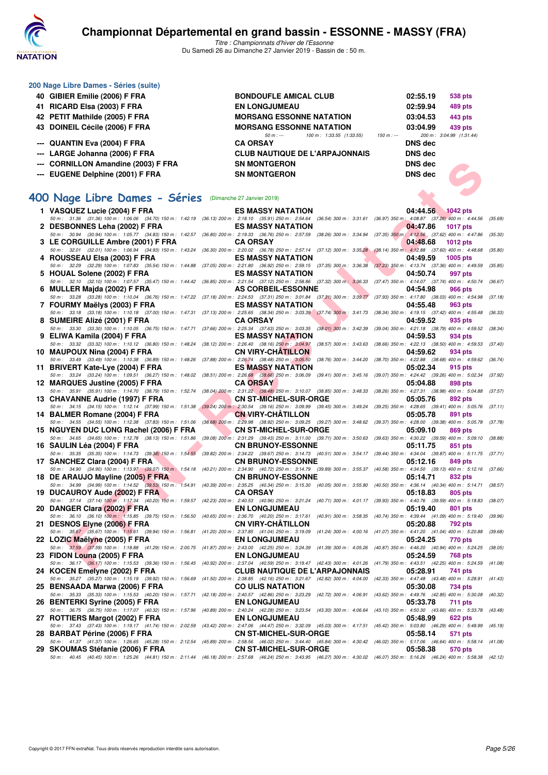

*Titre : Championnats d'hiver de l'Essonne* Du Samedi 26 au Dimanche 27 Janvier 2019 - Bassin de : 50 m.

|    | 200 Nage Libre Dames - Séries (suite) |                                                       |          |                          |
|----|---------------------------------------|-------------------------------------------------------|----------|--------------------------|
| 40 | GIBIER Emilie (2006) F FRA            | <b>BONDOUFLE AMICAL CLUB</b>                          | 02:55.19 | 538 pts                  |
| 41 | RICARD Elsa (2003) F FRA              | <b>EN LONGJUMEAU</b>                                  | 02:59.94 | 489 pts                  |
|    | 42 PETIT Mathilde (2005) F FRA        | <b>MORSANG ESSONNE NATATION</b>                       | 03:04.53 | 443 pts                  |
|    | 43 DOINEIL Cécile (2006) F FRA        | <b>MORSANG ESSONNE NATATION</b>                       | 03:04.99 | 439 pts                  |
|    |                                       | 100 m: 1:33.55 (1:33.55)<br>150 m : ---<br>$50 m : -$ |          | 200 m: 3:04.99 (1:31.44) |
|    | --- QUANTIN Eva (2004) F FRA          | <b>CA ORSAY</b>                                       | DNS dec  |                          |
|    | --- LARGE Johanna (2006) F FRA        | <b>CLUB NAUTIQUE DE L'ARPAJONNAIS</b>                 | DNS dec  |                          |
|    | --- CORNILLON Amandine (2003) F FRA   | <b>SN MONTGERON</b>                                   | DNS dec  |                          |
|    | --- EUGENE Delphine (2001) F FRA      | <b>SN MONTGERON</b>                                   | DNS dec  |                          |

### **[400 Nage Libre Dames - Séries](http://www.ffnatation.fr/webffn/resultats.php?idact=nat&go=epr&idcpt=58437&idepr=4)** (Dimanche 27 Janvier 2019)

| --- CORNILLON Amandine (2003) F FRA                                                                                                                                                                                      | <b>SN MONTGERON</b>                                                                                                                                         |                                       | <b>DNS</b> dec                                              |                 |         |
|--------------------------------------------------------------------------------------------------------------------------------------------------------------------------------------------------------------------------|-------------------------------------------------------------------------------------------------------------------------------------------------------------|---------------------------------------|-------------------------------------------------------------|-----------------|---------|
| --- EUGENE Delphine (2001) F FRA                                                                                                                                                                                         | <b>SN MONTGERON</b>                                                                                                                                         |                                       | <b>DNS</b> dec                                              |                 |         |
|                                                                                                                                                                                                                          |                                                                                                                                                             |                                       |                                                             |                 |         |
| 00 Nage Libre Dames - Séries (Dimanche 27 Janvier 2019)                                                                                                                                                                  |                                                                                                                                                             |                                       |                                                             |                 |         |
| 1 VASQUEZ Lucie (2004) F FRA                                                                                                                                                                                             | <b>ES MASSY NATATION</b>                                                                                                                                    |                                       | 04:44.56                                                    | <b>1042 pts</b> |         |
| 50 m: 31.36 (31.36) 100 m: 1:06.06 (34.70) 150 m: 1:42.19                                                                                                                                                                | (36.13) 200 m : 2:18.10 (35.91) 250 m : 2:54.64 (36.54) 300 m : 3:31.61 (36.97) 350 m : 4:08.87 (37.26) 400 m : 4:44.56                                     |                                       |                                                             |                 | (35.69) |
| 2 DESBONNES Leha (2002) F FRA                                                                                                                                                                                            | <b>ES MASSY NATATION</b>                                                                                                                                    |                                       | 04:47.86                                                    | <b>1017 pts</b> |         |
| 50 m: 30.94 (30.94) 100 m: 1:05.77 (34.83) 150 m: 1:42.57                                                                                                                                                                | (36.80) 200 m : 2:19.33 (36.76) 250 m : 2:57.59 (38.26) 300 m : 3:34.94                                                                                     |                                       | (37.35) 350 m : 4:12.56 (37.62) 400 m : 4:47.86             |                 | (35.30) |
| 3 LE CORGUILLE Ambre (2001) F FRA<br>50 m: 32.01 (32.01) 100 m: 1:06.94 (34.93) 150 m: 1:43.24                                                                                                                           | <b>CA ORSAY</b><br>(36.30) 200 m : 2:20.02 (36.78) 250 m : 2:57.14 (37.12) 300 m : 3:35.28 (38.14) 350 m : 4:12.88 (37.60) 400 m : 4:48.68                  |                                       | 04:48.68                                                    | <b>1012 pts</b> | (35.80) |
| 4 ROUSSEAU Elsa (2003) F FRA                                                                                                                                                                                             | <b>ES MASSY NATATION</b>                                                                                                                                    |                                       | 04:49.59                                                    | 1005 pts        |         |
| 50 m: 32.29 (32.29) 100 m: 1:07.83 (35.54) 150 m: 1:44.88                                                                                                                                                                | (37.05) 200 m : 2:21.80 (36.92) 250 m : 2:59.15 (37.35) 300 m : 3:36.38                                                                                     |                                       | $(37.23)$ 350 m : 4:13.74 $(37.36)$ 400 m : 4:49.59         |                 | (35.85) |
| 5 HOUAL Solene (2002) F FRA                                                                                                                                                                                              | <b>ES MASSY NATATION</b>                                                                                                                                    |                                       | 04:50.74<br>(37.47) 350 m: 4:14.07 (37.74) 400 m: 4:50.74   | 997 pts         |         |
| 50 m: 32.10 (32.10) 100 m: 1:07.57 (35.47) 150 m: 1:44.42<br>6 MULLER Majda (2002) F FRA                                                                                                                                 | (36.85) 200 m : 2:21.54 (37.12) 250 m : 2:58.86 (37.32) 300 m : 3:36.33<br><b>AS CORBEIL-ESSONNE</b>                                                        |                                       | 04:54.98                                                    | <b>966 pts</b>  | (36.67) |
| 50 m : 33.28 (33.28) 100 m : 1:10.04 (36.76) 150 m : 1:47.22 (37.18) 200 m : 2:24.53 (37.31) 250 m : 3:01.84 (37.31) 300 m : 3:39.77                                                                                     |                                                                                                                                                             |                                       | (37.93) 350 m: 4:17.80 (38.03) 400 m: 4:54.98               |                 | (37.18) |
| 7 FOURMY Maëlys (2003) F FRA                                                                                                                                                                                             | <b>ES MASSY NATATION</b>                                                                                                                                    |                                       | 04:55.48                                                    | 963 pts         |         |
| 50 m: 33.18 (33.18) 100 m: 1:10.18 (37.00) 150 m: 1:47.31                                                                                                                                                                | $(37.13)$ 200 m : 2:25.65 $(38.34)$ 250 m : 3:03.39 $(37.74)$ 300 m : 3:41.73                                                                               |                                       | (38.34) 350 m: 4:19.15 (37.42) 400 m: 4:55.48               |                 | (36.33) |
| 8 SUMEIRE Alizé (2001) F FRA<br>50 m: 33.30 (33.30) 100 m: 1:10.05 (36.75) 150 m: 1:47.71                                                                                                                                | <b>CA ORSAY</b><br>(37.66) 200 m : 2:25.34 (37.63) 250 m : 3:03.35 (38.01) 300 m : 3:42.39 (39.04) 350 m : 4:21.18 (38.79) 400 m : 4:59.52                  |                                       | 04:59.52                                                    | 935 pts         | (38.34) |
| 9 ELIWA Kamila (2004) F FRA                                                                                                                                                                                              | <b>ES MASSY NATATION</b>                                                                                                                                    |                                       | 04:59.53                                                    | 934 pts         |         |
| 50 m : 33.32 (33.32) 100 m : 1:10.12 (36.80) 150 m : 1:48.24                                                                                                                                                             | (38.12) 200 m : 2:26.40 (38.16) 250 m : 3:04.97 (38.57) 300 m : 3:43.63 (38.66) 350 m : 4:22.13 (38.50) 400 m : 4:59.53 (37.40)                             |                                       |                                                             |                 |         |
| 10 MAUPOUX Nina (2004) F FRA                                                                                                                                                                                             | <b>CN VIRY-CHATILLON</b>                                                                                                                                    |                                       | 04:59.62                                                    | 934 pts         |         |
| 50 m : 33.49 (33.49) 100 m : 1:10.38 (36.89) 150 m : 1:48.26<br>11 BRIVERT Kate-Lye (2004) F FRA                                                                                                                         | (37.88) 200 m : 2:26.74 (38.48) 250 m : 3:05.50 (38.76) 300 m : 3:44.20<br><b>ES MASSY NATATION</b>                                                         |                                       | (38.70) 350 m : 4:22.88 (38.68) 400 m : 4:59.62<br>05:02.34 | 915 pts         | (36.74) |
| 50 m: 33.24 (33.24) 100 m: 1:09.51 (36.27) 150 m: 1:48.02                                                                                                                                                                | (38.51) 200 m : 2:26.68 (38.66) 250 m : 3:06.09 (39.41) 300 m : 3:45.16 (39.07) 350 m : 4:24.42 (39.26) 400 m : 5:02.34                                     |                                       |                                                             |                 | (37.92) |
| 12 MARQUES Justine (2005) F FRA                                                                                                                                                                                          | <b>CA ORSAY</b>                                                                                                                                             |                                       | 05:04.88                                                    | 898 pts         |         |
| 50 m: 35.91 (35.91) 100 m: 1:14.70 (38.79) 150 m: 1:52.74                                                                                                                                                                | (38.04) 200 m : 2:31.22 (38.48) 250 m : 3:10.07 (38.85) 300 m : 3:48.33                                                                                     |                                       | (38.26) 350 m: 4:27.31 (38.98) 400 m: 5:04.88               |                 | (37.57) |
| 13 CHAVANNE Audrie (1997) F FRA                                                                                                                                                                                          | <b>CN ST-MICHEL-SUR-ORGE</b><br>(39.24) 200 m : 2:30.54 (39.16) 250 m : 3:09.99 (39.45) 300 m : 3:49.24 (39.25) 350 m : 4:28.65 (39.41) 400 m : 5:05.76     |                                       | 05:05.76                                                    | 892 pts         |         |
| 50 m: 34.15 (34.15) 100 m: 1:12.14 (37.99) 150 m: 1:51.38<br>14 BALMER Romane (2004) F FRA                                                                                                                               | <b>CN VIRY-CHATILLON</b>                                                                                                                                    |                                       | 05:05.78                                                    | 891 pts         | (37.11) |
| 50 m: 34.55 (34.55) 100 m: 1:12.38 (37.83) 150 m: 1:51.06                                                                                                                                                                | (38.68) 200 m : 2:29.98 (38.92) 250 m : 3:09.25 (39.27) 300 m : 3:48.62 (39.37) 350 m : 4:28.00 (39.38) 400 m : 5:05.78                                     |                                       |                                                             |                 | (37.78) |
| 15 NGUYEN DUC LONG Rachel (2006) F FRA                                                                                                                                                                                   | <b>CN ST-MICHEL-SUR-ORGE</b>                                                                                                                                |                                       | 05:09.10                                                    | 869 pts         |         |
| 50 m: 34.65 (34.65) 100 m: 1:12.78 (38.13) 150 m: 1:51.86                                                                                                                                                                | (39.08) 200 m : 2:31.29 (39.43) 250 m : 3:11.00 (39.71) 300 m : 3:50.63 (39.63) 350 m : 4:30.22 (39.59) 400 m : 5:09.10                                     |                                       |                                                             |                 | (38.88) |
| 16 SAULIN Léa (2004) F FRA<br>50 m: 35.35 (35.35) 100 m: 1:14.73 (39.38) 150 m: 1:54.55                                                                                                                                  | <b>CN BRUNOY-ESSONNE</b><br>(39.82) 200 m : 2:34.22 (39.67) 250 m : 3:14.73 (40.51) 300 m : 3:54.17 (39.44) 350 m : 4:34.04 (39.87) 400 m : 5:11.75 (37.71) |                                       | 05:11.75                                                    | 851 pts         |         |
| 17 SANCHEZ Clara (2004) F FRA                                                                                                                                                                                            | <b>CN BRUNOY-ESSONNE</b>                                                                                                                                    |                                       | 05:12.16                                                    | 849 pts         |         |
| 50 m: 34.90 (34.90) 100 m: 1:13.97 (39.07) 150 m: 1:54.18                                                                                                                                                                | (40.21) 200 m : 2:34.90 (40.72) 250 m : 3:14.79 (39.89) 300 m : 3:55.37 (40.58) 350 m : 4:34.50 (39.13) 400 m : 5:12.16                                     |                                       |                                                             |                 | (37.66) |
| 18 DE ARAUJO Mayline (2005) F FRA                                                                                                                                                                                        | <b>CN BRUNOY-ESSONNE</b>                                                                                                                                    |                                       | 05:14.71                                                    | 832 pts         |         |
| 50 m: 34.99 (34.99) 100 m: 1:14.52 (39.53) 150 m: 1:54.91<br>19 DUCAUROY Aude (2002) F FRA                                                                                                                               | (40.39) 200 m : 2:35.25 (40.34) 250 m : 3:15.30 (40.05) 300 m : 3:55.80 (40.50) 350 m : 4:36.14 (40.34) 400 m : 5:14.71 (38.57)<br><b>CA ORSAY</b>          |                                       | 05:18.83                                                    | 805 pts         |         |
| 50 m: 37.14 (37.14) 100 m: 1:17.34 (40.20) 150 m: 1:59.57                                                                                                                                                                | (42.23) 200 m : 2:40.53 (40.96) 250 m : 3:21.24 (40.71) 300 m : 4:01.17 (39.93) 350 m : 4:40.76 (39.59) 400 m : 5:18.83                                     |                                       |                                                             |                 | (38.07) |
| 20 DANGER Clara (2002) F FRA                                                                                                                                                                                             | <b>EN LONGJUMEAU</b>                                                                                                                                        |                                       | 05:19.40                                                    | 801 pts         |         |
| 50 m : 36.10 (36.10) 100 m : 1:15.85 (39.75) 150 m : 1:56.50                                                                                                                                                             | (40.65) 200 m : 2:36.70 (40.20) 250 m : 3:17.61 (40.91) 300 m : 3:58.35 (40.74) 350 m : 4:39.44 (41.09) 400 m : 5:19.40                                     |                                       |                                                             |                 | (39.96) |
| 21 DESNOS Elyne (2006) F FRA<br>50 m: 35,67 (35.67) 100 m: 1:15.61 (39.94) 150 m: 1:56.81 (41.20) 200 m: 2:37.85 (41.04) 250 m: 3:19.09 (41.24) 300 m: 4:00.16 (41.07) 350 m: 4:41.20 (41.04) 400 m: 5:20.88             | <b>CN VIRY-CHATILLON</b>                                                                                                                                    |                                       | 05:20.88                                                    | 792 pts         | (39.68) |
| 22 LOZIC Maëlyne (2005) F FRA                                                                                                                                                                                            | <b>EN LONGJUMEAU</b>                                                                                                                                        |                                       | 05:24.25                                                    | 770 pts         |         |
| 50 m: 37.59 (37.59) 100 m: 1:18.88 (41.29) 150 m: 2:00.75 (41.87) 200 m: 2:43.00 (42.25) 250 m: 3:24.39 (41.39) 300 m: 4:05.26 (40.87) 350 m: 4:46.20 (40.94) 400 m: 5:24.25 (38.05)                                     |                                                                                                                                                             |                                       |                                                             |                 |         |
| 23 FIDON Louna (2005) F FRA                                                                                                                                                                                              | <b>EN LONGJUMEAU</b>                                                                                                                                        |                                       | 05:24.59                                                    | <b>768 pts</b>  |         |
| 50 m: 36.17 (36.17) 100 m: 1:15.53 (39.36) 150 m: 1:56.45 (40.92) 200 m: 2:37.04 (40.59) 250 m: 3:19.47 (42.43) 300 m: 4:01.26 (41.79) 350 m: 4:43.51 (42.25) 400 m: 5:24.59 (41.08)                                     |                                                                                                                                                             | <b>CLUB NAUTIQUE DE L'ARPAJONNAIS</b> | 05:28.91                                                    |                 |         |
| 24 KOCEN Emelyne (2002) F FRA<br>50 m: 35.27 (35.27) 100 m: 1:15.19 (39.92) 150 m: 1:56.69 (41.50) 200 m: 2:38.85 (42.16) 250 m: 3:21.67 (42.82) 300 m: 4:04.00 (42.33) 350 m: 4:47.48 (43.48) 400 m: 5:28.91 (41.43)    |                                                                                                                                                             |                                       |                                                             | 741 pts         |         |
| 25 BENSAADA Marwa (2006) F FRA                                                                                                                                                                                           | <b>CO ULIS NATATION</b>                                                                                                                                     |                                       | 05:30.08                                                    | 734 pts         |         |
| 50 m: 35.33 (35.33) 100 m: 1:15.53 (40.20) 150 m: 1:57.71 (42.18) 200 m: 2:40.57 (42.86) 250 m: 3:23.29 (42.72) 300 m: 4:06.91 (43.62) 350 m: 4:49.76 (42.85) 400 m: 5:30.08                                             |                                                                                                                                                             |                                       |                                                             |                 | (40.32) |
| 26 BENTERKI Syrine (2005) F FRA                                                                                                                                                                                          | <b>EN LONGJUMEAU</b>                                                                                                                                        |                                       | 05:33.78                                                    | <b>711 pts</b>  |         |
| 50 m: 36.75 (36.75) 100 m: 1:17.07 (40.32) 150 m: 1:57.96<br>27 ROTTIERS Margot (2002) F FRA                                                                                                                             | (40.89) 200 m : 2:40.24 (42.28) 250 m : 3:23.54 (43.30) 300 m : 4:06.64 (43.10) 350 m : 4:50.30 (43.66) 400 m : 5:33.78<br><b>EN LONGJUMEAU</b>             |                                       | 05:48.99                                                    | 622 pts         | (43.48) |
| 50 m: 37.43 (37.43) 100 m: 1:19.17 (41.74) 150 m: 2:02.59                                                                                                                                                                | (43.42) 200 m : 2:47.06 (44.47) 250 m : 3:32.09 (45.03) 300 m : 4:17.51 (45.42) 350 m : 5:03.80 (46.29) 400 m : 5:48.99 (45.19)                             |                                       |                                                             |                 |         |
| 28 BARBAT Périne (2006) F FRA                                                                                                                                                                                            | <b>CN ST-MICHEL-SUR-ORGE</b>                                                                                                                                |                                       | 05:58.14                                                    | 571 pts         |         |
| 50 m: 41.37 (41.37) 100 m: 1:26.65 (45.28) 150 m: 2:12.54 (45.89) 200 m: 2:58.56 (46.02) 250 m: 3:44.40 (45.84) 300 m: 4:30.42 (46.02) 350 m: 5:17.06 (46.64) 400 m: 5:58.14 (41.08)                                     |                                                                                                                                                             |                                       |                                                             |                 |         |
| 29 SKOUMAS Stéfanie (2006) F FRA<br>50 m: 40.45 (40.45) 100 m: 1:25.26 (44.81) 150 m: 2:11.44 (46.18) 200 m: 2:57.68 (46.24) 250 m: 3:43.95 (46.27) 300 m: 4:30.02 (46.07) 350 m: 5:16.26 (46.24) 400 m: 5:58.38 (42.12) | <b>CN ST-MICHEL-SUR-ORGE</b>                                                                                                                                |                                       | 05:58.38                                                    | 570 pts         |         |
|                                                                                                                                                                                                                          |                                                                                                                                                             |                                       |                                                             |                 |         |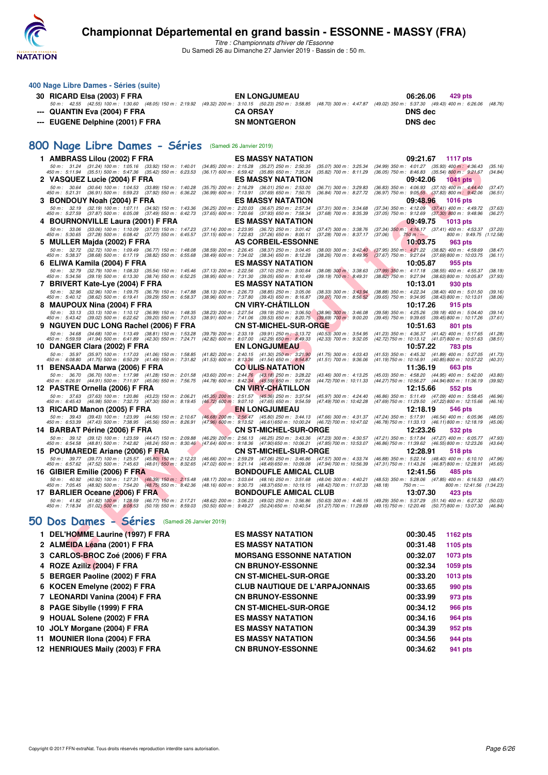

*Titre : Championnats d'hiver de l'Essonne* Du Samedi 26 au Dimanche 27 Janvier 2019 - Bassin de : 50 m.

| 400 Nage Libre Dames - Séries (suite)                                                                                                                                                                                                                                                                                                                               |                                                        |                                                                                                                                                      |                                                          |                                                                                                                         |                                     |
|---------------------------------------------------------------------------------------------------------------------------------------------------------------------------------------------------------------------------------------------------------------------------------------------------------------------------------------------------------------------|--------------------------------------------------------|------------------------------------------------------------------------------------------------------------------------------------------------------|----------------------------------------------------------|-------------------------------------------------------------------------------------------------------------------------|-------------------------------------|
| 30 RICARD Elsa (2003) F FRA                                                                                                                                                                                                                                                                                                                                         |                                                        | <b>EN LONGJUMEAU</b>                                                                                                                                 |                                                          | 06:26.06<br>429 pts                                                                                                     |                                     |
| 50 m : 42.55 (42.55) 100 m : 1:30.60 (48.05) 150 m : 2:19.92 (49.32) 200 m : 3:10.15 (50.23) 250 m : 3:58.85 (48.70) 300 m : 4:47.87 (49.02) 350 m : 5:37.30 (49.43) 400 m : 6:26.06 (48.76)<br>QUANTIN Eva (2004) F FRA                                                                                                                                            |                                                        | <b>CA ORSAY</b>                                                                                                                                      |                                                          | <b>DNS</b> dec                                                                                                          |                                     |
| --- EUGENE Delphine (2001) F FRA                                                                                                                                                                                                                                                                                                                                    |                                                        | <b>SN MONTGERON</b>                                                                                                                                  |                                                          | <b>DNS dec</b>                                                                                                          |                                     |
|                                                                                                                                                                                                                                                                                                                                                                     |                                                        |                                                                                                                                                      |                                                          |                                                                                                                         |                                     |
| 800 Nage Libre Dames - Séries (Samedi 26 Janvier 2019)                                                                                                                                                                                                                                                                                                              |                                                        |                                                                                                                                                      |                                                          |                                                                                                                         |                                     |
| 1 AMBRASS Lilou (2002) F FRA                                                                                                                                                                                                                                                                                                                                        |                                                        | <b>ES MASSY NATATION</b>                                                                                                                             |                                                          | 09:21.67<br>1117 pts                                                                                                    |                                     |
| 50 m: 31.24 (31.24) 100 m: 1:05.16 (33.92) 150 m: 1:40.01<br>450 m : 5:11.94 (35.51) 500 m : 5:47.36 (35.42) 550 m : 6:23.53                                                                                                                                                                                                                                        |                                                        | (34.85) 200 m: 2:15.28 (35.27) 250 m: 2:50.35<br>(36.17) 600 m : 6:59.42 (35.89) 650 m : 7:35.24                                                     | $(35.07)$ 300 m : 3:25.34<br>$(35.82)$ 700 m : 8:11.29   | (34.99) 350 m : 4:01.27 (35.93) 400 m : 4:36.43<br>(36.05) 750 m : 8:46.83 (35.54) 800 m : 9:21.67                      | (35.16)<br>(34.84)                  |
| 2 VASQUEZ Lucie (2004) F FRA                                                                                                                                                                                                                                                                                                                                        |                                                        | <b>ES MASSY NATATION</b>                                                                                                                             |                                                          | 09:42.06<br><b>1041 pts</b>                                                                                             |                                     |
| 50 m: 30.64 (30.64) 100 m: 1:04.53 (33.89) 150 m: 1:40.28<br>450 m : 5:21.31 (36.91) 500 m : 5:59.23 (37.92) 550 m : 6:36.22                                                                                                                                                                                                                                        |                                                        | (35.75) 200 m: 2:16.29 (36.01) 250 m: 2:53.00<br>(36.99) 600 m : 7:13.91 (37.69) 650 m : 7:50.75                                                     | $(36.71)$ 300 m : 3:29.83<br>(36.84) 700 m : 8:27.72     | (36.83) 350 m : 4:06.93 (37.10) 400 m : 4:44.40<br>(36.97) 750 m : 9:05.55 (37.83) 800 m : 9:42.06                      | (37.47)<br>(36.51)                  |
| 3 BONDOUY Noah (2004) F FRA                                                                                                                                                                                                                                                                                                                                         |                                                        | <b>ES MASSY NATATION</b>                                                                                                                             |                                                          | 09:48.96<br><b>1016 pts</b>                                                                                             |                                     |
| 50 m: 32.19 (32.19) 100 m: 1:07.11 (34.92) 150 m: 1:43.36<br>450 m : 5:27.59 (37.87) 500 m : 6:05.08 (37.49) 550 m : 6:42.73                                                                                                                                                                                                                                        |                                                        | (36.25) 200 m : 2:20.03 (36.67) 250 m : 2:57.34<br>(37.65) 600 m : 7:20.66 (37.93) 650 m : 7:58.34                                                   | $(37.31)$ 300 m : 3:34.68<br>$(37.68)$ 700 m : 8:35.39   | $(37.34)$ 350 m : 4:12.09<br>$(37.41)$ 400 m : 4:49.72<br>$(37.05)$ 750 m : $9.12.69$ $(37.30)$ 800 m : $9.48.96$       | (37.63)<br>(36.27)                  |
| 4 BOURNONVILLE Laura (2001) F FRA                                                                                                                                                                                                                                                                                                                                   |                                                        | <b>ES MASSY NATATION</b>                                                                                                                             |                                                          | 09:49.75<br>1013 pts                                                                                                    |                                     |
| 50 m: 33.06 (33.06) 100 m: 1:10.09 (37.03) 150 m: 1:47.23<br>450 m : 5:30.65 (37.28) 500 m : 6:08.42 (37.77) 550 m : 6:45.57                                                                                                                                                                                                                                        |                                                        | (37.14) 200 m : 2:23.95 (36.72) 250 m : 3:01.42<br>(37.15) 600 m : 7:22.83 (37.26) 650 m : 8:00.11                                                   | $(37.47)$ 300 m : 3:38.76<br>(37.28) 700 m : 8:37.17     | $(37.34)$ 350 m : 4:16.17 $(37.41)$ 400 m : 4:53.37<br>(37.06)<br>750 m : ---                                           | (37.20)<br>800 m: 9:49.75 (1:12.58) |
| 5 MULLER Majda (2002) F FRA                                                                                                                                                                                                                                                                                                                                         |                                                        | <b>AS CORBEIL-ESSONNE</b>                                                                                                                            |                                                          | 10:03.75<br>963 pts                                                                                                     |                                     |
| 50 m: 32.72 (32.72) 100 m: 1:09.49 (36.77) 150 m: 1:48.08<br>450 m : 5:38.37 (38.68) 500 m : 6:17.19<br>$(38.82)$ 550 m : 6:55.68                                                                                                                                                                                                                                   | $(38.49)$ 600 m : 7:34.02                              | (38.59) 200 m : 2:26.45 (38.37) 250 m : 3:04.45<br>$(38.34)$ 650 m : 8:12.28                                                                         | $(38.00)$ 300 m : 3:42.40<br>$(38.26)$ 700 m : $8:49.95$ | $(38.82)$ 400 m : 4:59.69<br>$(37.95)$ 350 m : 4:21.22<br>$(37.67)$ 750 m : 9:27.64<br>(37.69)800 m : 10:03.75          | (38.47)<br>(36.11)                  |
| 6 ELIWA Kamila (2004) F FRA<br>50 m: 32.79 (32.79) 100 m: 1:08.33 (35.54) 150 m: 1:45.46                                                                                                                                                                                                                                                                            |                                                        | <b>ES MASSY NATATION</b>                                                                                                                             |                                                          | 10:05.87<br>955 pts                                                                                                     |                                     |
| 450 m : 5:34.56 (39.19) 500 m : 6:13.30 (38.74) 550 m : 6:52.25                                                                                                                                                                                                                                                                                                     |                                                        | (37.13) 200 m : 2:22.56 (37.10) 250 m : 3:00.64<br>(38.95) 600 m: 7:31.30 (39.05) 650 m: 8:10.49                                                     | $(38.08)$ 300 m : 3:38.63<br>$(39.19)$ 700 m : 8:49.31   | (37.99) 350 m : 4:17.18 (38.55) 400 m : 4:55.37<br>$(38.82)$ 750 m : 9:27.94<br>(38.63) 800 m : 10:05.87                | (38.19)<br>(37.93)                  |
| 7 BRIVERT Kate-Lye (2004) F FRA<br>50 m: 32.96 (32.96) 100 m: 1:09.75 (36.79) 150 m: 1:47.88                                                                                                                                                                                                                                                                        |                                                        | <b>ES MASSY NATATION</b><br>(38.13) 200 m : 2:26.73 (38.85) 250 m : 3:05.06                                                                          | $(38.33)$ 300 m : 3:43.94                                | 10:13.01<br>930 pts<br>$(38.88)$ 350 m : 4:22.34<br>$(38.40)$ 400 m : 5:01.50                                           | (39.16)                             |
| 450 m : 5:40.12 (38.62) 500 m : 6:19.41 (39.29) 550 m : 6:58.37                                                                                                                                                                                                                                                                                                     |                                                        | (38.96) 600 m: 7:37.80 (39.43) 650 m: 8:16.87                                                                                                        | $(39.07)$ 700 m : 8:56.52                                | (39.65) 750 m : 9:34.95 (38.43) 800 m : 10:13.01                                                                        | (38.06)                             |
| 8 MAUPOUX Nina (2004) F FRA<br>50 m: 33.13 (33.13) 100 m: 1:10.12 (36.99) 150 m: 1:48.35                                                                                                                                                                                                                                                                            |                                                        | <b>CN VIRY-CHATILLON</b><br>(38.23) 200 m : 2:27.54 (39.19) 250 m : 3:06.50 (38.96) 300 m : 3:46.08                                                  |                                                          | 10:17.26<br>915 pts<br>(39.58) 350 m : 4:25.26 (39.18) 400 m : 5:04.40                                                  | (39.14)                             |
| 450 m: 5:43.42 (39.02) 500 m: 6:22.62 (39.20) 550 m: 7:01.53                                                                                                                                                                                                                                                                                                        |                                                        | (38.91) 600 m: 7:41.06 (39.53) 650 m: 8:20.75                                                                                                        | $(39.69)$ 700 m : 9:00.20                                | (39.45) 750 m : 9:39.65 (39.45) 800 m : 10:17.26                                                                        | (37.61)                             |
| 9 NGUYEN DUC LONG Rachel (2006) F FRA<br>50 m: 34.68 (34.68) 100 m: 1:13.49 (38.81) 150 m: 1:53.28                                                                                                                                                                                                                                                                  |                                                        | <b>CN ST-MICHEL-SUR-ORGE</b><br>(39.79) 200 m : 2:33.19 (39.91) 250 m : 3:13.72                                                                      | $(40.53)$ 300 m : 3:54.95                                | 10:51.63<br>801 pts<br>(41.23) 350 m: 4:36.37 (41.42) 400 m: 5:17.65                                                    | (41.28)                             |
| 450 m : 5:59.59 (41.94) 500 m : 6:41.89 (42.30) 550 m : 7:24.71                                                                                                                                                                                                                                                                                                     |                                                        | (42.82) 600 m : 8:07.00 (42.29) 650 m : 8:49.33                                                                                                      | $(42.33)$ 700 m : 9:32.05                                | (42.72) 750 m: 10:13.12 (41.07) 800 m: 10:51.63                                                                         | (38.51)                             |
| 10 DANGER Clara (2002) F FRA<br>50 m: 35.97 (35.97) 100 m: 1:17.03 (41.06) 150 m: 1:58.85                                                                                                                                                                                                                                                                           |                                                        | <b>EN LONGJUMEAU</b><br>(41.82) 200 m : 2:40.15 (41.30) 250 m : 3:21.90                                                                              | $(41.75)$ 300 m : 4:03.43                                | 10:57.22<br>783 pts<br>(41.53) 350 m: 4:45.32 (41.89) 400 m: 5:27.05                                                    | (41.73)                             |
| 450 m : 6:08.80 (41.75) 500 m : 6:50.29 (41.49) 550 m : 7:31.82<br>11 BENSAADA Marwa (2006) F FRA                                                                                                                                                                                                                                                                   |                                                        | (41.53) 600 m: 8:13.36 (41.54) 650 m: 8:54.87<br><b>CO ULIS NATATION</b>                                                                             | $(41.51)$ 700 m : 9:36.06                                | (41.19) 750 m : 10:16.91 (40.85) 800 m : 10:57.22<br>11:36.19<br>663 pts                                                | (40.31)                             |
| 50 m: 36.70 (36.70) 100 m: 1:17.98 (41.28) 150 m: 2:01.58                                                                                                                                                                                                                                                                                                           |                                                        | $(43.60)$ 200 m : 2:44.76 $(43.18)$ 250 m : 3:28.22<br>$(44.78)$ 600 m : 8:42.34 $(45.59)$ 650 m : 9:27.06                                           | $(43.46)$ 300 m : 4:13.25                                | (45.03) 350 m : 4:58.20 (44.95) 400 m : 5:42.00                                                                         | (43.80)                             |
| 450 m: 6:26.91 (44.91) 500 m: 7:11.97 (45.06) 550 m: 7:56.75<br>12 PASTRE Ornella (2006) F FRA                                                                                                                                                                                                                                                                      |                                                        | <b>CN VIRY-CHATILLON</b>                                                                                                                             | (44.72) 700 m : 10:11.33                                 | (44.27) 750 m : 10:56.27 (44.94) 800 m : 11:36.19<br>12:15.66<br>552 pts                                                | (39.92)                             |
| 50 m: 37.63 (37.63) 100 m: 1:20.86 (43.23) 150 m: 2:06.21                                                                                                                                                                                                                                                                                                           |                                                        | (45.35) 200 m: 2:51.57 (45.36) 250 m: 3:37.54                                                                                                        | $(45.97)$ 300 m : 4:24.40                                | (46.86) 350 m : 5:11.49 (47.09) 400 m : 5:58.45                                                                         | (46.96)                             |
| 450 m : 6:45.43 (46.98) 500 m : 7:32.73 (47.30) 550 m : 8:19.45<br>13 RICARD Manon (2005) F FRA                                                                                                                                                                                                                                                                     |                                                        | (46.72) 600 m : 9:07.10 (47.65) 650 m : 9:54.59<br><b>EN LONGJUMEAU</b>                                                                              | (47.49) 700 m : 10:42.28                                 | (47.69) 750 m : 11:29.50 (47.22) 800 m : 12:15.66<br>12:18.19<br>546 pts                                                | (46.16)                             |
| 50 m: 39.43 (39.43) 100 m: 1:23.99 (44.56) 150 m: 2:10.67<br>450 m : 6:53.39 (47.43) 500 m : 7:38.95 (45.56) 550 m : 8:26.91                                                                                                                                                                                                                                        |                                                        | (46.68) 200 m: 2:56.47 (45.80) 250 m: 3:44.13 (47.66) 300 m: 4:31.37<br>(47.96) 600 m : 9:13.52 (46.61) 650 m : 10:00.24 (46.72) 700 m : 10:47.02    |                                                          | $(47.24)$ 350 m : 5:17.91<br>$(46.54)$ 400 m : 6:05.96<br>$(46.11)800 \text{ m}$ : 12:18.19<br>(46.78) 750 m : 11:33.13 | (48.05)<br>(45.06)                  |
| 14 BARBAT Périne (2006) F FRA                                                                                                                                                                                                                                                                                                                                       |                                                        | <b>CN ST-MICHEL-SUR-ORGE</b>                                                                                                                         |                                                          | 12:23.26<br>532 pts                                                                                                     |                                     |
| 50 m: 39.12 (39.12) 100 m: 1:23.59 (44.47) 150 m: 2:09.88<br>450 m : 6:54.58 (48.81) 500 m : 7:42.82 (48.24) 550 m : 8:30.46                                                                                                                                                                                                                                        | $(46.29)$ 200 m : 2:56.13<br>$(47.64)$ 600 m : 9:18.36 | (46.25) 250 m : 3:43.36 (47.23) 300 m : 4:30.57<br>(47.90) 650 m : 10:06.21                                                                          | (47.85) 700 m : 10:53.07                                 | $(47.21)$ 350 m : 5:17.84<br>(47.27) 400 m : 6:05.77<br>(46.86) 750 m : 11:39.62<br>(46.55) 800 m : 12:23.26            | (47.93)<br>(43.64)                  |
| 15 POUMAREDE Ariane (2006) F FRA                                                                                                                                                                                                                                                                                                                                    |                                                        | <b>CN ST-MICHEL-SUR-ORGE</b>                                                                                                                         |                                                          | 12:28.91<br>518 pts                                                                                                     |                                     |
| 50 m: 39.77 (39.77) 100 m: 1:25.57 (45.80) 150 m: 2:12.23<br>450 m : 6:57.62 (47.52) 500 m : 7:45.63 (48.01) 550 m : 8:32.65                                                                                                                                                                                                                                        | $(46.66)$ 200 m : 2:59.29<br>(47.02) 600 m : 9:21.14   | (47.06) 250 m : 3:46.86<br>(48.49) 650 m : 10:09.08                                                                                                  | (47.57) 300 m : 4:33.74<br>(47.94) 700 m : 10:56.39      | (46.88) 350 m : 5:22.14 (48.40) 400 m : 6:10.10<br>(47.31) 750 m : 11:43.26<br>(46.87) 800 m : 12:28.91                 | (47.96)<br>(45.65)                  |
| 16 GIBIER Emilie (2006) F FRA                                                                                                                                                                                                                                                                                                                                       |                                                        | <b>BONDOUFLE AMICAL CLUB</b>                                                                                                                         |                                                          | 12:41.56<br>485 pts                                                                                                     |                                     |
| 50 m : 40.92 (40.92) 100 m : 1:27.31 (46.39) 150 m : 2:15.48<br>450 m : 7:05.45 (48.92) 500 m : 7:54.20 (48.75) 550 m : 8:42.36                                                                                                                                                                                                                                     |                                                        | (48.17) 200 m : 3:03.64 (48.16) 250 m : 3:51.68 (48.04) 300 m : 4:40.21<br>(48.16) 600 m : 9:30.73 (48.37) 650 m : 10:19.15 (48.42) 700 m : 11:07.33 |                                                          | (48.53) 350 m: 5:28.06 (47.85) 400 m: 6:16.53 (48.47)<br>(48.18)<br>750 m : ---                                         | 800 m: 12:41.56 (1:34.23)           |
| 17 BARLIER Oceane (2006) F FRA                                                                                                                                                                                                                                                                                                                                      |                                                        | <b>BONDOUFLE AMICAL CLUB</b>                                                                                                                         |                                                          | 13:07.30<br>423 pts                                                                                                     |                                     |
| 50 m: 41.82 (41.82) 100 m: 1:28.59 (46.77) 150 m: 2:17.21 (48.62) 200 m: 3:06.23 (49.02) 250 m: 3:56.86 (50.63) 300 m: 4:46.15 (49.29) 350 m: 5:37.29 (51.14) 400 m: 6:27.32<br>450 m: 7:18.34 (51.02) 500 m: 8:08.53 (50.19) 550 m: 8:59.03 (50.50) 600 m: 9:49.27 (50.24) 650 m: 10:40.54 (51.27) 700 m: 11:29.69 (49.15) 750 m: 12:20.46 (50.77) 800 m: 13:07.30 |                                                        |                                                                                                                                                      |                                                          |                                                                                                                         | (50.03)<br>(46.84)                  |
| 50 Dos Dames - Séries (Samedi 26 Janvier 2019)                                                                                                                                                                                                                                                                                                                      |                                                        |                                                                                                                                                      |                                                          |                                                                                                                         |                                     |
| 1 DEL'HOMME Laurine (1997) F FRA                                                                                                                                                                                                                                                                                                                                    |                                                        | <b>ES MASSY NATATION</b>                                                                                                                             |                                                          | 00:30.45<br><b>1162 pts</b>                                                                                             |                                     |
| 2 ALMEIDA Léana (2001) F FRA                                                                                                                                                                                                                                                                                                                                        |                                                        | <b>ES MASSY NATATION</b>                                                                                                                             |                                                          | 00:31.48<br>1105 pts                                                                                                    |                                     |
| 3 CARLOS-BROC Zoé (2006) F FRA                                                                                                                                                                                                                                                                                                                                      |                                                        | <b>MORSANG ESSONNE NATATION</b>                                                                                                                      |                                                          | 00:32.07<br><b>1073 pts</b>                                                                                             |                                     |
| 4 ROZE Aziliz (2004) F FRA                                                                                                                                                                                                                                                                                                                                          |                                                        | <b>CN BRUNOY-ESSONNE</b>                                                                                                                             |                                                          | 00:32.34<br>1059 pts                                                                                                    |                                     |

# **[50 Dos Dames - Séries](http://www.ffnatation.fr/webffn/resultats.php?idact=nat&go=epr&idcpt=58437&idepr=11)** (Samedi 26 Janvier 2019)

| 2 ALMEIDA Léana (2001) F FRA<br><b>ES MASSY NATATION</b><br>00:31.48<br>1105 pts<br>3 CARLOS-BROC Zoé (2006) F FRA<br><b>MORSANG ESSONNE NATATION</b><br>00:32.07<br>1073 pts<br>4 ROZE Aziliz (2004) F FRA<br><b>CN BRUNOY-ESSONNE</b><br>00:32.34<br>1059 pts<br>5 BERGER Paoline (2002) F FRA<br><b>CN ST-MICHEL-SUR-ORGE</b><br>00:33.20<br>1013 pts<br>6 KOCEN Emelyne (2002) F FRA<br><b>CLUB NAUTIQUE DE L'ARPAJONNAIS</b><br>00:33.65<br>990 pts | 1162 pts |
|----------------------------------------------------------------------------------------------------------------------------------------------------------------------------------------------------------------------------------------------------------------------------------------------------------------------------------------------------------------------------------------------------------------------------------------------------------|----------|
|                                                                                                                                                                                                                                                                                                                                                                                                                                                          |          |
|                                                                                                                                                                                                                                                                                                                                                                                                                                                          |          |
|                                                                                                                                                                                                                                                                                                                                                                                                                                                          |          |
|                                                                                                                                                                                                                                                                                                                                                                                                                                                          |          |
|                                                                                                                                                                                                                                                                                                                                                                                                                                                          |          |
| 7 LEONARDI Vanina (2004) F FRA<br><b>CN BRUNOY-ESSONNE</b><br>00:33.99<br>973 pts                                                                                                                                                                                                                                                                                                                                                                        |          |
| 8 PAGE Sibylle (1999) F FRA<br><b>CN ST-MICHEL-SUR-ORGE</b><br>00:34.12<br><b>966 pts</b>                                                                                                                                                                                                                                                                                                                                                                |          |
| 9 HOUAL Solene (2002) F FRA<br><b>ES MASSY NATATION</b><br>00:34.16<br>964 pts                                                                                                                                                                                                                                                                                                                                                                           |          |
| 10 JOLY Morgane (2004) F FRA<br><b>ES MASSY NATATION</b><br>00:34.39<br>952 pts                                                                                                                                                                                                                                                                                                                                                                          |          |
| 11 MOUNIER IIona (2004) F FRA<br><b>ES MASSY NATATION</b><br>00:34.56<br>944 pts                                                                                                                                                                                                                                                                                                                                                                         |          |
| 12 HENRIQUES Maily (2003) F FRA<br><b>CN BRUNOY-ESSONNE</b><br>00:34.62<br>941 pts                                                                                                                                                                                                                                                                                                                                                                       |          |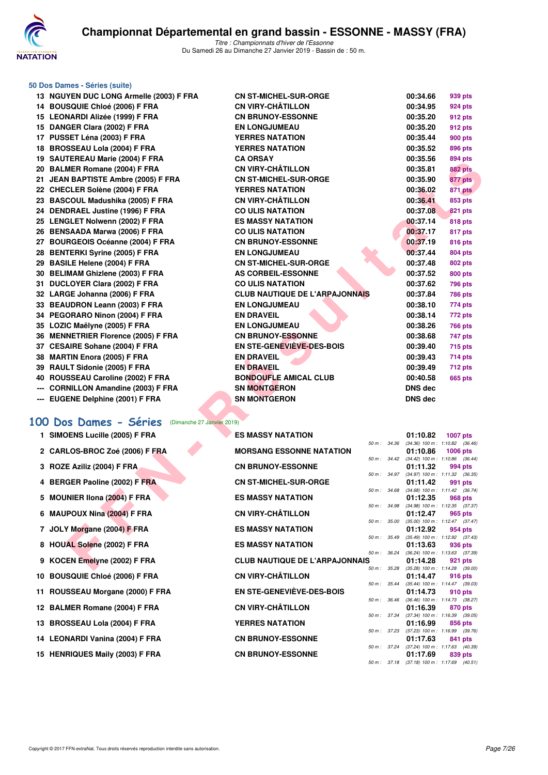

#### **50 Dos Dames - Séries (suite)** 13 NGUYEN DUC LONG Armelle (2003) F FRA 14 BOUSQUIE Chloé (2006) F FRA 15 LEONARDI Alizée (1999) F FRA **15 DANGER Clara (2002) F FRA 17 PUSSET Léna (2003) F FRA YERRES NATATION 00:35.44 900 pts** 18 BROSSEAU Lola (2004) F FRA **19 SAUTEREAU Marie (2004) F FRA** 20 BALMER Romane (2004) F FRA 21 JEAN BAPTISTE Ambre (2005) F FRA 22 CHECLER Solène (2004) F FRA 23 BASCOUL Madushika (2005) F FRA 24 DENDRAEL Justine (1996) F FRA 25 LENGLET Nolwenn (2002) F FRA 26 BENSAADA Marwa (2006) F FRA 27 BOURGEOIS Océanne (2004) F FRA 28 BENTERKI Syrine (2005) F FRA 29 BASILE Helene (2004) F FRA **30 BELIMAM Ghizlene (2003) F FRA** 31 DUCLOYER Clara (2002) F FRA 32 LARGE Johanna (2006) F FRA **33 BEAUDRON Leann (2003) F FRA 34 PEGORARO Ninon (2004) F FRA** 35 LOZIC Maëlyne (2005) F FRA **36 MENNETRIER Florence (2005) F FRA** 37 CESAIRE Sohane (2004) F FRA **38 MARTIN Enora (2005) F FRA 39 RAULT Sidonie (2005) F FRA 40 ROUSSEAU Caroline (2002) F FRA** --- CORNILLON Amandine (2003) F FRA **--- EUGENE Delphine (2001) F FRA [100 Dos Dames - Séries](http://www.ffnatation.fr/webffn/resultats.php?idact=nat&go=epr&idcpt=58437&idepr=12)** (Dimanche 27 Janvier 2019) **1 SIMOENS Lucille (2005) F FRA ES MASSY NATATION 01:10.82 1007 pts** 2 CARLOS-BROC Zoé (2006) **F FRA 3 ROZE Aziliz (2004) F FRA 4 BERGER Paoline (2002) F FRA**

- **5 MOUNIER IIona (2004) F FRA**
- **6 MAUPOUX Nina (2004) F FRA**
- **7 JOLY Morgane (2004) F FRA**
- **8 HOUAL Solene (2002) F FRA**
- **9 KOCEN Emelyne (2002) F FRA**
- 10 BOUSQUIE Chloé (2006) F FRA
- 11 ROUSSEAU Morgane (2000) F FRA
- 12 BALMER Romane (2004) F FRA
- 13 BROSSEAU Lola (2004) F FRA
- 14 LEONARDI Vanina (2004) F FRA
- 15 HENRIQUES Maily (2003) F FRA

| YEN DUC LONG Armelle (2003) F FRA               | <b>CN ST-MICHEL-SUR-ORGE</b>                    | 00:34.66       | 939 pts                                                |
|-------------------------------------------------|-------------------------------------------------|----------------|--------------------------------------------------------|
| SQUIE Chloé (2006) F FRA                        | <b>CN VIRY-CHÂTILLON</b>                        | 00:34.95       | 924 pts                                                |
| <b>NARDI Alizée (1999) F FRA</b>                | <b>CN BRUNOY-ESSONNE</b>                        | 00:35.20       | 912 pts                                                |
| GER Clara (2002) F FRA                          | <b>EN LONGJUMEAU</b>                            | 00:35.20       | 912 pts                                                |
| SET Léna (2003) F FRA                           | <b>YERRES NATATION</b>                          | 00:35.44       | <b>900 pts</b>                                         |
| SSEAU Lola (2004) F FRA                         | <b>YERRES NATATION</b>                          | 00:35.52       | 896 pts                                                |
| TEREAU Marie (2004) F FRA                       | <b>CA ORSAY</b>                                 | 00:35.56       | 894 pts                                                |
| MER Romane (2004) F FRA                         | <b>CN VIRY-CHÂTILLON</b>                        | 00:35.81       | <b>882 pts</b>                                         |
| <b>N BAPTISTE Ambre (2005) F FRA</b>            | <b>CN ST-MICHEL-SUR-ORGE</b>                    | 00:35.90       | 877 pts                                                |
| CLER Solène (2004) F FRA                        | <b>YERRES NATATION</b>                          | 00:36.02       | 871 pts                                                |
| COUL Madushika (2005) F FRA                     | <b>CN VIRY-CHÂTILLON</b>                        | 00:36.41       | 853 pts                                                |
| <b>DRAEL Justine (1996) F FRA</b>               | <b>CO ULIS NATATION</b>                         | 00:37.08       | 821 pts                                                |
| <b>GLET Nolwenn (2002) F FRA</b>                | <b>ES MASSY NATATION</b>                        | 00:37.14       | <b>818 pts</b>                                         |
| SAADA Marwa (2006) F FRA                        | <b>CO ULIS NATATION</b>                         | 00:37.17       | 817 pts                                                |
| RGEOIS Océanne (2004) F FRA                     | <b>CN BRUNOY-ESSONNE</b>                        | 00:37.19       | 816 pts                                                |
| <b>TERKI Syrine (2005) F FRA</b>                | <b>EN LONGJUMEAU</b>                            | 00:37.44       | 804 pts                                                |
| ILE Helene (2004) F FRA                         | <b>CN ST-MICHEL-SUR-ORGE</b>                    | 00:37.48       | 802 pts                                                |
| MAM Ghizlene (2003) F FRA                       | AS CORBEIL-ESSONNE                              | 00:37.52       | 800 pts                                                |
| LOYER Clara (2002) F FRA                        | <b>CO ULIS NATATION</b>                         | 00:37.62       | 796 pts                                                |
| GE Johanna (2006) F FRA                         | <b>CLUB NAUTIQUE DE L'ARPAJONNAIS</b>           | 00:37.84       | <b>786 pts</b>                                         |
| UDRON Leann (2003) F FRA                        | <b>EN LONGJUMEAU</b>                            | 00:38.10       | 774 pts                                                |
| ORARO Ninon (2004) F FRA                        | <b>EN DRAVEIL</b>                               | 00:38.14       | 772 pts                                                |
| IC Maëlyne (2005) F FRA                         | <b>EN LONGJUMEAU</b>                            | 00:38.26       | <b>766 pts</b>                                         |
| <b>NETRIER Florence (2005) F FRA</b>            | <b>CN BRUNOY-ESSONNE</b>                        | 00:38.68       | 747 pts                                                |
| AIRE Sohane (2004) F FRA                        | <b>EN STE-GENEVIÈVE-DES-BOIS</b>                | 00:39.40       | 715 pts                                                |
| TIN Enora (2005) F FRA                          | <b>EN DRAVEIL</b>                               | 00:39.43       | 714 pts                                                |
| LT Sidonie (2005) F FRA                         | <b>EN DRAVEIL</b>                               | 00:39.49       | 712 pts                                                |
| SSEAU Caroline (2002) F FRA                     | <b>BONDOUFLE AMICAL CLUB</b>                    | 00:40.58       | <b>665 pts</b>                                         |
| NILLON Amandine (2003) F FRA                    | <b>SN MONTGERON</b>                             | <b>DNS dec</b> |                                                        |
| ENE Delphine (2001) F FRA                       | <b>SN MONTGERON</b>                             | <b>DNS dec</b> |                                                        |
| os Dames - Séries<br>(Dimanche 27 Janvier 2019) |                                                 |                |                                                        |
| <b>DENS Lucille (2005) F FRA</b>                | <b>ES MASSY NATATION</b>                        | 01:10.82       | <b>1007 pts</b>                                        |
| <b>LOS-BROC Zoé (2006) F FRA</b>                | 50 m : 34.36<br><b>MORSANG ESSONNE NATATION</b> | 01:10.86       | $(34.36)$ 100 m : 1:10.82 $(36.46)$<br><b>1006 pts</b> |
| E Aziliz (2004) F FRA                           | <b>CN BRUNOY-ESSONNE</b>                        | 01:11.32       | 50 m: 34.42 (34.42) 100 m: 1:10.86 (36.44)<br>994 pts  |
|                                                 |                                                 |                | 50 m: 34.97 (34.97) 100 m: 1:11.32 (36.35)             |
| GER Paoline (2002) F FRA                        | <b>CN ST-MICHEL-SUR-ORGE</b>                    | 01:11.42       | 991 pts                                                |
| <b>NIER Ilona (2004) F FRA</b>                  | <b>ES MASSY NATATION</b>                        | 01:12.35       | 50 m: 34.68 (34.68) 100 m: 1:11.42 (36.74)<br>968 pts  |
|                                                 |                                                 |                | 50 m: 34.98 (34.98) 100 m: 1:12.35 (37.37)             |
| POUX Nina (2004) F FRA                          | <b>CN VIRY-CHÂTILLON</b>                        | 01:12.47       | 965 pts<br>50 m: 35.00 (35.00) 100 m: 1:12.47 (37.47)  |
| Y Morgane (2004) F FRA                          | <b>ES MASSY NATATION</b>                        | 01:12.92       | 954 pts<br>50 m: 35.49 (35.49) 100 m: 1:12.92 (37.43)  |
| AL Solene (2002) F FRA                          | <b>ES MASSY NATATION</b>                        | 01:13.63       | 936 pts                                                |
|                                                 |                                                 |                | 50 m: 36.24 (36.24) 100 m: 1:13.63 (37.39)             |
| EN Emelyne (2002) F FRA                         | <b>CLUB NAUTIQUE DE L'ARPAJONNAIS</b>           | 01:14.28       | 921 pts<br>50 m: 35.28 (35.28) 100 m: 1:14.28 (39.00)  |

| ייטו אוסוראיו וטטאויי                 |          |                        | 01.10.04 1007 PG                           |         |
|---------------------------------------|----------|------------------------|--------------------------------------------|---------|
|                                       |          | 50 m : 34.36           | (34.36) 100 m: 1:10.82 (36.46)             |         |
| <b>MORSANG ESSONNE NATATION</b>       |          |                        | 01:10.86 1006 pts                          |         |
|                                       | 50 m :   | 34.42                  | (34.42) 100 m: 1:10.86 (36.44)             |         |
| <b>CN BRUNOY-ESSONNE</b>              |          |                        | 01:11.32 994 pts                           |         |
|                                       | $50 m$ : | 34.97                  | (34.97) 100 m : 1:11.32 (36.35)            |         |
| <b>CN ST-MICHEL-SUR-ORGE</b>          |          |                        | 01:11.42 991 pts                           |         |
|                                       | $50 m$ : | 34.68                  | (34.68) 100 m: 1:11.42 (36.74)             |         |
| <b>ES MASSY NATATION</b>              |          |                        | 01:12.35<br>(34.98) 100 m: 1:12.35 (37.37) | 968 pts |
| <b>CN VIRY-CHÂTILLON</b>              | $50 m$ : | 34.98                  | $01:12.47$ 965 pts                         |         |
|                                       | $50 m$ : | 35.00                  | (35.00) 100 m: 1:12.47 (37.47)             |         |
| <b>ES MASSY NATATION</b>              |          |                        | 01:12.92                                   | 954 pts |
|                                       | $50 m$ : | 35.49                  | (35.49) 100 m: 1:12.92 (37.43)             |         |
| <b>ES MASSY NATATION</b>              |          |                        | $01:13.63$ 936 pts                         |         |
|                                       | $50 m$ : | 36.24                  | (36.24) 100 m: 1:13.63 (37.39)             |         |
| <b>CLUB NAUTIQUE DE L'ARPAJONNAIS</b> |          |                        | $01:14.28$ 921 pts                         |         |
|                                       | $50 m$ : | 35.28                  | (35.28) 100 m: 1:14.28 (39.00              |         |
| <b>CN VIRY-CHÂTILLON</b>              |          |                        | 01:14.47 916 pts                           |         |
|                                       | $50 m$ : | 35.44                  | (35.44) 100 m: 1:14.47 (39.03)             |         |
| EN STE-GENEVIÈVE-DES-BOIS             |          |                        | 01:14.73 910 pts                           |         |
|                                       | $50 m$ : | 36.46                  | (36.46) 100 m : 1:14.73 (38.27)            |         |
| <b>CN VIRY-CHÂTILLON</b>              |          |                        | 01:16.39 870 pts                           |         |
|                                       |          | 50 m: 37.34            | (37.34) 100 m: 1:16.39 (39.05)             |         |
| <b>YERRES NATATION</b>                |          |                        | 01:16.99 856 pts                           |         |
|                                       |          | 50 m : 37.23           | (37.23) 100 m : 1:16.99 (39.76)            |         |
| <b>CN BRUNOY-ESSONNE</b>              |          |                        | 01:17.63                                   | 841 pts |
|                                       |          | $50 \text{ m}$ : 37.24 | (37.24) 100 m: 1:17.63 (40.39)             |         |
| <b>CN BRUNOY-ESSONNE</b>              |          |                        | 01:17.69                                   | 839 pts |
|                                       | $50 m$ : | 37.18                  | $(37.18)$ 100 m : 1:17.69 $(40.51)$        |         |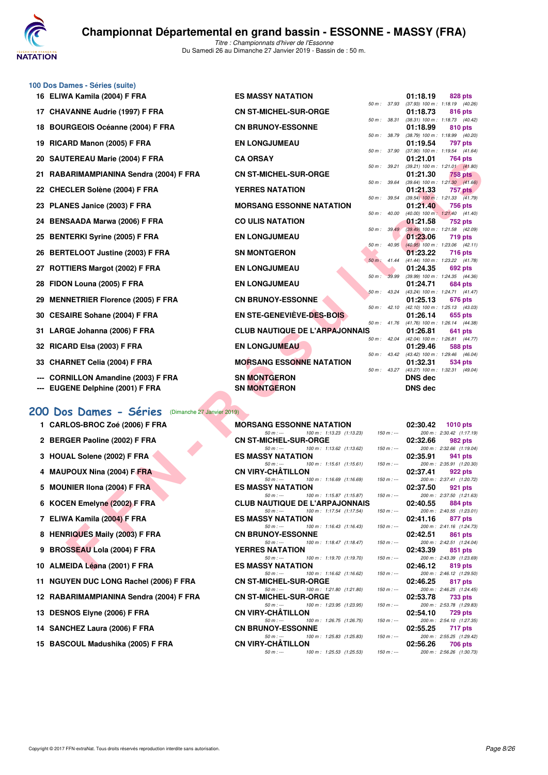

**100 Dos Dames - Séries (suite)**

| 16 ELIWA Kamila (2004) F FRA                        | <b>ES MASSY NATATION</b>                                                       |                  |            | 01:18.19       | 828 pts                                               |
|-----------------------------------------------------|--------------------------------------------------------------------------------|------------------|------------|----------------|-------------------------------------------------------|
| 17 CHAVANNE Audrie (1997) F FRA                     | <b>CN ST-MICHEL-SUR-ORGE</b>                                                   | 50 m : 37.93     |            | 01:18.73       | $(37.93)$ 100 m : 1:18.19 $(40.26)$<br>816 pts        |
| 18 BOURGEOIS Océanne (2004) F FRA                   | <b>CN BRUNOY-ESSONNE</b>                                                       | 50 m : 38.31     |            | 01:18.99       | $(38.31)$ 100 m : 1:18.73 $(40.42)$<br>810 pts        |
| 19 RICARD Manon (2005) F FRA                        | <b>EN LONGJUMEAU</b>                                                           | 50 m : 38.79     |            | 01:19.54       | (38.79) 100 m : 1:18.99 (40.20)<br>797 pts            |
|                                                     |                                                                                | 50 m : 37.90     |            |                | $(37.90)$ 100 m : 1:19.54 $(41.64)$                   |
| 20 SAUTEREAU Marie (2004) F FRA                     | <b>CA ORSAY</b>                                                                | 50 m : 39.21     |            | 01:21.01       | 764 pts<br>$(39.21)$ 100 m : 1:21.01 $(41.80)$        |
| 21   RABARIMAMPIANINA Sendra (2004) F FRA           | <b>CN ST-MICHEL-SUR-ORGE</b>                                                   |                  |            | 01:21.30       | 758 pts                                               |
| 22   CHECLER Solène (2004) F FRA                    | <b>YERRES NATATION</b>                                                         | 50 m : 39.64     |            | 01:21.33       | $(39.64)$ 100 m : 1:21.30 $(41.66)$<br><b>757 pts</b> |
| 23 PLANES Janice (2003) F FRA                       | <b>MORSANG ESSONNE NATATION</b>                                                | 50 m : 39.54     |            | 01:21.40       | $(39.54)$ 100 m : 1:21.33 $(41.79)$<br>756 pts        |
| 24 BENSAADA Marwa (2006) F FRA                      | <b>CO ULIS NATATION</b>                                                        | 50 m: 40.00      |            | 01:21.58       | $(40.00)$ 100 m : 1:21.40 $(41.40)$<br>752 pts        |
| 25 BENTERKI Syrine (2005) F FRA                     | <b>EN LONGJUMEAU</b>                                                           | 50 m : 39.49     |            | 01:23.06       | (39.49) 100 m: 1:21.58 (42.09)<br><b>719 pts</b>      |
|                                                     |                                                                                | $50 m$ : $40.95$ |            |                | $(40.95)$ 100 m : 1:23.06 $(42.11)$                   |
| 26 BERTELOOT Justine (2003) F FRA                   | <b>SN MONTGERON</b>                                                            | $50 m$ : 41.44   |            | 01:23.22       | 716 pts<br>$(41.44)$ 100 m : 1:23.22 $(41.78)$        |
| 27 ROTTIERS Margot (2002) F FRA                     | <b>EN LONGJUMEAU</b>                                                           |                  |            | 01:24.35       | 692 pts                                               |
| 28 FIDON Louna (2005) F FRA                         | <b>EN LONGJUMEAU</b>                                                           | $50 m$ :         | 39.99      | 01:24.71       | $(39.99)$ 100 m : 1:24.35 $(44.36)$<br>684 pts        |
|                                                     |                                                                                | 50 m : 43.24     |            |                | (43.24) 100 m: 1:24.71 (41.47)                        |
| 29 MENNETRIER Florence (2005) F FRA                 | <b>CN BRUNOY-ESSONNE</b>                                                       | $50 m$ : 42.10   |            | 01:25.13       | 676 pts<br>(42.10) 100 m: 1:25.13 (43.03)             |
| 30 CESAIRE Sohane (2004) F FRA                      | <b>EN STE-GENEVIEVE-DES-BOIS</b>                                               |                  |            | 01:26.14       | 655 pts                                               |
| 31 LARGE Johanna (2006) F FRA                       | <b>CLUB NAUTIQUE DE L'ARPAJONNAIS</b>                                          |                  |            | 01:26.81       | 50 m: 41.76 (41.76) 100 m: 1:26.14 (44.38)<br>641 pts |
|                                                     | <b>EN LONGJUMEAU</b>                                                           | $50 m$ : 42.04   |            |                | (42.04) 100 m: 1:26.81 (44.77)                        |
| 32 RICARD Elsa (2003) F FRA                         |                                                                                | 50 m : 43.42     |            | 01:29.46       | 588 pts<br>(43.42) 100 m: 1:29.46 (46.04)             |
| 33 CHARNET Celia (2004) F FRA                       | <b>MORSANG ESSONNE NATATION</b>                                                | 50 m : 43.27     |            | 01:32.31       | 534 pts<br>(43.27) 100 m: 1:32.31 (49.04)             |
| --- CORNILLON Amandine (2003) F FRA                 | <b>SN MONTGERON</b>                                                            |                  |            | <b>DNS dec</b> |                                                       |
| --- EUGENE Delphine (2001) F FRA                    | <b>SN MONTGERON</b>                                                            |                  |            | <b>DNS dec</b> |                                                       |
| 00 Dos Dames - Séries<br>(Dimanche 27 Janvier 2019) |                                                                                |                  |            |                |                                                       |
| 1 CARLOS-BROC Zoé (2006) F FRA                      | <b>MORSANG ESSONNE NATATION</b>                                                |                  |            | 02:30.42       | <b>1010 pts</b>                                       |
|                                                     | 100 m: 1:13.23 (1:13.23)<br>$50 m: -$                                          | $150 m : -$      |            |                | 200 m: 2:30.42 (1:17.19)                              |
| 2 BERGER Paoline (2002) F FRA                       | <b>CN ST-MICHEL-SUR-ORGE</b><br>100 m: 1:13.62 (1:13.62)<br>$50 m: -$          | $150 m : -$      |            | 02:32.66       | 982 pts<br>200 m: 2:32.66 (1:19.04)                   |
| 3 HOUAL Solene (2002) F FRA                         | <b>ES MASSY NATATION</b><br>100 m: 1:15.61 (1:15.61)<br>$50 m$ : ---           | $150 m: -$       |            | 02:35.91       | 941 pts<br>200 m: 2:35.91 (1:20.30)                   |
| 4 MAUPOUX Nina (2004) F FRA                         | <b>CN VIRY-CHATILLON</b>                                                       |                  |            | 02:37.41       | 922 pts                                               |
| 5 MOUNIER IIona (2004) F FRA                        | $50 m: -$<br>100 m: 1:16.69 (1:16.69)<br><b>ES MASSY NATATION</b>              | $150 m : -$      |            | 02:37.50       | 200 m: 2:37.41 (1:20.72)<br>921 pts                   |
|                                                     | $50 m: -$<br>100 m: 1:15.87 (1:15.87)                                          | $150 m: -$       |            |                | 200 m: 2:37.50 (1:21.63)                              |
| 6 KOCEN Emelyne (2002) F FRA                        | <b>CLUB NAUTIQUE DE L'ARPAJONNAIS</b><br>$50 m: -$<br>100 m: 1:17.54 (1:17.54) | $150 m : -$      |            | 02:40.55       | 884 pts<br>200 m: 2:40.55 (1:23.01)                   |
| 7 ELIWA Kamila (2004) F FRA                         | <b>ES MASSY NATATION</b>                                                       |                  |            | 02:41.16       | 877 pts                                               |
| 8 HENRIQUES Maily (2003) F FRA                      | $50 m: -$<br>100 m: 1:16.43 (1:16.43)<br><b>CN BRUNOY-ESSONNE</b>              | $150 m : -$      |            | 02:42.51       | 200 m: 2:41.16 (1:24.73)<br>861 pts                   |
|                                                     | 100 m: 1:18.47 (1:18.47)<br>$50 m: -$                                          |                  | $150 m: -$ |                | 200 m: 2:42.51 (1:24.04)                              |
| 9 BROSSEAU Lola (2004) F FRA                        | <b>YERRES NATATION</b><br>$50 m: -$<br>100 m: 1:19.70 (1:19.70)                | $150 m$ : ---    |            | 02:43.39       | 851 pts<br>200 m: 2:43.39 (1:23.69)                   |
| 10 ALMEIDA Léana (2001) F FRA                       | <b>ES MASSY NATATION</b>                                                       |                  |            | 02:46.12       | 819 pts                                               |

|  |  |  |  | 200 Dos Dames - Séries | (Dimanche 27 |
|--|--|--|--|------------------------|--------------|
|--|--|--|--|------------------------|--------------|

- 
- 
- 
- 
- 
- 
- 
- 
- **9 BROSSEAU Lola (2004) F FRA**
- 
- **11 NGUYEN DUC LONG Rachel (2006) F FRA**
- **12 RABARIMAMPIANINA Sendra (2004) F FRA**
- **13 DESNOS Elyne (2006) F FRA CONSERVANCE**
- **14 SANCHEZ Laura (2006) F FRA CONSERVERS**
- 

| 1 CARLOS-BROC Zoé (2006) F FRA          |                              | MORSANG ESSONNE NATATION 02:30.42 1010 pts                             |             |          |                                                                             |
|-----------------------------------------|------------------------------|------------------------------------------------------------------------|-------------|----------|-----------------------------------------------------------------------------|
|                                         |                              | 50 m: --- 100 m: 1:13.23 (1:13.23) 150 m: --- 200 m: 2:30.42 (1:17.19) |             |          |                                                                             |
| 2 BERGER Paoline (2002) F FRA           | <b>CN ST-MICHEL-SUR-ORGE</b> |                                                                        |             | 02:32.66 | 982 pts                                                                     |
|                                         |                              | 50 m : --- 100 m : 1:13.62 (1:13.62)                                   |             |          | 150 m :--- 200 m : 2:32.66 (1:19.04)                                        |
| 3 HOUAL Solene (2002) F FRA             | <b>ES MASSY NATATION</b>     |                                                                        |             | 02:35.91 | 941 pts                                                                     |
|                                         |                              | 50 m : --- 100 m : 1:15.61 (1:15.61)                                   | $150 m : -$ |          | 200 m: 2:35.91 (1:20.30)                                                    |
| 4 MAUPOUX Nina (2004) F FRA             | <b>CN VIRY-CHÂTILLON</b>     |                                                                        |             | 02:37.41 | 922 pts                                                                     |
|                                         | $50 m$ : ---                 | 100 m : 1:16.69 (1:16.69)                                              | $150 m: -$  |          | 200 m: 2:37.41 (1:20.72)                                                    |
| 5 MOUNIER IIona (2004) F FRA            | <b>ES MASSY NATATION</b>     |                                                                        |             | 02:37.50 | 921 pts                                                                     |
|                                         |                              | 50 m :--- 100 m : 1:15.87 (1:15.87)                                    |             |          | 150 m :--- 200 m : 2:37.50 (1:21.63)                                        |
| 6 KOCEN Emelyne (2002) F FRA            |                              | <b>CLUB NAUTIQUE DE L'ARPAJONNAIS</b>                                  |             |          | 02:40.55 884 pts<br>150 m : --- 200 m : 2:40.55 (1:23.01)                   |
| 7 ELIWA Kamila (2004) F FRA             | <b>ES MASSY NATATION</b>     | 50 m : --- 100 m : 1:17.54 (1:17.54)                                   |             |          | 02:41.16 877 pts                                                            |
|                                         | $50 m: -$                    | 100 m : 1:16.43 (1:16.43)                                              |             |          | 150 m :--- 200 m : 2:41.16 (1:24.73)                                        |
| 8 HENRIQUES Maily (2003) F FRA          | <b>CN BRUNOY-ESSONNE</b>     |                                                                        |             |          | 02:42.51 861 pts                                                            |
|                                         | $50 m: -$                    | 100 m : 1:18.47 (1:18.47)                                              | $150 m: -$  |          | 200 m: 2:42.51 (1:24.04)                                                    |
| 9 BROSSEAU Lola (2004) F FRA            | <b>YERRES NATATION</b>       |                                                                        |             |          | 02:43.39 851 pts                                                            |
|                                         | $50 m: -$                    | 100 m : 1:19.70 (1:19.70)                                              |             |          | 150 m :--- 200 m : 2:43.39 (1:23.69)                                        |
| 10 ALMEIDA Léana (2001) F FRA           | <b>ES MASSY NATATION</b>     |                                                                        |             |          | $02:46.12$ 819 pts                                                          |
|                                         | $50 m: -$                    | 100 m : 1:16.62 (1:16.62)                                              | $150 m: -$  |          | 200 m: 2:46.12 (1:29.50)                                                    |
| 11 NGUYEN DUC LONG Rachel (2006) F FRA  | <b>CN ST-MICHEL-SUR-ORGE</b> |                                                                        |             |          | $02:46.25$ 817 pts                                                          |
|                                         | $50 m: -$                    | 100 m : 1:21.80 (1:21.80)                                              |             |          | 150 m :--- 200 m : 2:46.25 (1:24.45)                                        |
| 12 RABARIMAMPIANINA Sendra (2004) F FRA | <b>CN ST-MICHEL-SUR-ORGE</b> |                                                                        |             |          | 02:53.78 733 pts                                                            |
|                                         |                              | 50 m :--- 100 m : 1:23.95 (1:23.95)                                    | $150 m : -$ |          | 200 m: 2:53.78 (1:29.83)                                                    |
| 13 DESNOS Elyne (2006) F FRA            | <b>CN VIRY-CHÂTILLON</b>     |                                                                        |             |          | 02:54.10 729 pts                                                            |
|                                         | $50 m: -$                    | 100 m : 1:26.75 (1:26.75)                                              |             |          | 150 m :--- 200 m : 2:54.10 (1:27.35)                                        |
| 14 SANCHEZ Laura (2006) F FRA           | <b>CN BRUNOY-ESSONNE</b>     |                                                                        |             |          | 02:55.25 717 pts                                                            |
|                                         | $50 m: -$                    | 100 m: 1:25.83 (1:25.83)                                               | $150 m : -$ |          | 200 m: 2:55.25 (1:29.42)                                                    |
| 15 BASCOUL Madushika (2005) F FRA       | <b>CN VIRY-CHÂTILLON</b>     |                                                                        |             |          | 02:56.26 706 pts                                                            |
|                                         |                              | $50 \text{ m}$ : $\frac{100 \text{ m}}{1}$ : 1:25.53 (1:25.53)         |             |          | $150 \text{ m}$ : $\frac{150 \text{ m}}{150 \text{ m}}$ : 2.56.26 (1:30.73) |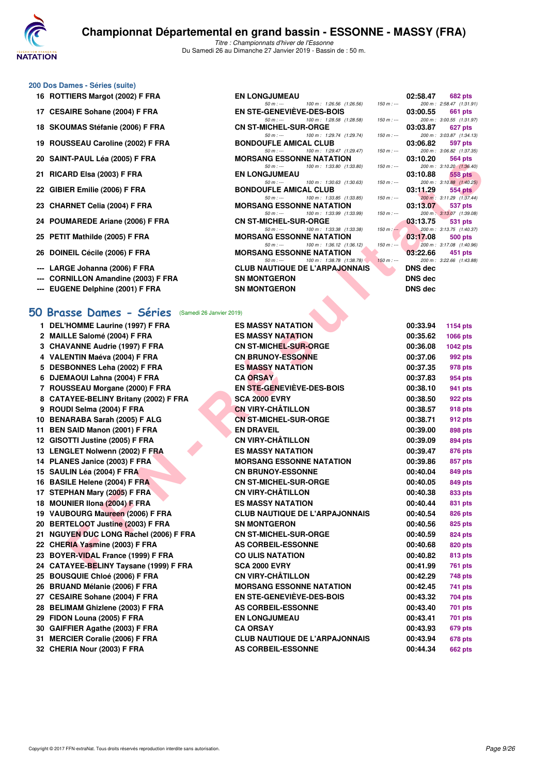

#### **200 Dos Dames - Séries (suite)**

- 
- 17 CESAIRE Sohane (2004) F FRA
- 18 SKOUMAS Stéfanie (2006) F FRA
- 19 ROUSSEAU Caroline (2002) F FRA
- **20 SAINT-PAUL Léa (2005) F FRA**
- **21 RICARD Elsa (2003) F FRA**
- 
- 
- 
- 
- 
- --- LARGE Johanna (2006) F FRA
- --- CORNILLON Amandine (2003) F FRA
- 

#### **[50 Brasse Dames - Séries](http://www.ffnatation.fr/webffn/resultats.php?idact=nat&go=epr&idcpt=58437&idepr=21)** (Samedi 26 Janvier 2019)

| 1. | DEL'HOMME Laurine (1997) F FRA         |
|----|----------------------------------------|
|    | 2 MAILLE Salomé (2004) F FRA           |
|    | 3 CHAVANNE Audrie (1997) F FRA         |
|    | 4 VALENTIN Maéva (2004) F FRA          |
|    | 5 DESBONNES Leha (2002) F FRA          |
|    | 6 DJEMAOUI Lahna (2004) F FRA          |
|    | 7 ROUSSEAU Morgane (2000) F FRA        |
|    | 8 CATAYEE-BELINY Britany (2002) F FRA  |
|    | 9 ROUDI Selma (2004) F FRA             |
|    | 10 BENARABA Sarah (2005) F ALG         |
|    | 11 BEN SAID Manon (2001) F FRA         |
|    | 12 GISOTTI Justine (2005) F FRA        |
|    | 13 LENGLET Nolwenn (2002) F FBA        |
|    | 14 PLANES Janice (2003) F FRA          |
|    | 15 SAULIN Léa (2004) F FRA             |
|    | 16 BASILE Helene (2004) F FRA          |
|    | 17 STEPHAN Mary (2005) F FRA           |
|    | 18 MOUNIER IIona (2004) F FRA          |
|    | 19 VAUBOURG Maureen (2006) F FRA       |
|    | 20 BERTELOOT Justine (2003) F FRA      |
|    | 21 NGUYEN DUC LONG Rachel (2006) F FRA |
|    | 22 CHERIA Yasmine (2003) F FRA         |
|    | 23 BOYER-VIDAL France (1999) F FRA     |
|    | 24 CATAYEE-BELINY Taysane (1999) F FRA |
|    | 25 BOUSQUIE Chloé (2006) F FRA         |
|    | 26 BRUAND Mélanie (2006) F FRA         |
|    | 27 CESAIRE Sohane (2004) F FRA         |
|    | 28 BELIMAM Ghizlene (2003) F FRA       |
| 29 | FIDON Louna (2005) F FRA               |
|    | 30 GAIFFIER Agathe (2003) F FRA        |
|    | 31 MERCIER Coralie (2006) F FRA        |
| 32 | CHERIA Nour (2003) F FRA               |

| 16 ROTTIERS Margot (2002) F FRA     | <b>EN LONGJUMEAU</b>            |                                                                                      |                | 02:58.47 682 pts   |
|-------------------------------------|---------------------------------|--------------------------------------------------------------------------------------|----------------|--------------------|
|                                     |                                 | 50 m : --- 100 m : 1:26.56 (1:26.56) 150 m : --- 200 m : 2:58.47 (1:31.91            |                |                    |
| 17 CESAIRE Sohane (2004) F FRA      |                                 | EN STE-GENEVIEVE-DES-BOIS 03:00.55 661 pts                                           |                |                    |
|                                     |                                 | 50 m : --- 100 m : 1:28.58 (1:28.58) 150 m : --- 200 m : 3:00.55 (1:31.97)           |                |                    |
| 18 SKOUMAS Stéfanie (2006) F FRA    |                                 | CN ST-MICHEL-SUR-ORGE 03:03.87 627 pts                                               |                |                    |
|                                     |                                 | 50 m : --- 100 m : 1:29.74 (1:29.74) 150 m : --- 200 m : 3:03.87 (1:34.13            |                |                    |
| 19 ROUSSEAU Caroline (2002) F FRA   |                                 | <b>BONDOUFLE AMICAL CLUB</b> 03:06.82 597 pts                                        |                |                    |
|                                     |                                 | 50 m : --- 100 m : 1:29.47 (1:29.47) 150 m : --- 200 m : 3:06.82 (1:37.35            |                |                    |
| 20 SAINT-PAUL Léa (2005) F FRA      |                                 | MORSANG ESSONNE NATATION 03:10.20 564 pts                                            |                |                    |
|                                     |                                 | 50 m : --- 100 m : 1:33.80 (1:33.80) 150 m : --- 200 m : 3:10.20 (1:36.40)           |                |                    |
| 21 RICARD Elsa (2003) F FRA         | <b>EN LONGJUMEAU</b>            |                                                                                      |                | $03:10.88$ 558 pts |
|                                     |                                 | 50 m : --- 100 m : 1:30.63 (1:30.63) 150 m : --- 200 m : 3:10.88 (1:40.25            |                |                    |
| 22 GIBIER Emilie (2006) F FRA       |                                 | BONDOUFLE AMICAL CLUB 03:11.29 554 pts                                               |                |                    |
|                                     |                                 | 50 m : --- 100 m : 1:33.85 (1:33.85) 150 m : --- 200 m : 3:11.29 (1:37.44            |                |                    |
| 23 CHARNET Celia (2004) F FRA       |                                 | <b>MORSANG ESSONNE NATATION 03:13.07 537 pts</b>                                     |                |                    |
|                                     |                                 | 50 m : --- 100 m : 1:33.99 (1:33.99) 150 m : --- 200 m : 3:13.07 (1:39.08            |                |                    |
| 24 POUMAREDE Ariane (2006) F FRA    |                                 | CN ST-MICHEL-SUR-ORGE 03:13.75 531 pts                                               |                |                    |
|                                     |                                 | 50 m : --- 100 m : 1:33.38 (1:33.38) 150 m : -- 200 m : 3:13.75 (1:40.37)            |                |                    |
| 25 PETIT Mathilde (2005) F FRA      |                                 | MORSANG ESSONNE NATATION 63:17.08 500 pts                                            |                |                    |
|                                     |                                 | 50 m : $\ldots$ 100 m : 1:36.12 (1:36.12) 150 m : $\ldots$ 200 m : 3:17.08 (1:40.96) |                |                    |
| 26 DOINEIL Cécile (2006) F FRA      | <b>MORSANG ESSONNE NATATION</b> |                                                                                      |                | $03:22.66$ 451 pts |
|                                     |                                 | 50 m : --- 100 m : 1:38.78 (1:38.78) 150 m : --- 200 m : 3:22.66 (1:43.88            |                |                    |
| --- LARGE Johanna (2006) F FRA      |                                 | <b>CLUB NAUTIQUE DE L'ARPAJONNAIS</b>                                                | <b>DNS</b> dec |                    |
| --- CORNILLON Amandine (2003) F FRA | <b>SN MONTGERON</b>             |                                                                                      | DNS dec        |                    |
| --- EUGENE Delphine (2001) F FRA    | <b>SN MONTGERON</b>             |                                                                                      | DNS dec        |                    |
|                                     |                                 | <b>Contract Contract Contract</b>                                                    |                |                    |

| 02:58.47          | <b>682 pts</b>           |
|-------------------|--------------------------|
| 200 m :           | 2:58.47 (1:31.91)        |
| 03:00.55          | 661 pts                  |
| $200 m$ :         | 3:00.55 (1:31.97)        |
| 03:03.87          | 627 pts                  |
| 200 m :           | 3:03.87 (1:34.13)        |
| 03:06.82          | 597 pts                  |
| $200 m$ :         | 3:06.82 (1:37.35)        |
| 03:10.20          | 564 pts                  |
| $200 m$ :         | $3:10.20$ $(1:36.40)$    |
| 03:10.88          | 558 pts                  |
| $200 m$ :         | $3:10.88$ $(1:40.25)$    |
| 03:11.29          | <b>554 pts</b>           |
| $200 \text{ m}$ : | 3:11.29 (1:37.44)        |
| 03:13.07          | 537 pts                  |
|                   | 200 m: 3:13.07 (1:39.08) |
| 03:13.75          | 531 pts                  |
| 200 m :           | 3:13.75 (1:40.37)        |
| 03:17.08          | <b>500 pts</b>           |
|                   | 200 m: 3:17.08 (1:40.96) |
| 03:22.66          | 451 pts                  |
|                   | 200 m: 3:22.66 (1:43.88) |
| DNS dec           |                          |
| DNS dec           |                          |
|                   |                          |
|                   | DNS dec                  |

| 20 SAINT-FAUL LEA (2003) F FRA                   | MUNJANG EJJUNNE NATATIUN                                                        |             | 03.IV.ZU       | טע <del>ן</del> דיטט                  |
|--------------------------------------------------|---------------------------------------------------------------------------------|-------------|----------------|---------------------------------------|
| 21 RICARD Elsa (2003) F FRA                      | 100 m: 1:33.80 (1:33.80)<br>$50 m: -$<br><b>EN LONGJUMEAU</b>                   | $150 m : -$ | 03:10.88       | 200 m: 3:10.20 (1:36.40)<br>558 pts   |
| 22 GIBIER Emilie (2006) F FRA                    | 100 m: 1:30.63 (1:30.63)<br>$50 m : -$<br><b>BONDOUFLE AMICAL CLUB</b>          | $150 m : -$ | 03:11.29       | 200 m: 3:10.88 (1:40.25)<br>$554$ pts |
|                                                  | 100 m: 1:33.85 (1:33.85)<br>$50 m: -$                                           | $150 m : -$ |                | 200 m: 3:11.29 (1:37.44)              |
| 23 CHARNET Celia (2004) F FRA                    | <b>MORSANG ESSONNE NATATION</b><br>100 m: 1:33.99 (1:33.99)                     | $150 m : -$ | 03:13.07       | 537 pts<br>200 m: 3:13.07 (1:39.08)   |
| 24 POUMAREDE Ariane (2006) F FRA                 | $50 m: -$<br><b>CN ST-MICHEL-SUR-ORGE</b>                                       |             | 03:13.75       | 531 pts                               |
| 25 PETIT Mathilde (2005) F FRA                   | $50 m: -$<br>100 m: 1:33.38 (1:33.38)<br><b>MORSANG ESSONNE NATATION</b>        | $150 m : -$ | 03:17.08       | 200 m: 3:13.75 (1:40.37)<br>500 pts   |
| 26 DOINEIL Cécile (2006) F FRA                   | $50 m: -$<br>100 m: 1:36.12 (1:36.12)<br><b>MORSANG ESSONNE NATATION</b>        | $150 m : -$ | 03:22.66       | 200 m: 3:17.08 (1:40.96)<br>451 pts   |
| --- LARGE Johanna (2006) F FRA                   | 100 m: 1:38.78 (1:38.78)<br>$50 m : -$<br><b>CLUB NAUTIQUE DE L'ARPAJONNAIS</b> | $150 m : -$ | <b>DNS dec</b> | 200 m: 3:22.66 (1:43.88)              |
| --- CORNILLON Amandine (2003) F FRA              | <b>SN MONTGERON</b>                                                             |             | <b>DNS</b> dec |                                       |
| --- EUGENE Delphine (2001) F FRA                 | <b>SN MONTGERON</b>                                                             |             | <b>DNS dec</b> |                                       |
|                                                  |                                                                                 |             |                |                                       |
| O Brasse Dames - Séries (Samedi 26 Janvier 2019) |                                                                                 |             |                |                                       |
| 1 DEL'HOMME Laurine (1997) F FRA                 | <b>ES MASSY NATATION</b>                                                        |             | 00:33.94       | 1154 pts                              |
| 2 MAILLE Salomé (2004) F FRA                     | <b>ES MASSY NATATION</b>                                                        |             | 00:35.62       | 1066 pts                              |
| 3 CHAVANNE Audrie (1997) F FRA                   | <b>CN ST-MICHEL-SUR-ORGE</b>                                                    |             | 00:36.08       | <b>1042 pts</b>                       |
| 4 VALENTIN Maéva (2004) F FRA                    | <b>CN BRUNOY-ESSONNE</b>                                                        |             | 00:37.06       | 992 pts                               |
| 5 DESBONNES Leha (2002) F FRA                    | <b>ES MASSY NATATION</b>                                                        |             | 00:37.35       | 978 pts                               |
| 6 DJEMAOUI Lahna (2004) F FRA                    | <b>CA ORSAY</b>                                                                 |             | 00:37.83       | 954 pts                               |
| 7 ROUSSEAU Morgane (2000) F FRA                  | EN STE-GENEVIEVE-DES-BOIS                                                       |             | 00:38.10       | 941 pts                               |
| 8 CATAYEE-BELINY Britany (2002) F FRA            | <b>SCA 2000 EVRY</b>                                                            |             | 00:38.50       | 922 pts                               |
| 9 ROUDI Selma (2004) F FRA                       | <b>CN VIRY-CHÂTILLON</b>                                                        |             | 00:38.57       | 918 pts                               |
| 10 BENARABA Sarah (2005) F ALG                   | <b>CN ST-MICHEL-SUR-ORGE</b>                                                    |             | 00:38.71       | 912 pts                               |
| 11 BEN SAID Manon (2001) F FRA                   | <b>EN DRAVEIL</b>                                                               |             | 00:39.00       | 898 pts                               |
| 12 GISOTTI Justine (2005) F FRA                  | <b>CN VIRY-CHÂTILLON</b>                                                        |             | 00:39.09       | 894 pts                               |
| 13 LENGLET Nolwenn (2002) F FRA                  | <b>ES MASSY NATATION</b>                                                        |             | 00:39.47       | 876 pts                               |
| 14 PLANES Janice (2003) F FRA                    | <b>MORSANG ESSONNE NATATION</b>                                                 |             | 00:39.86       | 857 pts                               |
| 15 SAULIN Léa (2004) F FRA                       | <b>CN BRUNOY-ESSONNE</b>                                                        |             | 00:40.04       | 849 pts                               |
| 16 BASILE Helene (2004) F FRA                    | <b>CN ST-MICHEL-SUR-ORGE</b>                                                    |             | 00:40.05       | 849 pts                               |
| 17 STEPHAN Mary (2005) F FRA                     | <b>CN VIRY-CHÂTILLON</b>                                                        |             | 00:40.38       | 833 pts                               |
| 18 MOUNIER IIona (2004) F FRA                    | <b>ES MASSY NATATION</b>                                                        |             | 00:40.44       | 831 pts                               |
| 19 VAUBOURG Maureen (2006) F FRA                 | <b>CLUB NAUTIQUE DE L'ARPAJONNAIS</b>                                           |             | 00:40.54       | 826 pts                               |
| 20 BERTELOOT Justine (2003) F FRA                | <b>SN MONTGERON</b>                                                             |             | 00:40.56       | 825 pts                               |
| 21 NGUYEN DUC LONG Rachel (2006) F FRA           | <b>CN ST-MICHEL-SUR-ORGE</b>                                                    |             | 00:40.59       | 824 pts                               |
| 22 CHERIA Yasmine (2003) F FRA                   | <b>AS CORBEIL-ESSONNE</b>                                                       |             | 00:40.68       | 820 pts                               |
| 23 BOYER-VIDAL France (1999) F FRA               | <b>CO ULIS NATATION</b>                                                         |             | 00:40.82       | 813 pts                               |
| 24   CATAYEE-BELINY Taysane (1999) F FRA         | <b>SCA 2000 EVRY</b>                                                            |             | 00:41.99       | 761 pts                               |
| 25 BOUSQUIE Chloé (2006) F FRA                   | <b>CN VIRY-CHATILLON</b>                                                        |             | 00:42.29       | 748 pts                               |
| 26 BRUAND Mélanie (2006) F FRA                   | <b>MORSANG ESSONNE NATATION</b>                                                 |             | 00:42.45       | 741 pts                               |
| 27 CESAIRE Sohane (2004) F FRA                   | <b>EN STE-GENEVIEVE-DES-BOIS</b>                                                |             | 00:43.32       | 704 pts                               |
| 28 BELIMAM Ghizlene (2003) F FRA                 | AS CORBEIL-ESSONNE                                                              |             | 00:43.40       | 701 pts                               |
| 29 FIDON Louna (2005) F FRA                      | <b>EN LONGJUMEAU</b>                                                            |             | 00:43.41       | 701 pts                               |
| 30 GAIFFIER Agathe (2003) F FRA                  | <b>CA ORSAY</b>                                                                 |             | 00:43.93       | 679 pts                               |
| 31 MERCIER Coralie (2006) F FRA                  | <b>CLUB NAUTIQUE DE L'ARPAJONNAIS</b>                                           |             | 00:43.94       | 678 pts                               |
| 32 CHERIA Nour (2003) F FRA                      | AS CORBEIL-ESSONNE                                                              |             | 00:44.34       | <b>662 pts</b>                        |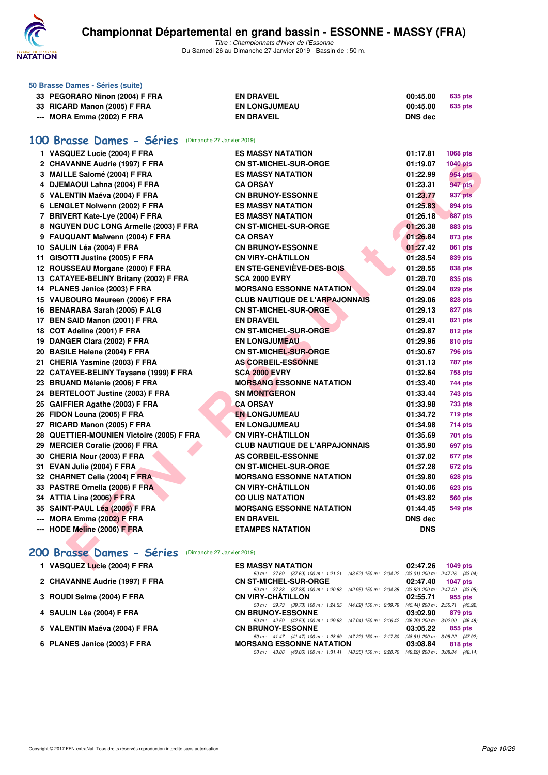

**50 Brasse Dames - Séries (suite)**

*Titre : Championnats d'hiver de l'Essonne* Du Samedi 26 au Dimanche 27 Janvier 2019 - Bassin de : 50 m.

| 33 PEGORARO Ninon (2004) F FRA                          | <b>EN DRAVEIL</b>                     | 00:45.00       | <b>635 pts</b>  |
|---------------------------------------------------------|---------------------------------------|----------------|-----------------|
| 33 RICARD Manon (2005) F FRA                            | <b>EN LONGJUMEAU</b>                  | 00:45.00       | <b>635 pts</b>  |
| --- MORA Emma (2002) F FRA                              | <b>EN DRAVEIL</b>                     | <b>DNS dec</b> |                 |
|                                                         |                                       |                |                 |
| 100 Brasse Dames - Séries (Dimanche 27 Janvier 2019)    |                                       |                |                 |
| 1 VASQUEZ Lucie (2004) F FRA                            | <b>ES MASSY NATATION</b>              | 01:17.81       | 1068 pts        |
| 2 CHAVANNE Audrie (1997) F FRA                          | <b>CN ST-MICHEL-SUR-ORGE</b>          | 01:19.07       | <b>1040 pts</b> |
| 3 MAILLE Salomé (2004) F FRA                            | <b>ES MASSY NATATION</b>              | 01:22.99       | <b>954 pts</b>  |
| 4 DJEMAOUI Lahna (2004) F FRA                           | <b>CA ORSAY</b>                       | 01:23.31       | 947 pts         |
| 5 VALENTIN Maéva (2004) F FRA                           | <b>CN BRUNOY-ESSONNE</b>              | 01:23.77       | 937 pts         |
| 6 LENGLET Nolwenn (2002) F FRA                          | <b>ES MASSY NATATION</b>              | 01:25.83       | 894 pts         |
| 7 BRIVERT Kate-Lye (2004) F FRA                         | <b>ES MASSY NATATION</b>              | 01:26.18       | <b>887 pts</b>  |
| 8 NGUYEN DUC LONG Armelle (2003) F FRA                  | <b>CN ST-MICHEL-SUR-ORGE</b>          | 01:26.38       | 883 pts         |
| 9 FAUQUANT Maïwenn (2004) F FRA                         | <b>CA ORSAY</b>                       | 01:26.84       | 873 pts         |
| 10 SAULIN Léa (2004) F FRA                              | <b>CN BRUNOY-ESSONNE</b>              | 01:27.42       | <b>861 pts</b>  |
| 11 GISOTTI Justine (2005) F FRA                         | <b>CN VIRY-CHÂTILLON</b>              | 01:28.54       | 839 pts         |
| 12 ROUSSEAU Morgane (2000) F FRA                        | <b>EN STE-GENEVIÈVE-DES-BOIS</b>      | 01:28.55       | 838 pts         |
| 13 CATAYEE-BELINY Britany (2002) F FRA                  | <b>SCA 2000 EVRY</b>                  | 01:28.70       | 835 pts         |
| 14 PLANES Janice (2003) F FRA                           | <b>MORSANG ESSONNE NATATION</b>       | 01:29.04       | 829 pts         |
| 15 VAUBOURG Maureen (2006) F FRA                        | <b>CLUB NAUTIQUE DE L'ARPAJONNAIS</b> | 01:29.06       | 828 pts         |
| 16 BENARABA Sarah (2005) F ALG                          | <b>CN ST-MICHEL-SUR-ORGE</b>          | 01:29.13       | 827 pts         |
| 17 BEN SAID Manon (2001) F FRA                          | <b>EN DRAVEIL</b>                     | 01:29.41       | 821 pts         |
| 18 COT Adeline (2001) F FRA                             | <b>CN ST-MICHEL-SUR-ORGE</b>          | 01:29.87       | <b>812 pts</b>  |
| 19 DANGER Clara (2002) F FRA                            | <b>EN LONGJUMEAU</b>                  | 01:29.96       | 810 pts         |
| 20 BASILE Helene (2004) F FRA                           | <b>CN ST-MICHEL-SUR-ORGE</b>          | 01:30.67       | <b>796 pts</b>  |
| 21 CHERIA Yasmine (2003) F FRA                          | <b>AS CORBEIL-ESSONNE</b>             | 01:31.13       | 787 pts         |
| 22 CATAYEE-BELINY Taysane (1999) F FRA                  | <b>SCA 2000 EVRY</b>                  | 01:32.64       | <b>758 pts</b>  |
| 23 BRUAND Mélanie (2006) F FRA                          | <b>MORSANG ESSONNE NATATION</b>       | 01:33.40       | 744 pts         |
| 24 BERTELOOT Justine (2003) F FRA                       | <b>SN MONTGERON</b>                   | 01:33.44       | 743 pts         |
| 25 GAIFFIER Agathe (2003) F FRA                         | <b>CA ORSAY</b>                       | 01:33.98       | 733 pts         |
| 26 FIDON Louna (2005) F FRA                             | <b>EN LONGJUMEAU</b>                  | 01:34.72       | 719 pts         |
| 27 RICARD Manon (2005) F FRA                            | <b>EN LONGJUMEAU</b>                  | 01:34.98       | 714 pts         |
| 28 QUETTIER-MOUNIEN Victoire (2005) F FRA               | <b>CN VIRY-CHÂTILLON</b>              | 01:35.69       | <b>701 pts</b>  |
| 29 MERCIER Coralie (2006) F FRA                         | <b>CLUB NAUTIQUE DE L'ARPAJONNAIS</b> | 01:35.90       | 697 pts         |
| 30 CHERIA Nour (2003) F FRA                             | <b>AS CORBEIL-ESSONNE</b>             | 01:37.02       | 677 pts         |
| 31 EVAN Julie (2004) F FRA                              | <b>CN ST-MICHEL-SUR-ORGE</b>          | 01:37.28       | 672 pts         |
| 32 CHARNET Celia (2004) F FRA                           | <b>MORSANG ESSONNE NATATION</b>       | 01:39.80       | <b>628 pts</b>  |
| 33 PASTRE Ornella (2006) F FRA                          | <b>CN VIRY-CHÂTILLON</b>              | 01:40.06       | 623 pts         |
| 34 ATTIA Lina (2006) F FRA                              | <b>CO ULIS NATATION</b>               | 01:43.82       | <b>560 pts</b>  |
| 35 SAINT-PAUL Léa (200 <mark>5)</mark> F FRA            | <b>MORSANG ESSONNE NATATION</b>       | 01:44.45       | <b>549 pts</b>  |
| --- MORA Emma (2002) F FRA                              | <b>EN DRAVEIL</b>                     | DNS dec        |                 |
| --- HODE Meline (2006) F FRA                            | <b>ETAMPES NATATION</b>               | <b>DNS</b>     |                 |
|                                                         |                                       |                |                 |
| 200 Brasse Dames - Séries<br>(Dimanche 27 Janvier 2019) |                                       |                |                 |
| 1 VASQUEZ Lucie (2004) F FRA                            | <b>ES MASSY NATATION</b>              | 02:47.26       | 1049 pts        |

# [200 Brasse Dames - Séries](http://www.ffnatation.fr/webffn/resultats.php?idact=nat&go=epr&idcpt=58437&idepr=23) (Dimanche 27 Janvier 2019)

| 1 VASQUEZ Lucie (2004) F FRA   | <b>ES MASSY NATATION</b>                                                                     | 02:47.26 | 1049 pts                        |
|--------------------------------|----------------------------------------------------------------------------------------------|----------|---------------------------------|
|                                | 50 m: 37.69 (37.69) 100 m: 1:21.21 (43.52) 150 m: 2:04.22                                    |          | (43.01) 200 m : 2:47.26 (43.04) |
| 2 CHAVANNE Audrie (1997) F FRA | <b>CN ST-MICHEL-SUR-ORGE</b>                                                                 |          | 02:47.40 1047 pts               |
|                                | 50 m: 37.88 (37.88) 100 m: 1:20.83 (42.95) 150 m: 2:04.35                                    |          | (43.52) 200 m : 2:47.40 (43.05) |
| 3 ROUDI Selma (2004) F FRA     | <b>CN VIRY-CHÂTILLON</b>                                                                     | 02:55.71 | 955 pts                         |
|                                | 50 m: 39.73 (39.73) 100 m: 1:24.35 (44.62) 150 m: 2:09.79 (45.44) 200 m: 2:55.71 (45.92)     |          |                                 |
| 4 SAULIN Léa (2004) F FRA      | <b>CN BRUNOY-ESSONNE</b>                                                                     | 03:02.90 | 879 pts                         |
|                                | 50 m: 42.59 (42.59) 100 m: 1:29.63 (47.04) 150 m: 2:16.42                                    |          | (46.79) 200 m : 3:02.90 (46.48) |
| 5 VALENTIN Maéva (2004) F FRA  | <b>CN BRUNOY-ESSONNE</b>                                                                     | 03:05.22 | 855 pts                         |
|                                | 50 m: 41.47 (41.47) 100 m: 1:28.69 (47.22) 150 m: 2:17.30                                    |          | (48.61) 200 m : 3:05.22 (47.92) |
| 6 PLANES Janice (2003) F FRA   | <b>MORSANG ESSONNE NATATION</b>                                                              | 03:08.84 | 818 pts                         |
|                                | 50 m : 43.06 (43.06) 100 m : 1:31.41 (48.35) 150 m : 2:20.70 (49.29) 200 m : 3:08.84 (48.14) |          |                                 |
|                                |                                                                                              |          |                                 |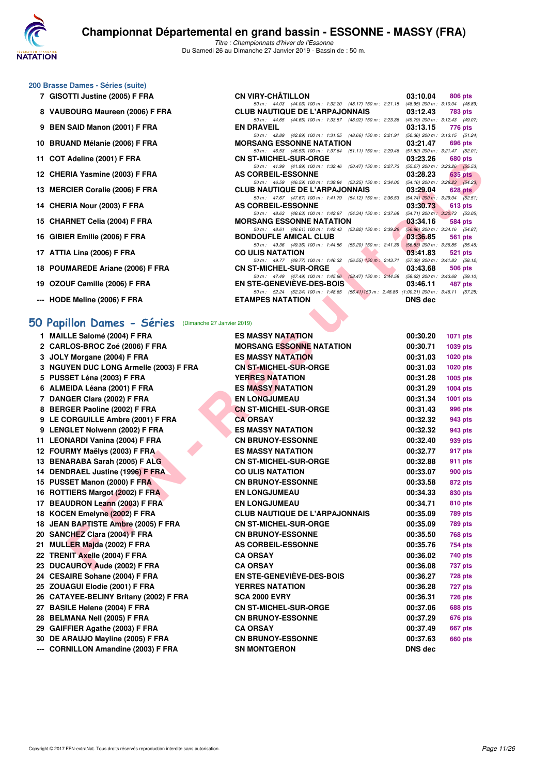

*50 m : 44.03 (44.03) 100 m : 1:32.20 (48.17) 150 m : 2:21.15 (48.95) 200 m : 3:10.04 (48.89)*

*50 m : 42.89 (42.89) 100 m : 1:31.55 (48.66) 150 m : 2:21.91 (50.36) 200 m : 3:13.15 (51.24)*

*50 m : 44.65 (44.65) 100 m : 1:33.57 (48.92) 150 m : 2:23.36 (49.79) 200 m : 3:12.43 (49.0*<br>**EN DRAVEIL** 03:13.15 776 pts

*50 m : 46.53 (46.53) 100 m : 1:37.64 (51.11) 150 m : 2:29.46 (51.82) 200 m : 3:21.47 (52.01)*<br> **CN ST-MICHEL-SUR-ORGE 03:23.26 680 pts** 

#### **200 Brasse Dames - Séries (suite)**

- **7 GISOTTI Justine (2005) F FRA CN VIRY-CHÂTILLON 03:10.04 806 pts**
- **8 VAUBOURG Maureen (2006) F FRA** CLUB NAUTIQUE DE L'ARPAJONNAIS 03:12.43 783 pts<br>
50 m i 44.65 (44.65) 100 m i 133.57 (48.92) 150 m i 223.36 (49.79) 200 m i 3:12.43 (49.07)
- **9 BEN SAID Manon (2001) F FRA**
- **10 BRUAND Mélanie (2006) F FRA MORSANG ESSONNE NATATION 03:21.47 696 pts**
- **11 COT Adeline (2001) F FRA CN ST-MICHEL-SUR-ORGE 03:23.26 680 pts**
- **12 CHERIA Yasmine (2003) F FRA AS CORBEIL-ESSONNE 03:28.23 635 pts**
- **13 MERCIER Coralie (2006) F FRA CLUB NAUTIQUE DE L'ARPAJONNAIS 03:29.04 628 pts**
- **14 CHERIA Nour (2003) F FRA AS CORBEIL-ESSONNE 03:30.73** 613 pts
- **15 CHARNET Celia (2004) F FRA** MORSANG ESSONNE NATATION 03:34.16 584 pts<br>
584 pts 584 pts 584 pts 584 pts 584 pts 584 pts 584 pts 584 pts 584 pts 584 pts 584 pts 584 pts 584 pts 584 pts 584 pts 584 pts 584 pts 584 pts 584
- **16 GIBIER Emilie (2006) F FRA BONDOUFLE AMICAL CLUB 63:36.85 561 pts**
- 17 ATTIA Lina (2006) F FRA CO ULIS NATATION
- **18 POUMAREDE Ariane (2006) F FRA** CN ST-MICHEL-SUR-ORGE 03:43.68 506 pts<br>  $50m: 47.49$   $(47.49)$   $100m: 1:45.96$   $(58.47)$   $150m: 2:44.58$   $(58.62)$   $200m: 3:43.68$   $(59.10)$
- 19 OZOUF Camille (2006) F FRA EN STE-GENEVIÈVE-DES-BOIS
- **--- HODE Meline (2006) F FRA**

#### **[50 Papillon Dames - Séries](http://www.ffnatation.fr/webffn/resultats.php?idact=nat&go=epr&idcpt=58437&idepr=31)** (Dimanche 27 Janvier 2019)

| II COT AUGILIC (2001) F FRA                                  | UN JI-MIUILL-JUN-UNUL                                                                                                             |                | <b>UJ. LU</b> UUU PIS |
|--------------------------------------------------------------|-----------------------------------------------------------------------------------------------------------------------------------|----------------|-----------------------|
| 12 CHERIA Yasmine (2003) F FRA                               | 50 m: 41.99 (41.99) 100 m: 1:32.46 (50.47) 150 m: 2:27.73 (55.27) 200 m: 3:23.26 (55.53)<br><b>AS CORBEIL-ESSONNE</b>             | 03:28.23       | 635 pts               |
| 13 MERCIER Coralie (2006) F FRA                              | 50 m: 46.59 (46.59) 100 m: 1:39.84 (53.25) 150 m: 2:34.00 (54.16) 200 m: 3:28.23 (54.23)<br><b>CLUB NAUTIQUE DE L'ARPAJONNAIS</b> | 03:29.04       | $628$ pts             |
| 14 CHERIA Nour (2003) F FRA                                  | 50 m: 47.67 (47.67) 100 m: 1:41.79 (54.12) 150 m: 2:36.53 (54.74) 200 m: 3:29.04 (52.51)<br>AS CORBEIL-ESSONNE                    | 03:30.73       | 613 pts               |
| 15 CHARNET Celia (2004) F FRA                                | 50 m: 48.63 (48.63) 100 m: 1:42.97 (54.34) 150 m: 2:37.68 (54.71) 200 m: 3:30.73 (53.05)<br><b>MORSANG ESSONNE NATATION</b>       | 03:34.16       | 584 pts               |
| 16 GIBIER Emilie (2006) F FRA                                | 50 m: 48.61 (48.61) 100 m: 1:42.43 (53.82) 150 m: 2:39.29 (56.86) 200 m: 3:34.16 (54.87)<br><b>BONDOUFLE AMICAL CLUB</b>          | 03:36.85       | 561 pts               |
|                                                              | 50 m: 49.36 (49.36) 100 m: 1:44.56 (55.20) 150 m: 2:41.39 (56.83) 200 m: 3:36.85 (55.46)                                          |                |                       |
| 17 ATTIA Lina (2006) F FRA                                   | <b>CO ULIS NATATION</b><br>50 m: 49.77 (49.77) 100 m: 1:46.32 (56.55) 150 m: 2:43.71 (57.39) 200 m: 3:41.83 (58.12)               | 03:41.83       | 521 pts               |
| 18 POUMAREDE Ariane (2006) F FRA                             | <b>CN ST-MICHEL-SUR-ORGE</b><br>50 m: 47.49 (47.49) 100 m: 1:45.96 (58.47) 150 m: 2:44.58 (58.62) 200 m: 3:43.68 (59.10)          | 03:43.68       | 506 pts               |
| 19 OZOUF Camille (2006) F FRA                                | EN STE-GENEVIÈVE-DES-BOIS<br>50 m: 52.24 (52.24) 100 m: 1:48.65 (56.41) 150 m: 2:48.86 (1:00.21) 200 m: 3:46.11 (57.25)           | 03:46.11       | 487 pts               |
| --- HODE Meline (2006) F FRA                                 | <b>ETAMPES NATATION</b>                                                                                                           | <b>DNS</b> dec |                       |
|                                                              |                                                                                                                                   |                |                       |
| <b>iO Papillon Dames - Séries</b> (Dimanche 27 Janvier 2019) |                                                                                                                                   |                |                       |
| 1 MAILLE Salomé (2004) F FRA                                 | <b>ES MASSY NATATION</b>                                                                                                          | 00:30.20       | <b>1071 pts</b>       |
| 2 CARLOS-BROC Zoé (2006) F FRA                               | <b>MORSANG ESSONNE NATATION</b>                                                                                                   | 00:30.71       | 1039 pts              |
| 3 JOLY Morgane (2004) F FRA                                  | <b>ES MASSY NATATION</b>                                                                                                          | 00:31.03       | <b>1020 pts</b>       |
| 3 NGUYEN DUC LONG Armelle (2003) F FRA                       | <b>CN ST-MICHEL-SUR-ORGE</b>                                                                                                      | 00:31.03       | <b>1020 pts</b>       |
| 5 PUSSET Léna (2003) F FRA                                   | <b>YERRES NATATION</b>                                                                                                            | 00:31.28       | 1005 pts              |
| 6 ALMEIDA Léana (2001) F FRA                                 | <b>ES MASSY NATATION</b>                                                                                                          | 00:31.29       | <b>1004 pts</b>       |
| 7 DANGER Clara (2002) F FRA                                  | <b>EN LONGJUMEAU</b>                                                                                                              | 00:31.34       | 1001 pts              |
| 8 BERGER Paoline (2002) F FRA                                | <b>CN ST-MICHEL-SUR-ORGE</b>                                                                                                      | 00:31.43       | 996 pts               |
| 9 LE CORGUILLE Ambre (2001) F FRA                            | <b>CA ORSAY</b>                                                                                                                   | 00:32.32       | 943 pts               |
| 9 LENGLET Nolwenn (2002) F FRA                               | <b>ES MASSY NATATION</b>                                                                                                          | 00:32.32       | 943 pts               |
| 11 LEONARDI Vanina (2004) F FRA                              | <b>CN BRUNOY-ESSONNE</b>                                                                                                          | 00:32.40       | 939 pts               |
| 12 FOURMY Maëlys (2003) F FRA                                | <b>ES MASSY NATATION</b>                                                                                                          | 00:32.77       | 917 pts               |
| 13 BENARABA Sarah (2005) F ALG                               | <b>CN ST-MICHEL-SUR-ORGE</b>                                                                                                      | 00:32.88       | 911 pts               |
| 14 DENDRAEL Justine (1996) F FRA                             | <b>CO ULIS NATATION</b>                                                                                                           | 00:33.07       | 900 pts               |
| 15 PUSSET Manon (2000) F FRA                                 | <b>CN BRUNOY-ESSONNE</b>                                                                                                          | 00:33.58       | 872 pts               |
| 16 ROTTIERS Margot (2002) F FRA                              | <b>EN LONGJUMEAU</b>                                                                                                              | 00:34.33       | 830 pts               |
| 17 BEAUDRON Leann (2003) F FRA                               | <b>EN LONGJUMEAU</b>                                                                                                              | 00:34.71       | 810 pts               |
| 18 KOCEN Emelyne (2002) F FRA                                | <b>CLUB NAUTIQUE DE L'ARPAJONNAIS</b>                                                                                             | 00:35.09       | 789 pts               |
| 18 JEAN BAPTISTE Ambre (2005) F FRA                          | <b>CN ST-MICHEL-SUR-ORGE</b>                                                                                                      | 00:35.09       | 789 pts               |
| 20 SANCHEZ Clara (2004) F FRA                                | <b>CN BRUNOY-ESSONNE</b>                                                                                                          | 00:35.50       | 768 pts               |
| 21 MULLER Majda (2002) F FRA                                 | AS CORBEIL-ESSONNE                                                                                                                | 00:35.76       | 754 pts               |
| 22 TRENIT Axelle (2004) F FRA                                | <b>CA ORSAY</b>                                                                                                                   | 00:36.02       | 740 pts               |
| 23 DUCAUROY Aude (2002) F FRA                                | <b>CA ORSAY</b>                                                                                                                   | 00:36.08       | 737 pts               |
| 24 CESAIRE Sohane (2004) F FRA                               | <b>EN STE-GENEVIEVE-DES-BOIS</b>                                                                                                  | 00:36.27       | 728 pts               |
| 25 ZOUAGUI Elodie (2001) F FRA                               | <b>YERRES NATATION</b>                                                                                                            | 00:36.28       | 727 pts               |
|                                                              | <b>SCA 2000 EVRY</b>                                                                                                              |                |                       |
| 26 CATAYEE-BELINY Britany (2002) F FRA                       |                                                                                                                                   | 00:36.31       | 726 pts               |
| 27 BASILE Helene (2004) F FRA                                | <b>CN ST-MICHEL-SUR-ORGE</b>                                                                                                      | 00:37.06       | 688 pts               |
| 28 BELMANA Nell (2005) F FRA                                 | <b>CN BRUNOY-ESSONNE</b>                                                                                                          | 00:37.29       | <b>676 pts</b>        |
| 29 GAIFFIER Agathe (2003) F FRA                              | <b>CA ORSAY</b>                                                                                                                   | 00:37.49       | <b>667 pts</b>        |
| 30 DE ARAUJO Mayline (2005) F FRA                            | <b>CN BRUNOY-ESSONNE</b>                                                                                                          | 00:37.63       | 660 pts               |
| --- CORNILLON Amandine (2003) F FRA                          | <b>SN MONTGERON</b>                                                                                                               | DNS dec        |                       |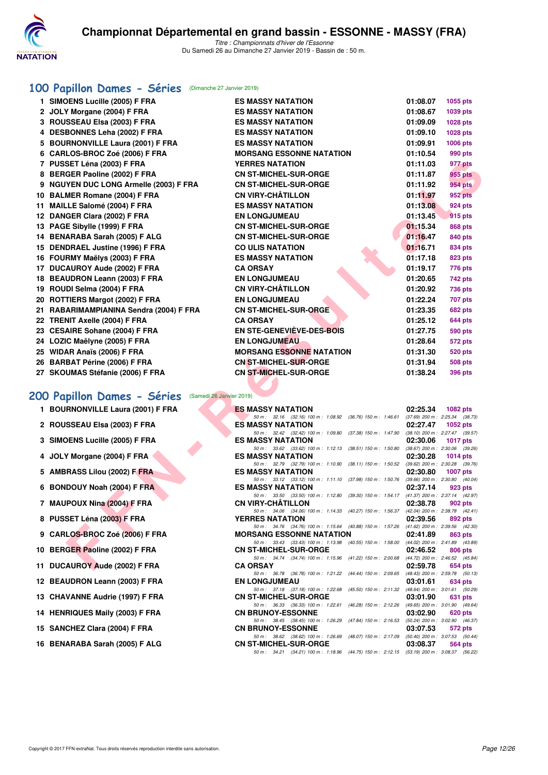

#### **[100 Papillon Dames - Séries](http://www.ffnatation.fr/webffn/resultats.php?idact=nat&go=epr&idcpt=58437&idepr=32)** (Dimanche 27 Janvier 2019)

| 1 SIMOENS Lucille (2005) F FRA                      | <b>ES MASSY NATATION</b>                                                                                                    | 01:08.07 | 1055 pts                                       |
|-----------------------------------------------------|-----------------------------------------------------------------------------------------------------------------------------|----------|------------------------------------------------|
| 2 JOLY Morgane (2004) F FRA                         | <b>ES MASSY NATATION</b>                                                                                                    | 01:08.67 | 1039 pts                                       |
| 3 ROUSSEAU Elsa (2003) F FRA                        | <b>ES MASSY NATATION</b>                                                                                                    | 01:09.09 | 1028 pts                                       |
| 4 DESBONNES Leha (2002) F FRA                       | <b>ES MASSY NATATION</b>                                                                                                    | 01:09.10 | 1028 pts                                       |
| 5 BOURNONVILLE Laura (2001) F FRA                   | <b>ES MASSY NATATION</b>                                                                                                    | 01:09.91 | 1006 pts                                       |
| 6 CARLOS-BROC Zoé (2006) F FRA                      | <b>MORSANG ESSONNE NATATION</b>                                                                                             | 01:10.54 | 990 pts                                        |
| 7 PUSSET Léna (2003) F FRA                          | <b>YERRES NATATION</b>                                                                                                      | 01:11.03 | 977 pts                                        |
| 8 BERGER Paoline (2002) F FRA                       | <b>CN ST-MICHEL-SUR-ORGE</b>                                                                                                | 01:11.87 | 955 pts                                        |
| 9 NGUYEN DUC LONG Armelle (2003) F FRA              | <b>CN ST-MICHEL-SUR-ORGE</b>                                                                                                | 01:11.92 | 954 pts                                        |
| 10 BALMER Romane (2004) F FRA                       | <b>CN VIRY-CHÂTILLON</b>                                                                                                    | 01:11.97 | 952 pts                                        |
| 11 MAILLE Salomé (2004) F FRA                       | <b>ES MASSY NATATION</b>                                                                                                    | 01:13.08 | 924 pts                                        |
| 12 DANGER Clara (2002) F FRA                        | <b>EN LONGJUMEAU</b>                                                                                                        | 01:13.45 | <b>915 pts</b>                                 |
| 13 PAGE Sibylle (1999) F FRA                        | <b>CN ST-MICHEL-SUR-ORGE</b>                                                                                                | 01:15.34 | 868 pts                                        |
| 14 BENARABA Sarah (2005) F ALG                      | <b>CN ST-MICHEL-SUR-ORGE</b>                                                                                                | 01:16.47 | 840 pts                                        |
| 15 DENDRAEL Justine (1996) F FRA                    | <b>CO ULIS NATATION</b>                                                                                                     | 01:16.71 | 834 pts                                        |
| 16 FOURMY Maëlys (2003) F FRA                       | <b>ES MASSY NATATION</b>                                                                                                    | 01:17.18 | <b>823 pts</b>                                 |
| 17 DUCAUROY Aude (2002) F FRA                       | <b>CA ORSAY</b>                                                                                                             | 01:19.17 | 776 pts                                        |
| 18 BEAUDRON Leann (2003) F FRA                      | <b>EN LONGJUMEAU</b>                                                                                                        | 01:20.65 | 742 pts                                        |
| 19 ROUDI Selma (2004) F FRA                         | <b>CN VIRY-CHÂTILLON</b>                                                                                                    | 01:20.92 | <b>736 pts</b>                                 |
| 20 ROTTIERS Margot (2002) F FRA                     | <b>EN LONGJUMEAU</b>                                                                                                        | 01:22.24 | 707 pts                                        |
| 21 RABARIMAMPIANINA Sendra (2004) F FRA             | <b>CN ST-MICHEL-SUR-ORGE</b>                                                                                                | 01:23.35 | 682 pts                                        |
| 22 TRENIT Axelle (2004) F FRA                       | <b>CA ORSAY</b>                                                                                                             | 01:25.12 | 644 pts                                        |
| 23 CESAIRE Sohane (2004) F FRA                      | EN STE-GENEVIÈVE-DES-BOIS                                                                                                   | 01:27.75 | 590 pts                                        |
| 24 LOZIC Maëlyne (2005) F FRA                       | <b>EN LONGJUMEAU</b>                                                                                                        | 01:28.64 | 572 pts                                        |
| 25 WIDAR Anaïs (2006) F FRA                         | <b>MORSANG ESSONNE NATATION</b>                                                                                             | 01:31.30 | 520 pts                                        |
| 26 BARBAT Périne (2006) F FRA                       | <b>CN ST-MICHEL-SUR-ORGE</b>                                                                                                | 01:31.94 | <b>508 pts</b>                                 |
| 27 SKOUMAS Stéfanie (2006) F FRA                    | CN ST-MICHEL-SUR-ORGE                                                                                                       | 01:38.24 | 396 pts                                        |
|                                                     |                                                                                                                             |          |                                                |
| 00 Papillon Dames - Séries (Samedi 26 Janvier 2019) |                                                                                                                             |          |                                                |
| 1 BOURNONVILLE Laura (2001) F FRA                   | <b>ES MASSY NATATION</b>                                                                                                    | 02:25.34 | <b>1082 pts</b>                                |
| 2 ROUSSEAU Elsa (2003) F FRA                        | 50 m: 32.16 (32.16) 100 m: 1:08.92 (36.76) 150 m: 1:46.61 (37.69) 200 m: 2:25.34 (38.73)<br><b>ES MASSY NATATION</b>        | 02:27.47 | 1052 pts                                       |
|                                                     | 50 m: 32.42 (32.42) 100 m: 1:09.80 (37.38) 150 m: 1:47.90 (38.10) 200 m: 2:27.47 (39.57)                                    |          |                                                |
| 3 SIMOENS Lucille (2005) F FRA                      | <b>ES MASSY NATATION</b>                                                                                                    | 02:30.06 | <b>1017 pts</b>                                |
| 4 JOLY Morgane (2004) F FRA                         | 50 m: 33.62 (33.62) 100 m: 1:12.13 (38.51) 150 m: 1:50.80 (38.67) 200 m: 2:30.06 (39.26)<br><b>ES MASSY NATATION</b>        | 02:30.28 | 1014 $pts$                                     |
|                                                     | 50 m: 32.79 (32.79) 100 m: 1:10.90 (38.11) 150 m: 1:50.52 (39.62) 200 m: 2:30.28 (39.76)                                    |          |                                                |
| 5 AMBRASS Lilou (2002) F FRA                        | <b>ES MASSY NATATION</b>                                                                                                    | 02:30.80 | <b>1007 pts</b>                                |
| 6 BONDOUY Noah (2004) F FRA                         | 50 m: 33.12 (33.12) 100 m: 1:11.10 (37.98) 150 m: 1:50.76<br><b>ES MASSY NATATION</b>                                       | 02:37.14 | $(39.66)$ 200 m : 2:30.80 $(40.04)$<br>923 pts |
|                                                     | 50 m: 33.50 (33.50) 100 m: 1:12.80 (39.30) 150 m: 1:54.17 (41.37) 200 m: 2:37.14 (42.97)                                    |          |                                                |
| 7 MAUPOUX Nina (2004) F FRA                         | <b>CN VIRY-CHATILLON</b><br>50 m: 34.06 (34.06) 100 m: 1:14.33 (40.27) 150 m: 1:56.37 (42.04) 200 m: 2:38.78 (42.41)        | 02:38.78 | 902 pts                                        |
| 8 PUSSET Léna (2003) F FRA                          | <b>YERRES NATATION</b>                                                                                                      | 02:39.56 | 892 pts                                        |
|                                                     | 50 m: 34.76 (34.76) 100 m: 1:15.64 (40.88) 150 m: 1:57.26 (41.62) 200 m: 2:39.56 (42.30)                                    |          |                                                |
| 9 CARLOS-BROC Zoé (2006) F FRA                      | <b>MORSANG ESSONNE NATATION</b><br>50 m: 33.43 (33.43) 100 m: 1:13.98 (40.55) 150 m: 1:58.00 (44.02) 200 m: 2:41.89 (43.89) | 02:41.89 | 863 pts                                        |
| 10 BERGER Paoline (2002) F FRA                      | <b>CN ST-MICHEL-SUR-ORGE</b>                                                                                                | 02:46.52 | 806 pts                                        |
| 11 DUCAUROY Aude (2002) F FRA                       | 50 m: 34.74 (34.74) 100 m: 1:15.96 (41.22) 150 m: 2:00.68 (44.72) 200 m: 2:46.52 (45.84)<br><b>CA ORSAY</b>                 | 02:59.78 |                                                |
|                                                     |                                                                                                                             |          | <b>654 pts</b>                                 |

#### **[200 Papillon Dames - Séries](http://www.ffnatation.fr/webffn/resultats.php?idact=nat&go=epr&idcpt=58437&idepr=33)** (Samedi 26 Janvier 2019)

- **1 BOURNONVILLE Laura (2001) F FRA**
- 2 ROUSSEAU Elsa (2003) F FRA
- **3 SIMOENS Lucille (2005) F FRA**
- **4 JOLY Morgane (2004) F FRA**
- 5 AMBRASS Lilou (2002) F FRA
- **6 BONDOUY Noah (2004) F FRA**
- **7 MAUPOUX Nina (2004) F FRA**
- **8 PUSSET Léna (2003) F FRA**
- **9 CARLOS-BROC Zoé (2006) F FRA**
- **10 BERGER Paoline (2002) F FRA**
- **11 DUCAUROY Aude (2002) F FRA**
- 12 BEAUDRON Leann (2003) F FRA
- **13 CHAVANNE Audrie (1997) F FRA**
- 14 HENRIQUES Maily (2003) F FRA
- 15 SANCHEZ Clara (2004) F FRA
- 16 BENARABA Sarah (2005) F ALG

| <b>ES MASSY NATATION</b>                                                                                                 |          | 02:25.34 1082 pts                   |
|--------------------------------------------------------------------------------------------------------------------------|----------|-------------------------------------|
| 50 m: 32.16 (32.16) 100 m: 1:08.92 (36.76) 150 m: 1:46.61                                                                |          | $(37.69)$ 200 m : 2:25.34 $(38.73)$ |
| <b>ES MASSY NATATION</b>                                                                                                 | 02:27.47 | 1052 pts                            |
| 50 m: 32.42 (32.42) 100 m: 1:09.80 (37.38) 150 m: 1:47.90                                                                |          | (38.10) 200 m : 2:27.47 (39.57)     |
| <b>ES MASSY NATATION</b>                                                                                                 | 02:30.06 | <b>1017 pts</b>                     |
| 50 m: 33.62 (33.62) 100 m: 1:12.13 (38.51) 150 m: 1:50.80                                                                |          | $(38.67)$ 200 m : 2:30.06 $(39.26)$ |
| <b>ES MASSY NATATION</b>                                                                                                 | 02:30.28 | <b>1014 pts</b>                     |
| 50 m: 32.79 (32.79) 100 m: 1:10.90 (38.11) 150 m: 1:50.52                                                                |          | $(39.62)$ 200 m : 2:30.28 $(39.76)$ |
| <b>ES MASSY NATATION</b>                                                                                                 |          | 02:30.80 1007 pts                   |
| 50 m: 33.12 (33.12) 100 m: 1:11.10 (37.98) 150 m: 1:50.76                                                                |          | $(39.66)$ 200 m : 2:30.80 $(40.04)$ |
| <b>ES MASSY NATATION</b>                                                                                                 |          | 02:37.14 923 pts                    |
| 50 m: 33.50 (33.50) 100 m: 1:12.80 (39.30) 150 m: 1:54.17                                                                |          | (41.37) 200 m : 2:37.14 (42.97)     |
| CN VIRY-CHÂTILLON                                                                                                        | 02:38.78 | 902 pts                             |
| 50 m: 34.06 (34.06) 100 m: 1:14.33 (40.27) 150 m: 1:56.37                                                                |          | (42.04) 200 m : 2:38.78 (42.41)     |
| <b>YERRES NATATION</b>                                                                                                   |          | 02:39.56 892 pts                    |
| 50 m: 34.76 (34.76) 100 m: 1:15.64 (40.88) 150 m: 1:57.26                                                                |          | (41.62) 200 m: 2:39.56 (42.30)      |
|                                                                                                                          |          |                                     |
| <b>MORSANG ESSONNE NATATION</b>                                                                                          | 02:41.89 | <b>863 pts</b>                      |
| 50 m: 33.43 (33.43) 100 m: 1:13.98 (40.55) 150 m: 1:58.00                                                                |          | (44.02) 200 m : 2:41.89 (43.89)     |
| <b>CN ST-MICHEL-SUR-ORGE</b>                                                                                             | 02:46.52 | 806 pts                             |
| 50 m: 34.74 (34.74) 100 m: 1:15.96 (41.22) 150 m: 2:00.68                                                                |          | (44.72) 200 m : 2:46.52 (45.84)     |
| <b>CA ORSAY</b>                                                                                                          |          | 02:59.78 654 pts                    |
| 50 m: 36.78 (36.78) 100 m: 1:21.22 (44.44) 150 m: 2:09.65                                                                |          | (48.43) 200 m: 2:59.78 (50.13)      |
| <b>EN LONGJUMEAU</b>                                                                                                     | 03:01.61 | <b>634 pts</b>                      |
| 50 m: 37.18 (37.18) 100 m: 1:22.68 (45.50) 150 m: 2:11.32                                                                |          | $(48.64)$ 200 m : 3:01.61 (50.29)   |
| <b>CN ST-MICHEL-SUR-ORGE</b>                                                                                             | 03:01.90 | 631 pts                             |
| 50 m: 36.33 (36.33) 100 m: 1:22.61 (46.28) 150 m: 2:12.26                                                                |          | (49.65) 200 m : 3:01.90 (49.64)     |
| <b>CN BRUNOY-ESSONNE</b>                                                                                                 | 03:02.90 | 620 pts                             |
| 50 m : 38.45 (38.45) 100 m : 1:26.29<br>$(47.84)$ 150 m : 2:16.53                                                        |          | (50.24) 200 m : 3:02.90 (46.37)     |
| <b>CN BRUNOY-ESSONNE</b>                                                                                                 | 03:07.53 | 572 pts                             |
| 50 m: 38.62 (38.62) 100 m: 1:26.69 (48.07) 150 m: 2:17.09                                                                |          | $(50.40)$ 200 m : 3:07.53 $(50.44)$ |
| <b>CN ST-MICHEL-SUR-ORGE</b><br>50 m: 34.21 (34.21) 100 m: 1:18.96 (44.75) 150 m: 2:12.15 (53.19) 200 m: 3:08.37 (56.22) | 03:08.37 | <b>564 pts</b>                      |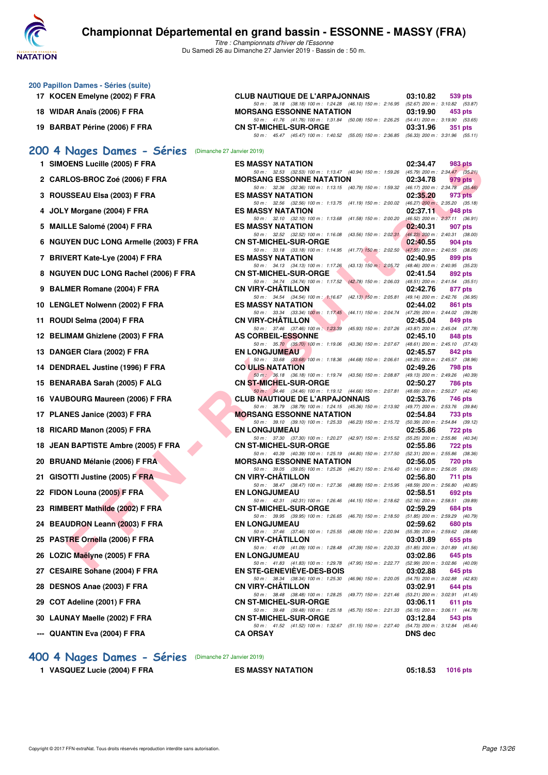

*Titre : Championnats d'hiver de l'Essonne* Du Samedi 26 au Dimanche 27 Janvier 2019 - Bassin de : 50 m.

| 200 Papillon Dames - Séries (suite)<br>17 KOCEN Emelyne (2002) F FRA | <b>CLUB NAUTIQUE DE L'ARPAJONNAIS</b>                                                                                           | 03:10.82<br>539 pts                                        |
|----------------------------------------------------------------------|---------------------------------------------------------------------------------------------------------------------------------|------------------------------------------------------------|
| 18 WIDAR Anaïs (2006) F FRA                                          | 50 m: 38.18 (38.18) 100 m: 1:24.28 (46.10) 150 m: 2:16.95 (52.67) 200 m: 3:10.82 (53.87)<br><b>MORSANG ESSONNE NATATION</b>     | 03:19.90<br>453 pts                                        |
| 19 BARBAT Périne (2006) F FRA                                        | 50 m: 41.76 (41.76) 100 m: 1:31.84 (50.08) 150 m: 2:26.25 (54.41) 200 m: 3:19.90 (53.65)                                        |                                                            |
|                                                                      | <b>CN ST-MICHEL-SUR-ORGE</b><br>50 m: 45.47 (45.47) 100 m: 1:40.52 (55.05) 150 m: 2:36.85 (56.33) 200 m: 3:31.96 (55.11)        | 03:31.96<br>351 pts                                        |
| 200 4 Nages Dames - Séries (Dimanche 27 Janvier 2019)                |                                                                                                                                 |                                                            |
| 1 SIMOENS Lucille (2005) F FRA                                       | <b>ES MASSY NATATION</b>                                                                                                        | 02:34.47<br>983 pts                                        |
| 2 CARLOS-BROC Zoé (2006) F FRA                                       | 50 m: 32.53 (32.53) 100 m: 1:13.47 (40.94) 150 m: 1:59.26 (45.79) 200 m: 2:34.47 (35.21)<br><b>MORSANG ESSONNE NATATION</b>     | 02:34.78<br>979 pts                                        |
| 3 ROUSSEAU Elsa (2003) F FRA                                         | 50 m: 32.36 (32.36) 100 m: 1:13.15 (40.79) 150 m: 1:59.32 (46.17) 200 m: 2:34.78 (35.46)<br>ES MASSY NATATION                   | 02:35.20<br>973 pts                                        |
| 4 JOLY Morgane (2004) F FRA                                          | 50 m : 32.56 (32.56) 100 m : 1:13.75 (41.19) 150 m : 2:00.02 (46.27) 200 m : 2:35.20 (35.18)<br>ES MASSY NATATION               | 02:37.11<br>948 pts                                        |
| 5 MAILLE Salomé (2004) F FRA                                         | 50 m: 32.10 (32.10) 100 m: 1:13.68 (41.58) 150 m: 2:00.20<br><b>ES MASSY NATATION</b>                                           | $(46.52)$ 200 m : 2:37.11 $(36.91)$<br>02:40.31<br>907 pts |
| 6 NGUYEN DUC LONG Armelle (2003) F FRA                               | 50 m: 32.52 (32.52) 100 m: 1:16.08 (43.56) 150 m: 2:02.31<br><b>CN ST-MICHEL-SUR-ORGE</b>                                       | $(46.23)$ 200 m : 2:40.31 (38.00)<br>02:40.55<br>904 pts   |
| 7 BRIVERT Kate-Lye (2004) F FRA                                      | 50 m: 33.18 (33.18) 100 m: 1:14.95 (41.77) 150 m: 2:02.50<br><b>ES MASSY NATATION</b>                                           | $(47.55)$ 200 m : 2:40.55 (38.05)<br>02:40.95<br>899 pts   |
|                                                                      | 50 m: 34.13 (34.13) 100 m: 1:17.26 (43.13) 150 m: 2:05.72                                                                       | (48.46) 200 m : 2:40.95 (35.23)                            |
| 8 NGUYEN DUC LONG Rachel (2006) F FRA                                | <b>CN ST-MICHEL-SUR-ORGE</b><br>50 m: 34.74 (34.74) 100 m: 1:17.52 (42.78) 150 m: 2:06.03 (48.51) 200 m: 2:41.54 (35.51)        | 02:41.54<br>892 pts                                        |
| 9 BALMER Romane (2004) F FRA                                         | <b>CN VIRY-CHATILLON</b><br>50 m: 34.54 (34.54) 100 m: 1:16.67 (42.13) 150 m: 2:05.81                                           | 02:42.76<br>877 pts<br>(49.14) 200 m : 2:42.76 (36.95)     |
| 10 LENGLET Nolwenn (2002) F FRA                                      | ES MASSY NATATION<br>50 m: 33.34 (33.34) 100 m: 1:17.45 (44.11) 150 m: 2:04.74                                                  | 02:44.02<br>861 pts<br>(47.29) 200 m : 2:44.02 (39.28)     |
| 11 ROUDI Selma (2004) F FRA                                          | CN VIRY-CHATILLON<br>50 m : 37.46 (37.46) 100 m : 1:23.39 (45.93) 150 m : 2:07.26                                               | 02:45.04<br>849 pts<br>$(43.87)$ 200 m : 2:45.04 $(37.78)$ |
| 12 BELIMAM Ghizlene (2003) F FRA                                     | <b>AS CORBEIL-ESSONNE</b><br>50 m: 35.70 (35.70) 100 m: 1:19.06 (43.36) 150 m: 2:07.67                                          | 02:45.10<br>848 pts<br>(48.61) 200 m : 2:45.10 (37.43)     |
| 13 DANGER Clara (2002) F FRA                                         | <b>EN LONGJUMEAU</b><br>50 m: 33.68 (33.68) 100 m: 1:18.36 (44.68) 150 m: 2:06.61                                               | 02:45.57<br>842 pts<br>(48.25) 200 m : 2:45.57 (38.96)     |
| 14 DENDRAEL Justine (1996) F FRA                                     | <b>CO ULIS NATATION</b>                                                                                                         | 02:49.26<br>798 pts                                        |
| 15 BENARABA Sarah (2005) F ALG                                       | 50 m : 36.18 (36.18) 100 m : 1:19.74 (43.56) 150 m : 2:08.87<br><b>CN ST-MICHEL-SUR-ORGE</b>                                    | (49.13) 200 m : 2:49.26 (40.39)<br>02:50.27<br>786 pts     |
| 16 VAUBOURG Maureen (2006) F FRA                                     | 50 m: 34.46 (34.46) 100 m: 1:19.12 (44.66) 150 m: 2:07.81<br>CLUB NAUTIQUE DE L'ARPAJONNAIS                                     | (48.69) 200 m : 2:50.27 (42.46)<br>02:53.76<br>746 pts     |
| 17 PLANES Janice (2003) F FRA                                        | 50 m: 38.79 (38.79) 100 m: 1:24.15 (45.36) 150 m: 2:13.92 (49.77) 200 m: 2:53.76 (39.84)<br><b>MORSANG ESSONNE NATATION</b>     | 02:54.84<br>733 pts                                        |
| 18 RICARD Manon (2005) F FRA                                         | 50 m : 39.10 (39.10) 100 m : 1:25.33 (46.23) 150 m : 2:15.72 (50.39) 200 m : 2:54.84 (39.12)<br>EN LONGJUMEAU                   | 02:55.86<br>722 pts                                        |
| 18 JEAN BAPTISTE Ambre (2005) F FRA                                  | 50 m : 37.30 (37.30) 100 m : 1:20.27 (42.97) 150 m : 2:15.52<br><b>CN ST-MICHEL-SUR-ORGE</b>                                    | (55.25) 200 m : 2:55.86 (40.34)<br>02:55.86<br>722 pts     |
| 20 BRUAND Mélanie (2006) F FRA                                       | 50 m : 40.39 (40.39) 100 m : 1:25.19 (44.80) 150 m : 2:17.50 (52.31) 200 m : 2:55.86 (38.36)<br><b>MORSANG ESSONNE NATATION</b> | 02:56.05<br>720 pts                                        |
| 21 GISOTTI Justine (2005) F FRA                                      | 50 m : 39.05 (39.05) 100 m : 1:25.26 (46.21) 150 m : 2:16.40 (51.14) 200 m : 2:56.05 (39.65)<br><b>CN VIRY-CHATILLON</b>        | 02:56.80<br>711 pts                                        |
| 22 FIDON Louna (2005) F FRA                                          | 50 m : 38.47 (38.47) 100 m : 1:27.36 (48.89) 150 m : 2:15.95 (48.59) 200 m : 2:56.80 (40.85)<br><b>EN LONGJUMEAU</b>            | 02:58.51<br>692 pts                                        |
| 23 RIMBERT Mathilde (2002) F FRA                                     | 50 m: 42.31 (42.31) 100 m: 1:26.46 (44.15) 150 m: 2:18.62<br>CN ST-MICHEL-SUR-ORGE                                              | $(52.16)$ 200 m : 2:58.51 $(39.89)$<br>02:59.29<br>684 pts |
| 24 BEAUDRON Leann (2003) F FRA                                       | 50 m: 39.95 (39.95) 100 m: 1:26.65<br>(46.70) 150 m : 2:18.50                                                                   | $(51.85)$ 200 m : 2:59.29 $(40.79)$                        |
|                                                                      | <b>EN LONGJUMEAU</b><br>50 m: 37.46 (37.46) 100 m: 1:25.55<br>(48.09) 150 m : 2:20.94                                           | 02:59.62<br>680 pts<br>(55.39) 200 m : 2:59.62 (38.68)     |
| 25 PASTRE Ornella (2006) F FRA                                       | <b>CN VIRY-CHATILLON</b><br>50 m: 41.09 (41.09) 100 m: 1:28.48 (47.39) 150 m: 2:20.33                                           | 03:01.89<br>655 pts<br>$(51.85)$ 200 m : 3:01.89 $(41.56)$ |
| 26 LOZIC Maëlyne (2005) F FRA                                        | <b>EN LONGJUMEAU</b><br>50 m : 41.83 (41.83) 100 m : 1:29.78<br>(47.95) 150 m : 2:22.77                                         | 03:02.86<br>645 pts<br>(52.99) 200 m : 3:02.86 (40.09)     |
| 27 CESAIRE Sohane (2004) F FRA                                       | <b>EN STE-GENEVIEVE-DES-BOIS</b><br>50 m : 38.34 (38.34) 100 m : 1:25.30 (46.96) 150 m : 2:20.05                                | 03:02.88<br>645 pts<br>(54.75) 200 m : 3:02.88 (42.83)     |
| 28 DESNOS Anae (2003) F FRA                                          | CN VIRY-CHATILLON<br>50 m: 38.48 (38.48) 100 m: 1:28.25 (49.77) 150 m: 2:21.46                                                  | 03:02.91<br>644 pts<br>(53.21) 200 m : 3:02.91 (41.45)     |
| 29 COT Adeline (2001) F FRA                                          | CN ST-MICHEL-SUR-ORGE<br>50 m: 39.48 (39.48) 100 m: 1:25.18<br>(45.70) 150 m : 2:21.33                                          | 03:06.11<br>611 pts<br>$(56.15)$ 200 m : 3:06.11 $(44.78)$ |
| 30 LAUNAY Maelle (2002) F FRA                                        | <b>CN ST-MICHEL-SUR-ORGE</b><br>50 m: 41.52 (41.52) 100 m: 1:32.67 (51.15) 150 m: 2:27.40                                       | 03:12.84<br>543 pts<br>(54.73) 200 m : 3:12.84 (45.44)     |
| <b>QUANTIN Eva (2004) F FRA</b>                                      | <b>CA ORSAY</b>                                                                                                                 | <b>DNS</b> dec                                             |

#### **[400 4 Nages Dames - Séries](http://www.ffnatation.fr/webffn/resultats.php?idact=nat&go=epr&idcpt=58437&idepr=42)** (Dimanche 27 Janvier 2019)

**1 VASQUEZ Lucie (2004) F FRA ES MASSY NATATION 05:18.53 1016 pts**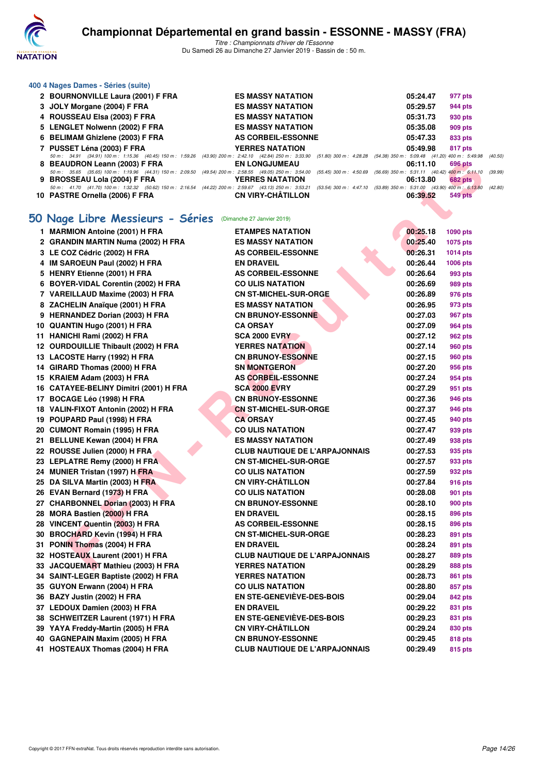

| 400 4 Nages Dames - Séries (suite)                                                                                                                                                           |                          |          |                |
|----------------------------------------------------------------------------------------------------------------------------------------------------------------------------------------------|--------------------------|----------|----------------|
| 2 BOURNONVILLE Laura (2001) F FRA                                                                                                                                                            | <b>ES MASSY NATATION</b> | 05:24.47 | 977 pts        |
| 3 JOLY Morgane (2004) F FRA                                                                                                                                                                  | <b>ES MASSY NATATION</b> | 05:29.57 | 944 pts        |
| 4 ROUSSEAU Elsa (2003) F FRA                                                                                                                                                                 | <b>ES MASSY NATATION</b> | 05:31.73 | 930 pts        |
| 5 LENGLET Nolwenn (2002) F FRA                                                                                                                                                               | <b>ES MASSY NATATION</b> | 05:35.08 | <b>909 pts</b> |
| 6 BELIMAM Ghizlene (2003) F FRA                                                                                                                                                              | AS CORBEIL-ESSONNE       | 05:47.33 | 833 pts        |
| 7 PUSSET Léna (2003) F FRA                                                                                                                                                                   | <b>YERRES NATATION</b>   | 05:49.98 | 817 pts        |
| 50 m : 34.91 (34.91) 100 m : 1:15.36 (40.45) 150 m : 1:59.26 (43.90) 200 m : 2:42.10 (42.84) 250 m : 3:33.90 (51.80) 300 m : 4:28.28 (54.38) 350 m : 5:09.48 (41.20) 400 m : 5:49.98 (40.50) |                          |          |                |
| 8 BEAUDRON Leann (2003) F FRA                                                                                                                                                                | <b>EN LONGJUMEAU</b>     | 06:11.10 | 696 pts        |
| 50 m: 35.65 (35.65) 100 m: 1:19.96 (44.31) 150 m: 2:09.50 (49.54) 200 m: 2:58.55 (49.05) 250 m: 3:54.00 (55.45) 300 m: 4:50.69 (56.69) 350 m: 5:31.11 (40.42) 400 m: 6:11.10 (39.99)         |                          |          |                |
| 9 BROSSEAU Lola (2004) F FRA                                                                                                                                                                 | <b>YERRES NATATION</b>   | 06:13.80 | <b>682 pts</b> |
| 50 m: 41.70 (41.70) 100 m: 1:32.32 (50.62) 150 m: 2:16.54 (44.22) 200 m: 2:59.67 (43.13) 250 m: 3:53.21 (53.54) 300 m: 4:47.10 (53.89) 350 m: 5:31.00 (43.90) 400 m: 6:13,80 (42.80)         |                          |          |                |
| 10 PASTRE Ornella (2006) F FRA                                                                                                                                                               | <b>CN VIRY-CHÂTILLON</b> | 06:39.52 | 549 pts        |

#### **[50 Nage Libre Messieurs - Séries](http://www.ffnatation.fr/webffn/resultats.php?idact=nat&go=epr&idcpt=58437&idepr=51)** (Dimanche 27 Janvier 2019)

| 8 BEAUDRON Leann (2003) F FRA                                                                                                                                                                                    | <b>EN LONGJUMEAU</b>                                 | 06:11.10             | 696 pts            |  |
|------------------------------------------------------------------------------------------------------------------------------------------------------------------------------------------------------------------|------------------------------------------------------|----------------------|--------------------|--|
| 50 m: 35.65 (35.65) 100 m: 1:19.96 (44.31) 150 m: 2:09.50 (49.54) 200 m: 2:58.55 (49.05) 250 m: 3:54.00 (55.45) 300 m: 4:50.69 (56.69) 350 m: 5:31.11 (40.42) 400 m: 6:11.10 (3:<br>9 BROSSEAU Lola (2004) F FRA | <b>YERRES NATATION</b>                               | 06:13.80             | 682 pts            |  |
| 50 m: 41.70 (41.70) 100 m: 1:32.32 (50.62) 150 m: 2:16.54 (44.22) 200 m: 2:59.67 (43.13) 250 m: 3:53.21 (53.54) 300 m: 4:47.10 (53.89) 350 m: 5:31.00 (43.90) 400 m: 6:13.80 (43                                 |                                                      |                      |                    |  |
| 10 PASTRE Ornella (2006) F FRA                                                                                                                                                                                   | <b>CN VIRY-CHATILLON</b>                             | 06:39.52             | <b>549 pts</b>     |  |
| 50 Nage Libre Messieurs - Séries                                                                                                                                                                                 | (Dimanche 27 Janvier 2019)                           |                      |                    |  |
| 1 MARMION Antoine (2001) H FRA                                                                                                                                                                                   | <b>ETAMPES NATATION</b>                              | 00:25.18             | <b>1090 pts</b>    |  |
| 2 GRANDIN MARTIN Numa (2002) H FRA                                                                                                                                                                               | <b>ES MASSY NATATION</b>                             | 00:25.40             | <b>1075 pts</b>    |  |
| 3 LE COZ Cédric (2002) H FRA                                                                                                                                                                                     | <b>AS CORBEIL-ESSONNE</b>                            | 00:26.31             | <b>1014 pts</b>    |  |
| 4 IM SAROEUN Paul (2002) H FRA                                                                                                                                                                                   | <b>EN DRAVEIL</b>                                    | 00:26.44             | <b>1006 pts</b>    |  |
| 5 HENRY Etienne (2001) H FRA                                                                                                                                                                                     | <b>AS CORBEIL-ESSONNE</b>                            | 00:26.64             | 993 pts            |  |
| 6 BOYER-VIDAL Corentin (2002) H FRA                                                                                                                                                                              | <b>CO ULIS NATATION</b>                              | 00:26.69             | 989 pts            |  |
| 7 VAREILLAUD Maxime (2003) H FRA                                                                                                                                                                                 | <b>CN ST-MICHEL-SUR-ORGE</b>                         | 00:26.89             | 976 pts            |  |
| 8 ZACHELIN Anaïque (2001) H FRA                                                                                                                                                                                  | <b>ES MASSY NATATION</b><br><b>CN BRUNOY-ESSONNE</b> | 00:26.95<br>00:27.03 | 973 pts            |  |
| 9 HERNANDEZ Dorian (2003) H FRA<br>10 QUANTIN Hugo (2001) H FRA                                                                                                                                                  | <b>CA ORSAY</b>                                      | 00:27.09             | 967 pts<br>964 pts |  |
| 11 HANICHI Rami (2002) H FRA                                                                                                                                                                                     | <b>SCA 2000 EVRY</b>                                 | 00:27.12             | 962 pts            |  |
| 12 OURDOUILLIE Thibault (2002) H FRA                                                                                                                                                                             | <b>YERRES NATATION</b>                               | 00:27.14             | 960 pts            |  |
| 13 LACOSTE Harry (1992) H FRA                                                                                                                                                                                    | <b>CN BRUNOY-ESSONNE</b>                             | 00:27.15             | <b>960 pts</b>     |  |
| 14 GIRARD Thomas (2000) H FRA                                                                                                                                                                                    | <b>SN MONTGERON</b>                                  | 00:27.20             | 956 pts            |  |
| 15 KRAIEM Adam (2003) H FRA                                                                                                                                                                                      | <b>AS CORBEIL-ESSONNE</b>                            | 00:27.24             | 954 pts            |  |
| 16 CATAYEE-BELINY Dimitri (2001) H FRA                                                                                                                                                                           | <b>SCA 2000 EVRY</b>                                 | 00:27.29             | 951 pts            |  |
| 17 BOCAGE Léo (1998) H FRA                                                                                                                                                                                       | <b>CN BRUNOY-ESSONNE</b>                             | 00:27.36             | 946 pts            |  |
| 18 VALIN-FIXOT Antonin (2002) H FRA                                                                                                                                                                              | <b>CN ST-MICHEL-SUR-ORGE</b>                         | 00:27.37             | 946 pts            |  |
| 19 POUPARD Paul (1998) H FRA                                                                                                                                                                                     | <b>CA ORSAY</b>                                      | 00:27.45             | 940 pts            |  |
| 20 CUMONT Romain (1995) H FRA                                                                                                                                                                                    | <b>CO ULIS NATATION</b>                              | 00:27.47             | 939 pts            |  |
| 21 BELLUNE Kewan (2004) H FRA                                                                                                                                                                                    | <b>ES MASSY NATATION</b>                             | 00:27.49             | 938 pts            |  |
| 22 ROUSSE Julien (2000) H FRA                                                                                                                                                                                    | <b>CLUB NAUTIQUE DE L'ARPAJONNAIS</b>                | 00:27.53             | 935 pts            |  |
| 23 LEPLATRE Remy (2000) H FRA                                                                                                                                                                                    | <b>CN ST-MICHEL-SUR-ORGE</b>                         | 00:27.57             | 933 pts            |  |
| 24 MUNIER Tristan (1997) H FRA                                                                                                                                                                                   | <b>CO ULIS NATATION</b>                              | 00:27.59             | 932 pts            |  |
| 25 DA SILVA Martin (2003) H FRA                                                                                                                                                                                  | <b>CN VIRY-CHÂTILLON</b>                             | 00:27.84             | 916 pts            |  |
| 26 EVAN Bernard (1973) H FRA                                                                                                                                                                                     | <b>CO ULIS NATATION</b>                              | 00:28.08             | 901 pts            |  |
| 27 CHARBONNEL Dorian (2003) H FRA                                                                                                                                                                                | <b>CN BRUNOY-ESSONNE</b>                             | 00:28.10             | 900 pts            |  |
| 28 MORA Bastien (2000) H FRA                                                                                                                                                                                     | <b>EN DRAVEIL</b><br><b>AS CORBEIL-ESSONNE</b>       | 00:28.15<br>00:28.15 | 896 pts            |  |
| 28 VINCENT Quentin (2003) H FRA<br>30 BROCHARD Kevin (1994) H FRA                                                                                                                                                | <b>CN ST-MICHEL-SUR-ORGE</b>                         | 00:28.23             | 896 pts<br>891 pts |  |
| 31 PONIN Thomas (2004) H FRA                                                                                                                                                                                     | <b>EN DRAVEIL</b>                                    | 00:28.24             | 891 pts            |  |
| 32 HOSTEAUX Laurent (2001) H FRA                                                                                                                                                                                 | <b>CLUB NAUTIQUE DE L'ARPAJONNAIS</b>                | 00:28.27             | 889 pts            |  |
| 33 JACQUEMART Mathieu (2003) H FRA                                                                                                                                                                               | <b>YERRES NATATION</b>                               | 00:28.29             | 888 pts            |  |
| 34 SAINT-LEGER Baptiste (2002) H FRA                                                                                                                                                                             | <b>YERRES NATATION</b>                               | 00:28.73             | 861 pts            |  |
| 35 GUYON Erwann (2004) H FRA                                                                                                                                                                                     | <b>CO ULIS NATATION</b>                              | 00:28.80             | 857 pts            |  |
| 36 BAZY Justin (2002) H FRA                                                                                                                                                                                      | <b>EN STE-GENEVIÈVE-DES-BOIS</b>                     | 00:29.04             | 842 pts            |  |
| 37 LEDOUX Damien (2003) H FRA                                                                                                                                                                                    | <b>EN DRAVEIL</b>                                    | 00:29.22             | 831 pts            |  |
| 38 SCHWEITZER Laurent (1971) H FRA                                                                                                                                                                               | EN STE-GENEVIÈVE-DES-BOIS                            | 00:29.23             | 831 pts            |  |
| 39 YAYA Freddy-Martin (2005) H FRA                                                                                                                                                                               | <b>CN VIRY-CHÂTILLON</b>                             | 00:29.24             | 830 pts            |  |
| 40 GAGNEPAIN Maxim (2005) H FRA                                                                                                                                                                                  | <b>CN BRUNOY-ESSONNE</b>                             | 00:29.45             | 818 pts            |  |
| 41 HOSTEAUX Thomas (2004) H FRA                                                                                                                                                                                  | <b>CLUB NAUTIQUE DE L'ARPAJONNAIS</b>                | 00:29.49             | 815 pts            |  |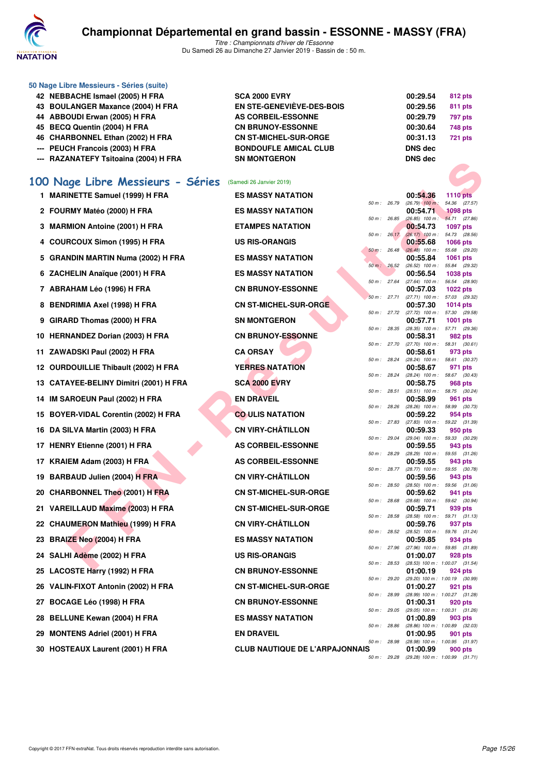

| 50 Nage Libre Messieurs - Séries (suite) |                              |                |                                  |                            |
|------------------------------------------|------------------------------|----------------|----------------------------------|----------------------------|
| 42 NEBBACHE Ismael (2005) H FRA          | <b>SCA 2000 EVRY</b>         |                | 00:29.54                         | 812 pts                    |
| 43 BOULANGER Maxance (2004) H FRA        | EN STE-GENEVIÈVE-DES-BOIS    |                | 00:29.56                         | 811 pts                    |
| 44 ABBOUDI Erwan (2005) H FRA            | <b>AS CORBEIL-ESSONNE</b>    |                | 00:29.79                         | 797 pts                    |
| 45 BECQ Quentin (2004) H FRA             | <b>CN BRUNOY-ESSONNE</b>     |                | 00:30.64                         | 748 pts                    |
| 46 CHARBONNEL Ethan (2002) H FRA         | <b>CN ST-MICHEL-SUR-ORGE</b> |                | 00:31.13                         | <b>721 pts</b>             |
| --- PEUCH Francois (2003) H FRA          | <b>BONDOUFLE AMICAL CLUB</b> |                | <b>DNS</b> dec                   |                            |
| --- RAZANATEFY Tsitoaina (2004) H FRA    | <b>SN MONTGERON</b>          |                | <b>DNS</b> dec                   |                            |
| 100 Nage Libre Messieurs - Séries        | (Samedi 26 Janvier 2019)     |                |                                  |                            |
| <b>MARINETTE Samuel (1999) H FRA</b>     | <b>ES MASSY NATATION</b>     |                | 00:54.36                         | <b>1110 pts</b>            |
| 2 FOURMY Matéo (2000) H FRA              | <b>ES MASSY NATATION</b>     | $50 m$ : 26.79 | $(26.79)$ 100 m :<br>00:54.71    | 54.36 (27.57<br>$1098$ pts |
|                                          |                              |                | $50 m$ $96.95$ $(96.95)$ $100 m$ | 54.71 (27.86               |

| -- RAZANATEFT ISIWAIIIA (2004) ITERA   | טחםטו ווטושו ווכ                      |              |              | טועט טוע                                        |                                  |         |
|----------------------------------------|---------------------------------------|--------------|--------------|-------------------------------------------------|----------------------------------|---------|
| 00 Nage Libre Messieurs - Séries       | (Samedi 26 Janvier 2019)              |              |              |                                                 |                                  |         |
| 1 MARINETTE Samuel (1999) H FRA        | <b>ES MASSY NATATION</b>              |              |              | 00:54.36                                        | <b>1110 pts</b>                  |         |
| 2 FOURMY Matéo (2000) H FRA            | <b>ES MASSY NATATION</b>              | 50 m : 26.79 |              | $(26.79)$ 100 m:<br>00:54.71                    | 54.36 (27.57)<br><b>1098 pts</b> |         |
|                                        |                                       | 50 m : 26.85 |              | $(26.85)$ 100 m : 54.71 (27.86)                 |                                  |         |
| 3 MARMION Antoine (2001) H FRA         | <b>ETAMPES NATATION</b>               | 50 m: 26.17  |              | 00:54.73<br>$(26.17)$ 100 m :                   | <b>1097 pts</b><br>54.73 (28.56) |         |
| 4 COURCOUX Simon (1995) H FRA          | <b>US RIS-ORANGIS</b>                 |              |              | 00:55.68                                        | <b>1066 pts</b>                  |         |
| 5 GRANDIN MARTIN Numa (2002) H FRA     | <b>ES MASSY NATATION</b>              |              | 50 m: 26.48  | $(26.48)$ 100 m :<br>00:55.84                   | 55.68 (29.20)<br>1061 pts        |         |
|                                        |                                       |              | 50 m: 26.52  | $(26.52)$ 100 m :                               | 55.84 (29.32)                    |         |
| 6 ZACHELIN Anaïque (2001) H FRA        | <b>ES MASSY NATATION</b>              | 50 m : 27.64 |              | 00:56.54<br>$(27.64)$ 100 m :                   | <b>1038 pts</b><br>56.54 (28.90) |         |
| 7 ABRAHAM Léo (1996) H FRA             | <b>CN BRUNOY-ESSONNE</b>              | 50 m: 27.71  |              | 00:57.03<br>$(27.71)$ 100 m :                   | 1022 pts<br>57.03 (29.32)        |         |
| 8 BENDRIMIA Axel (1998) H FRA          | <b>CN ST-MICHEL-SUR-ORGE</b>          |              |              | 00:57.30                                        | 1014 pts                         |         |
| 9 GIRARD Thomas (2000) H FRA           | <b>SN MONTGERON</b>                   |              | 50 m : 27.72 | $(27.72)$ 100 m :<br>00:57.71                   | 57.30 (29.58)<br>1001 pts        |         |
|                                        |                                       |              | 50 m : 28.35 | (28.35) 100 m: 57.71 (29.36)                    |                                  |         |
| 10 HERNANDEZ Dorian (2003) H FRA       | <b>CN BRUNOY-ESSONNE</b>              |              | 50 m : 27.70 | 00:58.31<br>$(27.70)$ 100 m : 58.31 $(30.61)$   | 982 pts                          |         |
| 11 ZAWADSKI Paul (2002) H FRA          | <b>CA ORSAY</b>                       |              |              | 00:58.61                                        | 973 pts                          |         |
| 12 OURDOUILLIE Thibault (2002) H FRA   | <b>YERRES NATATION</b>                |              | 50 m : 28.24 | $(28.24)$ 100 m : 58.61 $(30.37)$<br>00:58.67   | 971 pts                          |         |
| 13 CATAYEE-BELINY Dimitri (2001) H FRA | <b>SCA 2000 EVRY</b>                  | 50 m : 28.24 |              | $(28.24)$ 100 m : 58.67 $(30.43)$<br>00:58.75   |                                  | 968 pts |
|                                        |                                       | 50 m: 28.51  |              | (28.51) 100 m: 58.75 (30.24)                    |                                  |         |
| 14 IM SAROEUN Paul (2002) H FRA        | <b>EN DRAVEIL</b>                     | 50 m: 28.26  |              | 00:58.99<br>$(28.26)$ 100 m : 58.99 $(30.73)$   | 961 pts                          |         |
| 15 BOYER-VIDAL Corentin (2002) H FRA   | <b>CO ULIS NATATION</b>               |              |              | 00:59.22                                        | 954 pts                          |         |
| 16 DA SILVA Martin (2003) H FRA        | <b>CN VIRY-CHÂTILLON</b>              | 50 m : 27.83 |              | (27.83) 100 m : 59.22 (31.39)<br>00:59.33       | 950 pts                          |         |
| 17 HENRY Etienne (2001) H FRA          | AS CORBEIL-ESSONNE                    |              | 50 m : 29.04 | (29.04) 100 m : 59.33 (30.29)<br>00:59.55       | 943 pts                          |         |
|                                        |                                       |              | 50 m : 28.29 | $(28.29)$ 100 m : 59.55 $(31.26)$               |                                  |         |
| 17 KRAIEM Adam (2003) H FRA            | <b>AS CORBEIL-ESSONNE</b>             |              | 50 m : 28.77 | 00:59.55<br>(28.77) 100 m : 59.55 (30.78)       | 943 pts                          |         |
| 19 BARBAUD Julien (2004) H FRA         | <b>CN VIRY-CHÂTILLON</b>              |              |              | 00:59.56                                        | 943 pts                          |         |
| 20 CHARBONNEL Theo (2001) H FRA        | <b>CN ST-MICHEL-SUR-ORGE</b>          | 50 m: 28.50  |              | $(28.50)$ 100 m : 59.56 $(31.06)$<br>00:59.62   |                                  | 941 pts |
| 21 VAREILLAUD Maxime (2003) H FRA      | <b>CN ST-MICHEL-SUR-ORGE</b>          | 50 m : 28.68 |              | (28.68) 100 m : 59.62 (30.94)<br>00:59.71       | 939 pts                          |         |
|                                        |                                       | 50 m : 28.58 |              | $(28.58)$ 100 m : 59.71 $(31.13)$               |                                  |         |
| 22 CHAUMERON Mathieu (1999) H FRA      | <b>CN VIRY-CHATILLON</b>              |              | 50 m: 28.52  | 00:59.76<br>(28.52) 100 m: 59.76 (31.24)        | 937 pts                          |         |
| 23 BRAIZE Neo (2004) H FRA             | <b>ES MASSY NATATION</b>              |              |              | 00:59.85                                        |                                  | 934 pts |
| 24 SALHI Adème (2002) H FRA            | <b>US RIS-ORANGIS</b>                 |              | 50 m : 27.96 | $(27.96)$ 100 m : 59.85 $(31.89)$<br>01:00.07   | 928 pts                          |         |
|                                        | <b>CN BRUNOY-ESSONNE</b>              | 50 m: 28.53  |              | $(28.53)$ 100 m : 1:00.07 $(31.54)$<br>01:00.19 | 924 pts                          |         |
| 25 LACOSTE Harry (1992) H FRA          |                                       |              |              | 50 m : 29.20 (29.20) 100 m : 1:00.19 (30.99)    |                                  |         |
| 26 VALIN-FIXOT Antonin (2002) H FRA    | <b>CN ST-MICHEL-SUR-ORGE</b>          |              | 50 m : 28.99 | 01:00.27<br>(28.99) 100 m: 1:00.27 (31.28)      |                                  | 921 pts |
| 27 BOCAGE Léo (1998) H FRA             | <b>CN BRUNOY-ESSONNE</b>              |              |              | 01:00.31                                        | 920 pts                          |         |
| 28 BELLUNE Kewan (2004) H FRA          | <b>ES MASSY NATATION</b>              |              | 50 m : 29.05 | (29.05) 100 m: 1:00.31 (31.26)<br>01:00.89      | 903 pts                          |         |
|                                        |                                       |              | 50 m : 28.86 | $(28.86)$ 100 m : 1:00.89 $(32.03)$             |                                  |         |
| 29 MONTENS Adriel (2001) H FRA         | <b>EN DRAVEIL</b>                     |              | 50 m : 28.98 | 01:00.95<br>(28.98) 100 m : 1:00.95 (31.97)     | 901 pts                          |         |
| 30 HOSTEAUX Laurent (2001) H FRA       | <b>CLUB NAUTIQUE DE L'ARPAJONNAIS</b> |              |              | 01:00.99                                        | 900 pts                          |         |
|                                        |                                       |              | 50 m : 29.28 | $(29.28)$ 100 m : 1:00.99 $(31.71)$             |                                  |         |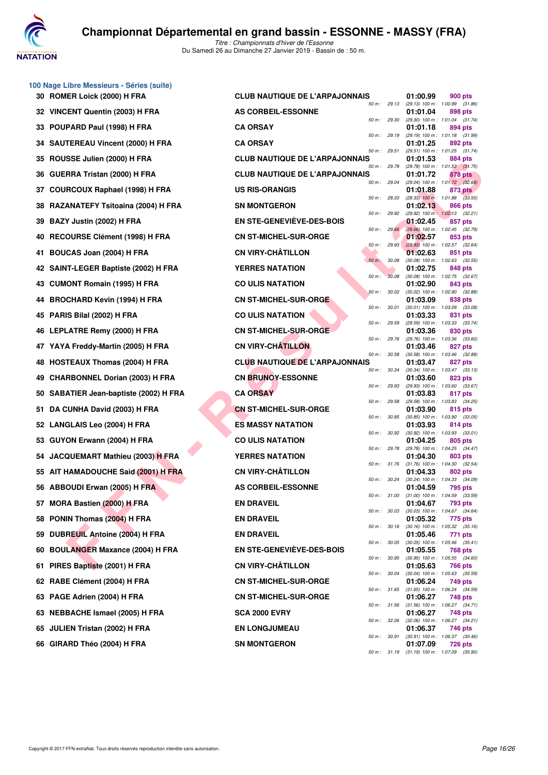

**100 Nage Libre Messieurs - Séries (suite)**

| 30 ROMER Loick (2000) H FRA                 | <b>CLUB NAUTIQUE DE L'ARPAJONNAIS</b>                       |              | 01:00.99 | 900 pts                                                                               |
|---------------------------------------------|-------------------------------------------------------------|--------------|----------|---------------------------------------------------------------------------------------|
| 32 VINCENT Quentin (2003) H FRA             | 50 m: 29.13<br><b>AS CORBEIL-ESSONNE</b>                    |              | 01:01.04 | (29.13) 100 m: 1:00.99 (31.86)<br>898 pts                                             |
| POUPARD Paul (1998) H FRA<br>33             | 50 m: 29.30<br><b>CA ORSAY</b>                              |              | 01:01.18 | (29.30) 100 m: 1:01.04 (31.74)<br>894 pts                                             |
| <b>SAUTEREAU Vincent (2000) H FRA</b><br>34 | 50 m : 29.19<br><b>CA ORSAY</b>                             |              | 01:01.25 | (29.19) 100 m : 1:01.18 (31.99)<br>892 pts                                            |
| ROUSSE Julien (2000) H FRA<br>35            | 50 m: 29.51<br><b>CLUB NAUTIQUE DE L'ARPAJONNAIS</b>        |              | 01:01.53 | (29.51) 100 m: 1:01.25 (31.74)<br>884 pts                                             |
| GUERRA Tristan (2000) H FRA<br>36           | 50 m : 29.78<br><b>CLUB NAUTIQUE DE L'ARPAJONNAIS</b>       |              | 01:01.72 | $(29.78)$ 100 m : 1:01.53 $(31.75)$<br>878 pts                                        |
| <b>COURCOUX Raphael (1998) H FRA</b><br>37  | 50 m: 29.04<br><b>US RIS-ORANGIS</b>                        |              | 01:01.88 | $(29.04)$ 100 m : 1:01.72 $(32.68)$<br>873 pts                                        |
| RAZANATEFY Tsitoaina (2004) H FRA<br>38     | 50 m: 28.33<br><b>SN MONTGERON</b>                          |              | 01:02.13 | $(28.33)$ 100 m : 1:01.88 $(33.55)$<br>866 pts                                        |
| BAZY Justin (2002) H FRA<br>39              | 50 m : 29.92<br>EN STE-GENEVIÈVE-DES-BOIS                   |              | 01:02.45 | (29.92) 100 m: 1:02.13 (32.21)<br>857 pts                                             |
| RECOURSE Clément (1998) H FRA<br>40         | 50 m: 29.66<br><b>CN ST-MICHEL-SUR-ORGE</b>                 |              | 01:02.57 | (29.66) 100 m : 1:02.45 (32.79)<br>853 pts                                            |
| BOUCAS Joan (2004) H FRA<br>41              | 50 m: 29.93<br><b>CN VIRY-CHÂTILLON</b>                     |              | 01:02.63 | $(29.93)$ 100 m : 1:02.57 $(32.64)$<br>851 pts                                        |
| SAINT-LEGER Baptiste (2002) H FRA<br>42.    | 50 m : 30.08<br><b>YERRES NATATION</b>                      |              | 01:02.75 | $(30.08)$ 100 m : 1:02.63 $(32.55)$<br>848 pts                                        |
| <b>CUMONT Romain (1995) H FRA</b><br>43     | 50 m: 30.08<br><b>CO ULIS NATATION</b>                      |              | 01:02.90 | (30.08) 100 m: 1:02.75 (32.67)<br>843 pts                                             |
| <b>BROCHARD Kevin (1994) H FRA</b><br>44    | 50 m: 30.02<br><b>CN ST-MICHEL-SUR-ORGE</b>                 |              | 01:03.09 | (30.02) 100 m: 1:02.90 (32.88)<br>838 pts                                             |
| 45 PARIS Bilal (2002) H FRA                 | 50 m : 30.01<br><b>CO ULIS NATATION</b>                     |              | 01:03.33 | $(30.01)$ 100 m : 1:03.09 $(33.08)$<br>831 pts                                        |
| LEPLATRE Remy (2000) H FRA<br>46.           | 50 m : 29.59<br><b>CN ST-MICHEL-SUR-ORGE</b>                |              | 01:03.36 | (29.59) 100 m: 1:03.33 (33.74)<br>830 pts                                             |
| 47 YAYA Freddy-Martin (2005) H FRA          | 50 m : 29.76<br><b>CN VIRY-CHÂTILLON</b>                    |              | 01:03.46 | (29.76) 100 m: 1:03.36 (33.60)<br>827 pts                                             |
| <b>HOSTEAUX Thomas (2004) H FRA</b><br>48   | 50 m : 30.58<br><b>CLUB NAUTIQUE DE L'ARPAJONNAIS</b>       |              | 01:03.47 | $(30.58)$ 100 m : 1:03.46 $(32.88)$<br>827 pts                                        |
| <b>CHARBONNEL Dorian (2003) H FRA</b><br>49 | 50 m : 30.34<br><b>CN BRUNOY-ESSONNE</b>                    |              | 01:03.60 | $(30.34)$ 100 m : 1:03.47 $(33.13)$<br>823 pts                                        |
| SABATIER Jean-baptiste (2002) H FRA<br>50   | 50 m : 29.93<br><b>CA ORSAY</b>                             |              | 01:03.83 | (29.93) 100 m: 1:03.60 (33.67)<br>817 pts                                             |
| DA CUNHA David (2003) H FRA<br>51           | 50 m : 29.58<br><b>CN ST-MICHEL-SUR-ORGE</b>                |              | 01:03.90 | (29.58) 100 m: 1:03.83 (34.25)<br>815 pts                                             |
| 52 LANGLAIS Leo (2004) H FRA                | 50 m : 30.85<br><b>ES MASSY NATATION</b>                    |              | 01:03.93 | $(30.85)$ 100 m : 1:03.90 $(33.05)$<br>814 pts                                        |
| GUYON Erwann (2004) H FRA<br>53.            | 50 m : 30.92<br><b>CO ULIS NATATION</b>                     |              | 01:04.25 | $(30.92)$ 100 m : 1:03.93 $(33.01)$<br>805 pts                                        |
| JACQUEMART Mathieu (2003) H FRA<br>54       | 50 m : 29.78<br><b>YERRES NATATION</b>                      |              | 01:04.30 | (29.78) 100 m: 1:04.25 (34.47)<br>803 pts                                             |
| AIT HAMADOUCHE Said (2001) H FRA<br>55      | 50 m : 31.76<br><b>CN VIRY-CHÂTILLON</b>                    |              | 01:04.33 | $(31.76)$ 100 m : 1:04.30 $(32.54)$<br>802 pts                                        |
| 56 ABBOUDI Erwan (2005) H FRA               | 50 m : 30.24<br><b>AS CORBEIL-ESSONNE</b>                   |              | 01:04.59 | $(30.24)$ 100 m : 1:04.33 $(34.09)$<br>795 pts                                        |
| 57 MORA Bastien (2000) H FRA                | 50 m: 31.00<br><b>EN DRAVEIL</b>                            |              | 01:04.67 | $(31.00)$ 100 m : 1:04.59 $(33.59)$<br>793 pts                                        |
| 58 PONIN Thomas (2004) H FRA                | <b>EN DRAVEIL</b>                                           | 50 m : 30.03 | 01:05.32 | $(30.03)$ 100 m : 1:04.67 $(34.64)$<br>775 pts                                        |
| 59 DUBREUIL Antoine (2004) H FRA            | <b>EN DRAVEIL</b>                                           | 50 m : 30.16 | 01:05.46 | $(30.16)$ 100 m : 1:05.32 $(35.16)$<br>771 pts                                        |
| <b>BOULANGER Maxance (2004) H FRA</b><br>60 | EN STE-GENEVIÈVE-DES-BOIS<br>50 m : 30.95                   | 50 m : 30.05 | 01:05.55 | $(30.05)$ 100 m : 1:05.46 $(35.41)$<br>768 pts<br>$(30.95)$ 100 m : 1:05.55 $(34.60)$ |
| PIRES Baptiste (2001) H FRA<br>61           | <b>CN VIRY-CHÂTILLON</b>                                    | 50 m : 30.04 | 01:05.63 | 766 pts<br>$(30.04)$ 100 m : 1:05.63 $(35.59)$                                        |
| 62 RABE Clément (2004) H FRA                | <b>CN ST-MICHEL-SUR-ORGE</b>                                |              | 01:06.24 | 749 pts                                                                               |
| 63 PAGE Adrien (2004) H FRA                 | 50 m : 31.65<br><b>CN ST-MICHEL-SUR-ORGE</b><br>50 m: 31.56 |              | 01:06.27 | $(31.65)$ 100 m : 1:06.24 $(34.59)$<br>748 pts<br>$(31.56)$ 100 m : 1:06.27 $(34.71)$ |
| 63 NEBBACHE Ismael (2005) H FRA             | SCA 2000 EVRY<br>50 m : 32.06                               |              | 01:06.27 | 748 pts<br>(32.06) 100 m: 1:06.27 (34.21)                                             |
| 65 JULIEN Tristan (2002) H FRA              | <b>EN LONGJUMEAU</b>                                        | 50 m : 30.91 | 01:06.37 | 746 pts<br>$(30.91)$ 100 m : 1:06.37 $(35.46)$                                        |
| 66 GIRARD Théo (2004) H FRA                 | <b>SN MONTGERON</b>                                         | 50 m : 31.19 | 01:07.09 | <b>726 pts</b>                                                                        |
|                                             |                                                             |              |          | $(31.19)$ 100 m : 1:07.09 $(35.90)$                                                   |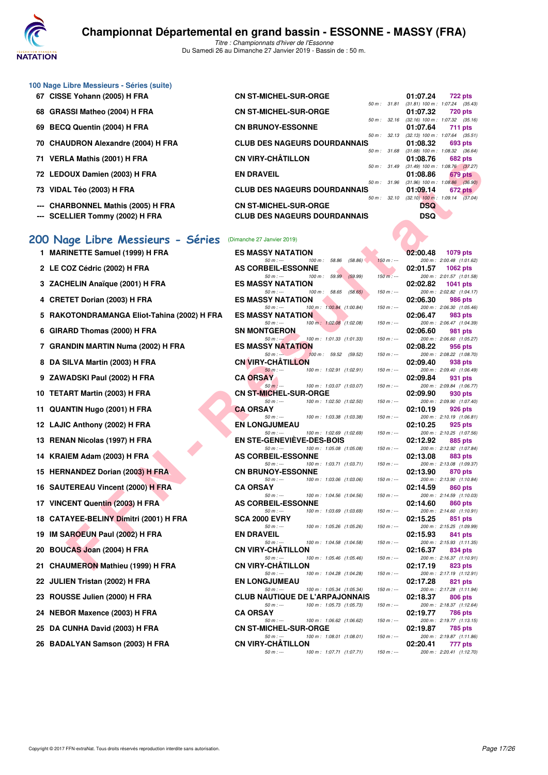

|    | 100 Nage Libre Messieurs - Séries (suite)<br>67 CISSE Yohann (2005) H FRA | <b>CN ST-MICHEL-SUR-ORGE</b>                                                   |               | 01:07.24<br>722 pts                                         |
|----|---------------------------------------------------------------------------|--------------------------------------------------------------------------------|---------------|-------------------------------------------------------------|
| 68 | <b>GRASSI Matheo (2004) H FRA</b>                                         | <b>CN ST-MICHEL-SUR-ORGE</b>                                                   | 50 m: 31.81   | $(31.81)$ 100 m : 1:07.24 $(35.43)$<br>01:07.32<br>720 pts  |
| 69 | BECQ Quentin (2004) H FRA                                                 | <b>CN BRUNOY-ESSONNE</b>                                                       | 50 m: 32.16   | $(32.16)$ 100 m : 1:07.32 $(35.16)$<br>01:07.64<br>711 pts  |
| 70 | <b>CHAUDRON Alexandre (2004) H FRA</b>                                    | <b>CLUB DES NAGEURS DOURDANNAIS</b>                                            | 50 m: 32.13   | $(32.13)$ 100 m : 1:07.64<br>(35.51)<br>01:08.32<br>693 pts |
| 71 | VERLA Mathis (2001) H FRA                                                 | <b>CN VIRY-CHÂTILLON</b>                                                       | 50 m: 31.68   | $(31.68)$ 100 m : 1:08.32 $(36.64)$<br>01:08.76<br>682 pts  |
|    | 72 LEDOUX Damien (2003) H FRA                                             | <b>EN DRAVEIL</b>                                                              | 50 m: 31.49   | $(31.49)$ 100 m : 1:08.76 $(37.27)$<br>01:08.86<br>679 pts  |
|    | 73 VIDAL Téo (2003) H FRA                                                 | <b>CLUB DES NAGEURS DOURDANNAIS</b>                                            | 50 m: 31.96   | $(31.96)$ 100 m : 1:08.86 $(36.90)$<br>01:09.14<br>672 pts  |
|    | <b>CHARBONNEL Mathis (2005) H FRA</b>                                     | <b>CN ST-MICHEL-SUR-ORGE</b>                                                   | 50 m: 32.10   | $(32.10)$ 100 m : 1:09.14 $(37.04)$<br>DSQ                  |
|    | <b>SCELLIER Tommy (2002) H FRA</b>                                        | <b>CLUB DES NAGEURS DOURDANNAIS</b>                                            |               | <b>DSQ</b>                                                  |
|    |                                                                           |                                                                                |               |                                                             |
|    | 200 Nage Libre Messieurs - Séries<br>1 MARINETTE Samuel (1999) H FRA      | (Dimanche 27 Janvier 2019)<br><b>ES MASSY NATATION</b>                         |               | 02:00.48<br><b>1079 pts</b>                                 |
|    |                                                                           | $50 m: -$<br>100 m: 58.86<br>(58.86)                                           | $150 m : -$   | 200 m: 2:00.48 (1:01.62)                                    |
|    | 2 LE COZ Cédric (2002) H FRA                                              | <b>AS CORBEIL-ESSONNE</b><br>$50 m: -$<br>100 m: 59.99<br>(59.99)              | $150 m$ : --- | 02:01.57<br>1062 pts<br>200 m: 2:01.57 (1:01.58)            |
|    | 3 ZACHELIN Anaïque (2001) H FRA                                           | <b>ES MASSY NATATION</b><br>$50 m: -$<br>(58.65)<br>100 m : 58.65              | $150 m: -$    | 02:02.82<br>1041 pts<br>200 m: 2:02.82 (1:04.17)            |
|    | <b>CRETET Dorian (2003) H FRA</b>                                         | <b>ES MASSY NATATION</b><br>100 m: 1:00.84 (1:00.84)<br>$50 m: -$              | $150 m : -$   | 02:06.30<br>986 pts<br>200 m: 2:06.30 (1:05.46)             |
|    | RAKOTONDRAMANGA Eliot-Tahina (2002) H FRA                                 | <b>ES MASSY NATATION</b><br>$50 m: -$<br>100 m: 1:02.08 (1:02.08)              | $150 m: -$    | 02:06.47<br>983 pts<br>200 m: 2:06.47 (1:04.39)             |
| 6  | GIRARD Thomas (2000) H FRA                                                | <b>SN MONTGERON</b><br>$50 m : -$<br>100 m: 1:01.33 (1:01.33)                  | $150 m: -$    | 02:06.60<br>981 pts<br>200 m: 2:06.60 (1:05.27)             |
|    | 7 GRANDIN MARTIN Numa (2002) H FRA                                        | <b>ES MASSY NATATION</b><br>$50 m: -$<br>100 m : 59.52 (59.52)                 | $150 m : -$   | 02:08.22<br>956 pts<br>200 m: 2:08.22 (1:08.70)             |
| 8  | DA SILVA Martin (2003) H FRA                                              | <b>CN VIRY-CHATILLON</b><br>$50 m: -$<br>100 m: 1:02.91 (1:02.91)              | $150 m: -$    | 02:09.40<br>938 pts<br>200 m: 2:09.40 (1:06.49)             |
|    | ZAWADSKI Paul (2002) H FRA                                                | <b>CA ORSAY</b><br>$50 m: -$<br>100 m: 1:03.07 (1:03.07)                       | $150 m: -$    | 02:09.84<br>931 pts<br>200 m: 2:09.84 (1:06.77)             |
|    | 10 TETART Martin (2003) H FRA                                             | <b>CN ST-MICHEL-SUR-ORGE</b><br>$50 m: -$<br>100 m: 1:02.50 (1:02.50)          | $150 m : -$   | 02:09.90<br>930 pts<br>200 m: 2:09.90 (1:07.40)             |
|    | 11 QUANTIN Hugo (2001) H FRA                                              | <b>CA ORSAY</b><br>$50 m: -$<br>100 m: 1:03.38 (1:03.38)                       | $150 m: -$    | 02:10.19<br>926 pts<br>200 m: 2:10.19 (1:06.81)             |
|    | 12 LAJIC Anthony (2002) H FRA                                             | <b>EN LONGJUMEAU</b><br>$50 m: -$                                              | $150 m: -$    | 02:10.25<br>925 pts                                         |
|    | 13 RENAN Nicolas (1997) H FRA                                             | 100 m: 1:02.69 (1:02.69)<br><b>EN STE-GENEVIEVE-DES-BOIS</b>                   |               | 200 m: 2:10.25 (1:07.56)<br>02:12.92<br>885 pts             |
| 14 | KRAIEM Adam (2003) H FRA                                                  | $50 m: -$<br>100 m: 1:05.08 (1:05.08)<br><b>AS CORBEIL-ESSONNE</b>             | $150 m : -$   | 200 m: 2:12.92 (1:07.84)<br>02:13.08<br>883 pts             |
|    | 15 HERNANDEZ Dorian (2003) H FRA                                          | 100 m: 1:03.71 (1:03.71)<br>$50 m: -$<br><b>CN BRUNOY-ESSONNE</b>              | $150 m: -$    | 200 m: 2:13.08 (1:09.37)<br>02:13.90<br>870 pts             |
|    | 16 SAUTEREAU Vincent (2000) H FRA                                         | $50 m: -$<br>100 m: 1:03.06 (1:03.06)<br><b>CA ORSAY</b>                       | $150 m: -$    | 200 m: 2:13.90 (1:10.84)<br>02:14.59<br>860 pts             |
|    | 17 VINCENT Quentin (2003) H FRA                                           | $50 m: -$<br>100 m: 1:04.56 (1:04.56)<br><b>AS CORBEIL-ESSONNE</b>             | $150 m : -$   | 200 m: 2:14.59 (1:10.03)<br>02:14.60<br>860 pts             |
|    | 18 CATAYEE-BELINY Dimitri (2001) H FRA                                    | 100 m: 1:03.69 (1:03.69)<br>$50 m$ : $-$<br><b>SCA 2000 EVRY</b>               | $150 m : -$   | 200 m: 2:14.60 (1:10.91)<br>02:15.25<br>851 pts             |
| 19 | IM SAROEUN Paul (2002) H FRA                                              | $50 m: -$<br>100 m: 1:05.26 (1:05.26)<br><b>EN DRAVEIL</b>                     | $150 m: -$    | 200 m: 2:15.25 (1:09.99)<br>02:15.93<br>841 pts             |
| 20 | BOUCAS Joan (2004) H FRA                                                  | $50 m: -$<br>100 m: 1:04.58 (1:04.58)<br><b>CN VIRY-CHATILLON</b>              | $150 m: -$    | 200 m : 2:15.93 (1:11.35)<br>02:16.37<br>834 pts            |
|    | 21 CHAUMERON Mathieu (1999) H FRA                                         | $50 m: -$<br>100 m: 1:05.46 (1:05.46)<br><b>CN VIRY-CHATILLON</b>              | $150 m : -$   | 200 m: 2:16.37 (1:10.91)<br>02:17.19<br>823 pts             |
|    | 22 JULIEN Tristan (2002) H FRA                                            | $50 m: -$<br>100 m: 1:04.28 (1:04.28)<br><b>EN LONGJUMEAU</b>                  | $150 m : -$   | 200 m: 2:17.19 (1:12.91)<br>02:17.28<br>821 pts             |
|    | 23 ROUSSE Julien (2000) H FRA                                             | $50 m: -$<br>100 m: 1:05.34 (1:05.34)<br><b>CLUB NAUTIQUE DE L'ARPAJONNAIS</b> | $150 m : -$   | 200 m: 2:17.28 (1:11.94)<br>02:18.37<br>806 pts             |
| 24 | NEBOR Maxence (2003) H FRA                                                | $50 m: -$<br>100 m: 1:05.73 (1:05.73)<br><b>CA ORSAY</b>                       | $150 m : -$   | 200 m : 2:18.37 (1:12.64)<br>02:19.77                       |
|    |                                                                           | 100 m: 1:06.62 (1:06.62)<br>50 m : ---                                         | $150 m : -$   | 786 pts<br>200 m: 2:19.77 (1:13.15)                         |
| 25 | DA CUNHA David (2003) H FRA                                               | <b>CN ST-MICHEL-SUR-ORGE</b><br>$50 m: -$<br>100 m: 1:08.01 (1:08.01)          | $150 m : -$   | 02:19.87<br>785 pts<br>200 m: 2:19.87 (1:11.86)             |
|    | 26 BADALYAN Samson (2003) H FRA                                           | <b>CN VIRY-CHATILLON</b><br>100 m: 1:07.71 (1:07.71)<br>$50 m: -$              | $150 m : -$   | 02:20.41<br>777 pts<br>200 m: 2:20.41 (1:12.70)             |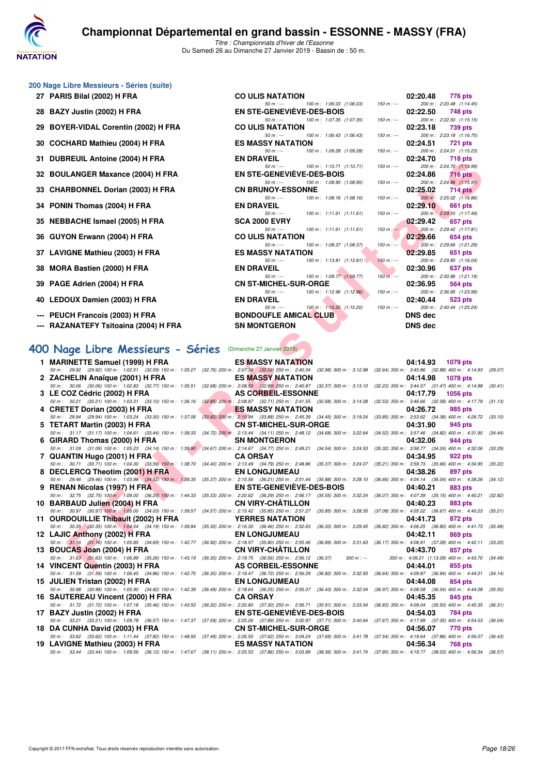

|  |  | 200 Nage Libre Messieurs - Séries (suite) |  |  |
|--|--|-------------------------------------------|--|--|
|--|--|-------------------------------------------|--|--|

| 27 PARIS Bilal (2002) H FRA           | <b>CO ULIS NATATION</b>                                     | 02:20.48<br>776 pts                                            |
|---------------------------------------|-------------------------------------------------------------|----------------------------------------------------------------|
|                                       | 100 m: 1:06.03 (1:06.03)<br>$50 m: -$                       | $150 m : -$<br>200 m: 2:20.48 (1:14.45)                        |
| 28 BAZY Justin (2002) H FRA           | <b>EN STE-GENEVIÈVE-DES-BOIS</b>                            | 02:22.50<br>748 pts                                            |
|                                       | 100 m : 1:07.35 (1:07.35)<br>$50 m: -$                      | 200 m: 2:22.50 (1:15.15)<br>$150 m : -$                        |
| 29 BOYER-VIDAL Corentin (2002) H FRA  | <b>CO ULIS NATATION</b>                                     | 02:23.18<br>739 pts                                            |
|                                       | $50 m: -$<br>100 m : 1.06.43 (1.06.43)                      | $150 m: -$<br>200 m: 2:23.18 (1:16.75)                         |
| 30 COCHARD Mathieu (2004) H FRA       | <b>ES MASSY NATATION</b>                                    | 02:24.51<br><b>721 pts</b>                                     |
|                                       | 100 m: 1:09.28 (1:09.28)<br>$50 m : -$                      | $150 m: -$<br>200 m: 2:24.51 (1:15.23)                         |
| 31 DUBREUIL Antoine (2004) H FRA      | <b>EN DRAVEIL</b>                                           | 02:24.70<br>718 pts                                            |
|                                       | 100 m : 1:10.71 (1:10.71)<br>$50 m: -$                      | $150 m: -$<br>200 m: 2:24.70 (1:13.99)                         |
| 32 BOULANGER Maxance (2004) H FRA     | EN STE-GENEVIEVE-DES-BOIS                                   | 02:24.86<br><b>716 pts</b>                                     |
|                                       | 100 m : 1:08.95 (1:08.95)<br>$50 m: -$                      | 200 m: 2:24.86 (1:15.91)<br>$150 m : -$                        |
| 33 CHARBONNEL Dorian (2003) H FRA     | <b>CN BRUNOY-ESSONNE</b>                                    | 02:25.02<br>714 pts                                            |
|                                       | 100 m : 1:08.16 (1:08.16)<br>$50 m: -$<br><b>EN DRAVEIL</b> | 200 m: 2:25.02 (1:16.86)<br>$150 m : -$                        |
| 34 PONIN Thomas (2004) H FRA          | $50 m$ : $ 100 m$ : $1:11.61$ $(1:11.61)$                   | 02:29.10<br>661 pts<br>200 m: 2:29.10 (1:17.49)<br>$150 m : -$ |
| 35 NEBBACHE Ismael (2005) H FRA       | <b>SCA 2000 EVRY</b>                                        | 02:29.42<br>657 pts                                            |
|                                       | $50 m$ : $\leftarrow$ $100 m$ : $1:11.61$ $(1:11.61)$       | $150 \text{ m}$ : $-200 \text{ m}$ : 2.29.42 (1:17.81)         |
| 36 GUYON Erwann (2004) H FRA          | <b>CO ULIS NATATION</b>                                     | 02:29.66<br>654 pts                                            |
|                                       | 100 m: 1:08.37 (1:08.37)<br>$50 m: -$                       | 200 m: 2:29.66 (1:21.29)<br>$150 \text{ m}$ : $\sim$           |
| 37 LAVIGNE Mathieu (2003) H FRA       | <b>ES MASSY NATATION</b>                                    | 02:29.85<br>651 pts                                            |
|                                       | $100 \text{ m}: 1:13.81 (1:13.81)$<br>$50 m: -$             | 200 m: 2:29.85 (1:16.04)<br>$150 m: -$                         |
| 38 MORA Bastien (2000) H FRA          | <b>EN DRAVEIL</b>                                           | 02:30.96<br>637 pts                                            |
|                                       | 50 m : --- 100 m : 1:09.77 (1:09.77)                        | 200 m: 2:30.96 (1:21.19)<br>$150 m : -$                        |
| 39 PAGE Adrien (2004) H FRA           | <b>CN ST-MICHEL-SUR-ORGE</b>                                | 02:36.95<br>564 pts                                            |
|                                       | 100 m: 1:12.96 (1:12.96)<br>$50 m: -$                       | 200 m: 2:36.95 (1:23.99)<br>$150 m : -$                        |
| 40 LEDOUX Damien (2003) H FRA         | <b>EN DRAVEIL</b>                                           | 02:40.44<br>523 pts                                            |
|                                       | 100 m : 1:15.20 (1:15.20)<br>$50 m: -$                      | $150 m : -$<br>200 m : 2:40.44 (1:25.24)                       |
| --- PEUCH Francois (2003) H FRA       | <b>BONDOUFLE AMICAL CLUB</b>                                | DNS dec                                                        |
| --- RAZANATEFY Tsitoaina (2004) H FRA | <b>SN MONTGERON</b>                                         | DNS dec                                                        |
|                                       |                                                             |                                                                |

# **[400 Nage Libre Messieurs - Séries](http://www.ffnatation.fr/webffn/resultats.php?idact=nat&go=epr&idcpt=58437&idepr=54)** (Dimanche 27 Janvier 2019)

| 31 DOBREGIE AIROING (2004) IT FRA                                                                                                                                                                                               | EN DAAVEIL                                                                                                                                              |                               |             | <u>04.44.70</u><br><b>TIOPIS</b>                                                                                                                       |         |
|---------------------------------------------------------------------------------------------------------------------------------------------------------------------------------------------------------------------------------|---------------------------------------------------------------------------------------------------------------------------------------------------------|-------------------------------|-------------|--------------------------------------------------------------------------------------------------------------------------------------------------------|---------|
| 32 BOULANGER Maxance (2004) H FRA                                                                                                                                                                                               | $50 m: -$<br><b>EN STE-GENEVIEVE-DES-BOIS</b>                                                                                                           | 100 m: 1:10.71 (1:10.71)      | $150 m : -$ | 200 m: 2:24.70 (1:13.99)<br>02:24.86<br><b>716 pts</b>                                                                                                 |         |
| 33 CHARBONNEL Dorian (2003) H FRA                                                                                                                                                                                               | $50 m: -$<br><b>CN BRUNOY-ESSONNE</b>                                                                                                                   | 100 m: 1:08.95 (1:08.95)      | $150 m : -$ | 200 m: 2:24.86 (1:15.91)<br>02:25.02<br>714 pts                                                                                                        |         |
| 34 PONIN Thomas (2004) H FRA                                                                                                                                                                                                    | $50 m: -$<br><b>EN DRAVEIL</b>                                                                                                                          | 100 m: 1:08.16 (1:08.16)      | $150 m : -$ | 200 m: 2:25.02 (1:16.86)<br>02:29.10<br>661 pts                                                                                                        |         |
| 35 NEBBACHE Ismael (2005) H FRA                                                                                                                                                                                                 | $50 m: -$<br><b>SCA 2000 EVRY</b>                                                                                                                       | $100 m$ : 1:11.61 $(1:11.61)$ | $150 m : -$ | 200 m: 2:29.10 (1:17.49)<br>02:29.42<br>657 pts                                                                                                        |         |
| 36 GUYON Erwann (2004) H FRA                                                                                                                                                                                                    | $50 m: -$<br><b>CO ULIS NATATION</b>                                                                                                                    | 100 m: 1:11.61 (1:11.61)      | $150 m : -$ | 200 m: 2:29.42 (1:17.81)<br>02:29.66<br>654 pts                                                                                                        |         |
|                                                                                                                                                                                                                                 | $50 m: -$                                                                                                                                               | 100 m: 1:08.37 (1:08.37)      | $150 m : -$ | 200 m: 2:29.66 (1:21.29)                                                                                                                               |         |
| 37 LAVIGNE Mathieu (2003) H FRA                                                                                                                                                                                                 | <b>ES MASSY NATATION</b><br>$50 m: -$                                                                                                                   | 100 m: 1:13.81 (1:13.81)      | $150 m : -$ | 02:29.85<br>651 pts<br>200 m: 2:29.85 (1:16.04)                                                                                                        |         |
| 38 MORA Bastien (2000) H FRA                                                                                                                                                                                                    | <b>EN DRAVEIL</b><br>$50 m: -$                                                                                                                          | 100 m: 1:09.77 (1:09.77)      | $150 m: -$  | 02:30.96<br>637 pts<br>200 m: 2:30.96 (1:21.19)                                                                                                        |         |
| 39 PAGE Adrien (2004) H FRA                                                                                                                                                                                                     | <b>CN ST-MICHEL-SUR-ORGE</b><br>$50 m: -$                                                                                                               | 100 m: 1:12.96 (1:12.96)      | $150 m : -$ | 02:36.95<br>564 pts<br>200 m: 2:36.95 (1:23.99)                                                                                                        |         |
| 40 LEDOUX Damien (2003) H FRA                                                                                                                                                                                                   | <b>EN DRAVEIL</b><br>$50 m: -$                                                                                                                          | 100 m: 1:15.20 (1:15.20)      | $150 m : -$ | 02:40.44<br>523 pts<br>200 m: 2:40.44 (1:25.24)                                                                                                        |         |
| --- PEUCH Francois (2003) H FRA                                                                                                                                                                                                 | <b>BONDOUFLE AMICAL CLUB</b>                                                                                                                            |                               |             | <b>DNS dec</b>                                                                                                                                         |         |
| --- RAZANATEFY Tsitoaina (2004) H FRA                                                                                                                                                                                           | <b>SN MONTGERON</b>                                                                                                                                     |                               |             | <b>DNS dec</b>                                                                                                                                         |         |
| 00 Nage Libre Messieurs - Séries                                                                                                                                                                                                | (Dimanche 27 Janvier 2019)                                                                                                                              |                               |             |                                                                                                                                                        |         |
| 1 MARINETTE Samuel (1999) H FRA                                                                                                                                                                                                 | <b>ES MASSY NATATION</b>                                                                                                                                |                               |             | 04:14.93<br><b>1079 pts</b>                                                                                                                            |         |
| 50 m: 29.92 (29.92) 100 m: 1:02.51 (32.59) 150 m: 1:35.27                                                                                                                                                                       | (32.76) 200 m : 2:07.36 (32.09) 250 m : 2:40.34 (32.98) 300 m : 3:12.98                                                                                 |                               |             | (32.64) 350 m: 3:45.86 (32.88) 400 m: 4:14.93                                                                                                          | (29.07) |
| 2 ZACHELIN Anaïque (2001) H FRA<br>50 m : 30.06 (30.06) 100 m : 1:02.83 (32.77) 150 m : 1:35.51                                                                                                                                 | <b>ES MASSY NATATION</b>                                                                                                                                |                               |             | 04:14.98<br><b>1078 pts</b><br>(32.68) 200 m : 2:08.50 (32.99) 250 m : 2:40.87 (32.37) 300 m : 3:13.10 (32.23) 350 m : 3:44.57 (31.47) 400 m : 4:14.98 | (30.41) |
| 3 LE COZ Cédric (2002) H FRA                                                                                                                                                                                                    | <b>AS CORBEIL-ESSONNE</b>                                                                                                                               |                               |             | 04:17.79<br>1056 pts                                                                                                                                   |         |
| 50 m: 30.21 (30.21) 100 m: 1:03.31 (33.10) 150 m: 1:36.16                                                                                                                                                                       | $(32.85)$ 200 m : 2:08.87 $(32.71)$ 250 m : 2:41.55 $(32.68)$ 300 m : 3:14.08                                                                           |                               |             | (32.53) 350 m: 3:46.66 (32.58) 400 m: 4:17.79                                                                                                          | (31.13) |
| 4 CRETET Dorian (2003) H FRA                                                                                                                                                                                                    | <b>ES MASSY NATATION</b><br>(33.82) 200 m : 2:10.94 (33.88) 250 m : 2:45.39 (34.45) 300 m : 3:19.24                                                     |                               |             | 04:26.72<br>985 pts                                                                                                                                    |         |
| 50 m : 29.94 (29.94) 100 m : 1:03.24 (33.30) 150 m : 1:37.06<br>5 TETART Martin (2003) H FRA                                                                                                                                    | <b>CN ST-MICHEL-SUR-ORGE</b>                                                                                                                            |                               |             | (33.85) 350 m : 3:53.62 (34.38) 400 m : 4:26.72<br>04:31.90<br>945 pts                                                                                 | (33.10) |
| 50 m: 31.17 (31.17) 100 m: 1:04.61 (33.44) 150 m: 1:39.33                                                                                                                                                                       | $(34.72)$ $200$ m: 2:13.44 $(34.11)$ $250$ m: 2:48.12 $(34.68)$ 300 m: 3:22.64                                                                          |                               |             | (34.52) 350 m: 3:57.46 (34.82) 400 m: 4:31.90                                                                                                          | (34.44) |
| 6 GIRARD Thomas (2000) H FRA<br>50 m: 31.09 (31.09) 100 m: 1:05.23 (34.14) 150 m: 1:39.90                                                                                                                                       | <b>SN MONTGERON</b>                                                                                                                                     |                               |             | 04:32.06<br>944 pts<br>(35.32) 350 m: 3:58.77 (34.24) 400 m: 4:32.06                                                                                   | (33.29) |
| 7 QUANTIN Hugo (2001) H FRA                                                                                                                                                                                                     | (34.67) 200 m : 2:14.67 (34.77) 250 m : 2:49.21 (34.54) 300 m : 3:24.53<br><b>CA ORSAY</b>                                                              |                               |             | 04:34.95<br>922 pts                                                                                                                                    |         |
| 50 m: 30.71 (30.71) 100 m: 1:04.30 (33.59) 150 m: 1:38.70                                                                                                                                                                       | (34.40) 200 m : 2:13.49 (34.79) 250 m : 2:48.86 (35.37) 300 m : 3:24.07                                                                                 |                               |             | (35.21) 350 m: 3:59.73 (35.66) 400 m: 4:34.95                                                                                                          | (35.22) |
| 8 DECLERCQ Theotim (2001) H FRA<br>50 m : 29.46 (29.46) 100 m : 1:03.98 (34.52) 150 m : 1:39.35                                                                                                                                 | <b>EN LONGJUMEAU</b><br>(35.37) 200 m : 2:15.56 (36.21) 250 m : 2:51.44 (35.88) 300 m : 3:28.10                                                         |                               |             | 04:38.26<br>897 pts<br>(36.66) 350 m: 4:04.14 (36.04) 400 m: 4:38.26                                                                                   | (34.12) |
| 9 RENAN Nicolas (1997) H FRA                                                                                                                                                                                                    | <b>EN STE-GENEVIEVE-DES-BOIS</b>                                                                                                                        |                               |             | 04:40.21<br>883 pts                                                                                                                                    |         |
| 50 m: 32.75 (32.75) 100 m: 1:09.00 (36.25) 150 m: 1:44.33                                                                                                                                                                       | (35.33) 200 m : 2:20.62 (36.29) 250 m : 2:56.17 (35.55) 300 m : 3:32.24                                                                                 |                               |             | (36.07) 350 m : 4:07.39 (35.15) 400 m : 4:40.21                                                                                                        | (32.82) |
| 10 BARBAUD Julien (2004) H FRA<br>50 m : 30.97 (30.97) 100 m : 1:05.00 (34.03) 150 m : 1:39.57                                                                                                                                  | <b>CN VIRY-CHATILLON</b><br>(34.57) 200 m : 2:15.42 (35.85) 250 m : 2:51.27 (35.85) 300 m : 3:28.35                                                     |                               |             | 04:40.23<br>883 pts<br>(37.08) 350 m : 4:05.02 (36.67) 400 m : 4:40.23                                                                                 | (35.21) |
| 11 OURDOUILLIE Thibault (2002) H FRA                                                                                                                                                                                            | <b>YERRES NATATION</b>                                                                                                                                  |                               |             | 04:41.73<br>872 pts                                                                                                                                    |         |
| 50 m: 30.35 (30.35) 100 m: 1:04.54 (34.19) 150 m: 1:39.84                                                                                                                                                                       |                                                                                                                                                         |                               |             | (35.30) 200 m : 2:16.30 (36.46) 250 m : 2:52.63 (36.33) 300 m : 3:29.45 (36.82) 350 m : 4:06.25 (36.80) 400 m : 4:41.73                                | (35.48) |
| 12 LAJIC Anthony (2002) H FRA<br>50 m: 31.16 (31.16) 100 m: 1:05.85 (34.69) 150 m: 1:42.77                                                                                                                                      | <b>EN LONGJUMEAU</b>                                                                                                                                    |                               |             | 04:42.11<br>869 pts<br>(36.92) 200 m : 2:18.57 (35.80) 250 m : 2:55.46 (36.89) 300 m : 3:31.63 (36.17) 350 m : 4:08.91 (37.28) 400 m : 4:42.11         | (33.20) |
| 13 BOUCAS Joan (2004) H FRA                                                                                                                                                                                                     | <b>CN VIRY-CHATILLON</b>                                                                                                                                |                               |             | 04:43.70<br>857 pts                                                                                                                                    |         |
| 50 m : 31.63 (31.63) 100 m : 1:06.89 (35.26) 150 m : 1:43.19 (36.30) 200 m : 2:19.75 (36.56) 250 m : 2:56.12 (36.37)                                                                                                            |                                                                                                                                                         | $300 m : -$                   |             | 350 m: 4:09.21 (1:13.09) 400 m: 4:43.70 (34.49)                                                                                                        |         |
| 14 VINCENT Quentin (2003) H FRA                                                                                                                                                                                                 | <b>AS CORBEIL-ESSONNE</b><br>(36.30) 200 m : 2:19.47 (36.72) 250 m : 2:56.29 (36.82) 300 m : 3:32.93                                                    |                               |             | 04:44.01<br>855 pts                                                                                                                                    | (34.14) |
| 50 m: 31.59 (31.59) 100 m: 1:06.45 (34.86) 150 m: 1:42.75<br>15 JULIEN Tristan (2002) H FRA                                                                                                                                     | <b>EN LONGJUMEAU</b>                                                                                                                                    |                               |             | $(36.64)$ 350 m : 4:09.87 $(36.94)$ 400 m : 4:44.01<br>04:44.08<br>854 pts                                                                             |         |
| 50 m: 30.98 (30.98) 100 m: 1:05.90 (34.92) 150 m: 1:42.39<br>16 SAUTEREAU Vincent (2000) H FRA                                                                                                                                  | (36.49) 200 m : 2:18.64 (36.25) 250 m : 2:55.07 (36.43) 300 m : 3:32.04<br><b>CA ORSAY</b>                                                              |                               |             | (36.97) 350 m: 4:08.58 (36.54) 400 m: 4:44.08<br>04:45.35<br>845 pts                                                                                   | (35.50) |
| 50 m: 31.72 (31.72) 100 m: 1:07.18 (35.46) 150 m: 1:43.50                                                                                                                                                                       | (36.32) 200 m : 2:20.80 (37.30) 250 m : 2:56.71 (35.91) 300 m : 3:33.54                                                                                 |                               |             | (36.83) 350 m: 4:09.04 (35.50) 400 m: 4:45.35                                                                                                          | (36.31) |
| 17 BAZY Justin (2002) H FRA                                                                                                                                                                                                     | <b>EN STE-GENEVIEVE-DES-BOIS</b>                                                                                                                        |                               |             | 04:54.03<br>784 pts                                                                                                                                    |         |
| 50 m: 33.21 (33.21) 100 m: 1:09.78 (36.57) 150 m: 1:47.37<br>18 DA CUNHA David (2003) H FRA                                                                                                                                     | (37.59) 200 m : 2:25.26 (37.89) 250 m : 3:02.97 (37.71) 300 m : 3:40.64 (37.67) 350 m : 4:17.99 (37.35) 400 m : 4:54.03<br><b>CN ST-MICHEL-SUR-ORGE</b> |                               |             | 04:56.07<br>770 pts                                                                                                                                    | (36.04) |
| 50 m : 33.62 (33.62) 100 m : 1:11.44 (37.82) 150 m : 1:48.93 (37.49) 200 m : 2:26.55 (37.62) 250 m : 3:04.24 (37.69) 300 m : 3:41.78 (37.54) 350 m : 4:19.64 (37.86) 400 m : 4:56.07                                            |                                                                                                                                                         |                               |             |                                                                                                                                                        | (36.43) |
| 19 LAVIGNE Mathieu (2003) H FRA<br>50 m : 33.44 (33.44) 100 m : 1:09.56 (36.12) 150 m : 1:47.67 (38.11) 200 m : 2:25.53 (37.86) 250 m : 3:03.89 (38.36) 300 m : 3:41.74 (37.85) 350 m : 4:19.77 (38.03) 400 m : 4:56.34 (36.57) | <b>ES MASSY NATATION</b>                                                                                                                                |                               |             | 04:56.34<br>768 pts                                                                                                                                    |         |
|                                                                                                                                                                                                                                 |                                                                                                                                                         |                               |             |                                                                                                                                                        |         |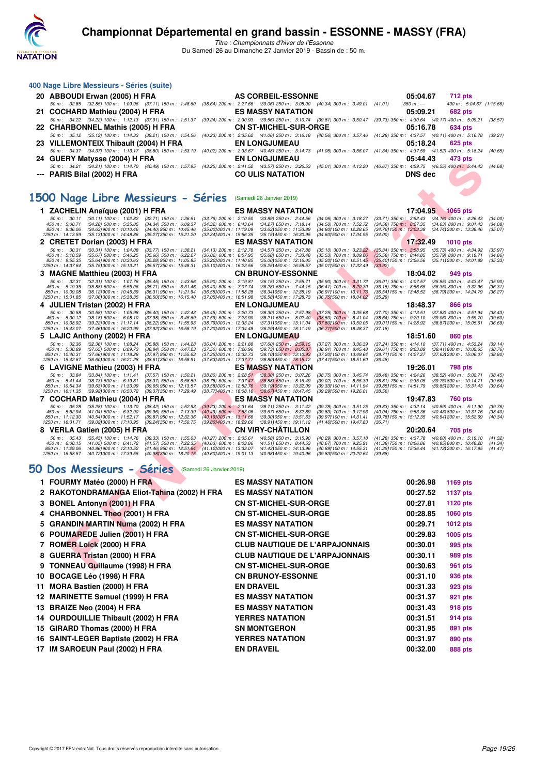

*Titre : Championnats d'hiver de l'Essonne* Du Samedi 26 au Dimanche 27 Janvier 2019 - Bassin de : 50 m.

| 400 Nage Libre Messieurs - Séries (suite)                                                                                                                                                                                             |                                                              |                                                                                                   |                                                                                  |                                                        |                |                                                                                                              |                    |
|---------------------------------------------------------------------------------------------------------------------------------------------------------------------------------------------------------------------------------------|--------------------------------------------------------------|---------------------------------------------------------------------------------------------------|----------------------------------------------------------------------------------|--------------------------------------------------------|----------------|--------------------------------------------------------------------------------------------------------------|--------------------|
| 20 ABBOUDI Erwan (2005) H FRA                                                                                                                                                                                                         |                                                              | AS CORBEIL-ESSONNE                                                                                |                                                                                  |                                                        | 05:04.67       | <b>712 pts</b>                                                                                               |                    |
| 50 m : 32.85 (32.85) 100 m : 1:09.96 (37.11) 150 m : 1:48.60 (38.64) 200 m : 2:27.66 (39.06) 250 m : 3:08.00 (40.34) 300 m : 3:49.01 (41.01)                                                                                          |                                                              |                                                                                                   |                                                                                  |                                                        | $350 m : -$    | 400 m: 5:04.67 (1:15.66)                                                                                     |                    |
| 21 COCHARD Mathieu (2004) H FRA<br>50 m : 34.22 (34.22) 100 m : 1:12.13 (37.91) 150 m : 1:51.37 (39.24) 200 m : 2:30.93 (39.56) 250 m : 3:10.74 (39.81) 300 m : 3:50.47 (39.73) 350 m : 4:30.64 (40.17) 400 m : 5:09.21 (38.57)       |                                                              | <b>ES MASSY NATATION</b>                                                                          |                                                                                  |                                                        | 05:09.21       | 682 pts                                                                                                      |                    |
| 22 CHARBONNEL Mathis (2005) H FRA                                                                                                                                                                                                     |                                                              | <b>CN ST-MICHEL-SUR-ORGE</b>                                                                      |                                                                                  |                                                        | 05:16.78       | 634 pts                                                                                                      |                    |
| 50 m: 35.12 (35.12) 100 m: 1:14.33 (39.21) 150 m: 1:54.56 (40.23) 200 m: 2:35.62 (41.06) 250 m: 3:16.18 (40.56) 300 m: 3:57.46 (41.28) 350 m: 4:37.57 (40.11) 400 m: 5:16.78 (39.21)                                                  |                                                              |                                                                                                   |                                                                                  |                                                        |                |                                                                                                              |                    |
| 23 VILLEMONTEIX Thibault (2004) H FRA<br>50 m : 34.37 (34.37) 100 m : 1:13.17 (38.80) 150 m : 1:53.19 (40.02) 200 m : 2:33.67 (40.48) 250 m : 3:14.73 (41.06) 300 m : 3:56.07 (41.34) 350 m : 4:37.59 (41.52) 400 m : 5:18.24 (40.65) |                                                              | <b>EN LONGJUMEAU</b>                                                                              |                                                                                  |                                                        | 05:18.24       | 625 pts                                                                                                      |                    |
| 24 GUERY Matysse (2004) H FRA                                                                                                                                                                                                         |                                                              | <b>EN LONGJUMEAU</b>                                                                              |                                                                                  |                                                        | 05:44.43       | 473 pts                                                                                                      |                    |
| 50 m: 34.21 (34.21) 100 m: 1:14.70 (40.49) 150 m: 1:57.95 (43.25) 200 m: 2:41.52 (43.57) 250 m: 3:26.53 (45.01) 300 m: 4:13.20 (46.67) 350 m: 4:59.75 (46.55) 400 m: 5:44.43 (44.68)                                                  |                                                              |                                                                                                   |                                                                                  |                                                        |                |                                                                                                              |                    |
| --- PARIS Bilal (2002) H FRA                                                                                                                                                                                                          |                                                              | <b>CO ULIS NATATION</b>                                                                           |                                                                                  |                                                        | <b>DNS</b> dec |                                                                                                              |                    |
|                                                                                                                                                                                                                                       |                                                              |                                                                                                   |                                                                                  |                                                        |                |                                                                                                              |                    |
| 1500 Nage Libre Messieurs - Séries (Samedi 26 Janvier 2019)                                                                                                                                                                           |                                                              |                                                                                                   |                                                                                  |                                                        |                |                                                                                                              |                    |
| 1 ZACHELIN Anaïque (2001) H FRA                                                                                                                                                                                                       |                                                              | <b>ES MASSY NATATION</b>                                                                          |                                                                                  |                                                        | 17:04.95       | <b>1065 pts</b>                                                                                              |                    |
| 50 m: 30.11 (30.11) 100 m: 1:02.82 (32.71) 150 m: 1:36.61<br>$(34.34)$ 550 m : 6:09.37<br>450 m : 5:00.71<br>(34.28) 500 m : 5:35.05                                                                                                  | $(33.79)$ 200 m : 2:10.50<br>$(34.32)$ 600 m : 6:43.64       | (33.89) 250 m : 2:44.56<br>(34.27) 650 m : 7:18.14                                                | $(34.06)$ 300 m : 3:18.27<br>$(34.50)$ 700 m : 7:52.72                           |                                                        |                | $(33.71)$ 350 m : 3:52.43 $(34.16)$ 400 m : 4:26.43<br>$(34.58)$ 750 m : $8:27.35$ $(34.63)$ 800 m : 9:01.43 | (34.00)<br>(34.08) |
| 850 m : 9:36.06 (34.63) 900 m : 10:10.46 (34.40) 950 m : 10:45.46<br>1250 m: 14:13.59 (35.13) 300 m: 14:48.86 (35.27) 350 m: 15:21.20                                                                                                 |                                                              | (35.001000 m: 11:19.09 (33.631050 m: 11:53.89)<br>(32.34) 400 m: 15:56.35 (35.15) 450 m: 16:30.95 | (34.80) 100 m : 12:28.65<br>(34.601500 m: 17:04.95)                              | (34.00)                                                |                | $(34.76)150 \text{ m}: 13.03.39$ $(34.74)200 \text{ m}: 13.38.46$                                            | (35.07)            |
| 2 CRETET Dorian (2003) H FRA                                                                                                                                                                                                          |                                                              | <b>ES MASSY NATATION</b>                                                                          |                                                                                  |                                                        | 17:32.49       | <b>1010 pts</b>                                                                                              |                    |
| $(30.31)$ 100 m : 1:04.08<br>50 m : 30.31<br>$(33.77)$ 150 m : 1:38.21<br>$(35.67)$ 500 m : 5:46.25<br>450 m: 5:10.59<br>$(35.66)$ 550 m : 6:22.27                                                                                    | $(34.13)$ 200 m : 2:12.78<br>$(36.02)$ 600 m : 6:57.95       | $(34.57)$ 250 m : 2:47.88<br>$(35.68)$ 650 m : 7:33.48                                            | $(35.10)$ 300 m : 3:23.22<br>$(35.53)$ 700 m : 8:09.06                           | $(35.34)$ 350 m : 3:58.95<br>$(35.58)$ 750 m : 8:44.85 |                | (35.73) 400 m : 4:34.92<br>$(35.79)$ 800 m : 9:19.71                                                         | (35.97)<br>(34.86) |
| 850 m: 9:55.35<br>$(35.64)$ 900 m : 10:30.63<br>(35.28) 950 m : 11:05.85<br>(35.75) 300 m : 15:13.21<br>(35.571350 m: 15:48.31<br>1250 m : 14:37.64                                                                                   | (35.22) 000 m: 11:40.85<br>(35.101400 m: 16:23.56            | (35.001050 m: 12:16.05<br>(35.25)450 m : 16:58.57                                                 | (35.20) 100 m : 12:51.45<br>(35.011500 m : 17:32.49                              | $(35.40)150 \text{ m}$ : 13:26.56<br>(33.92)           |                | (35.111200 m: 14.01.89)                                                                                      | (35.33)            |
| 3 MAGNE Matthieu (2003) H FRA                                                                                                                                                                                                         |                                                              | <b>CN BRUNOY-ESSONNE</b>                                                                          |                                                                                  |                                                        | 18:04.02       | 949 pts                                                                                                      |                    |
| $(32.31)$ 100 m : 1:07.76<br>50 m: 32.31<br>$(35.45)$ 150 m : 1:43.66<br>450 m: 5:19.35<br>(35.88) 500 m : 5.55.06<br>$(35.71)$ 550 m : 6:31.46                                                                                       | $(35.90)$ 200 m : 2:19.81<br>(36.40) 600 m : 7:07.74         | (36.15) 250 m : 2:55.71<br>$(36.28)$ 650 m : 7:44.15                                              | $(35.90)$ 300 m : 3:31.72<br>$(36.41)$ 700 m : 8:20.30                           | $(36.15)$ 750 m : 8:56.65                              |                | (36.01) 350 m: 4:07.57 (35.85) 400 m: 4:43.47<br>$(36.35)$ 800 m : 9:32.96                                   | (35.90)<br>(36.31) |
| 850 m : 10:09.08<br>$(36.12)$ 900 m : 10:45.39<br>(36.31) 950 m: 11:21.94<br>1250 m: 15:01.85 (37.061300 m: 15:38.35)<br>(36.501350 m : 16:15.40)                                                                                     | (36.551000 m: 11:58.28)<br>$(37.05)400 \text{ m}$ : 16:51.98 | (36.34) 050 m: 12:35.19<br>(36.58) 450 m : 17:28.73                                               | (36.911100 m: 13:11.73)<br>(36.751500 m : 18:04.02                               | (35.29)                                                |                | (36.54) 150 m : 13:48.52 (36.79) 200 m : 14:24.79                                                            | (36.27)            |
| 4 JULIEN Tristan (2002) H FRA                                                                                                                                                                                                         |                                                              | <b>EN LONGJUMEAU</b>                                                                              |                                                                                  |                                                        | 18:48.37       | 866 pts                                                                                                      |                    |
| 50 m: 30.58<br>$(30.58)$ 100 m : 1:05.98<br>$(35.40)$ 150 m : 1:42.43<br>450 m : 5:30.12<br>$(38.18)$ 500 m : 6:08.10<br>$(37.98)$ 550 m : 6:45.69                                                                                    | $(37.59)$ 600 m : 7:23.90                                    | (36.45) 200 m : 2:20.73 (38.30) 250 m : 2:57.98<br>$(38.21)$ 650 m : 8:02.40                      | $(37.25)$ 300 m : 3:35.68<br>$(38.50)$ 700 m : 8:41.04                           |                                                        |                | $(37.70)$ 350 m : 4:13.51 $(37.83)$ 400 m : 4:51.94<br>(38.64) 750 m : 9:20.10 (39.06) 800 m : 9:59.70       | (38.43)<br>(39.60) |
| 850 m: 10:38.92 (39.22) 900 m: 11:17.14<br>(38.22) 950 m : 11:55.93<br>1250 m: 15:43.07 (37.461300 m: 16:20.99)<br>(37.92) 350 m : 16:58.19                                                                                           | (38.791000 m: 12:33.24<br>(37.201400 m : 17:34.48)           | (37.311050 m : 13:11.04<br>(36.29) 450 m : 18:11.19                                               | (37.80) 100 m : 13:50.05<br>(36.711500 m: 18:48.37                               | (37.18)                                                |                | (39.01) 150 m: 14:28.92 (38.87) 200 m: 15:05.61                                                              | (36.69)            |
| 5 LAJIC Anthony (2002) H FRA                                                                                                                                                                                                          |                                                              | <b>EN LONGJUMEAU</b>                                                                              |                                                                                  |                                                        | 18:51.60       | 860 pts                                                                                                      |                    |
| 50 m: 32.36<br>$(32.36)$ 100 m : 1:08.24<br>$(35.88)$ 150 m : 1:44.28<br>450 m: 5:30.89<br>$(37.65)$ 500 m : 6:09.73<br>$(38.84)$ 550 m : 6:47.23                                                                                     | $(36.04)$ 200 m : 2:21.88<br>$(37.50)$ 600 m : 7:26.96       | $(37.60)$ $250$ m : $2:59.15$<br>$(39.73)$ 650 m : 8:05.87                                        | $(37.27)$ 300 m : 3:36.39<br>$(38.91)$ 700 m : 8:45.48                           | $(39.61)$ 750 m : $9:23.89$                            |                | (37.24) 350 m: 4:14.10 (37.71) 400 m: 4:53.24<br>$(38.41)800 \text{ m}$ : 10:02.65                           | (39.14)<br>(38.76) |
| 850 m : 10:40.31<br>(37.66) 900 m : 11:18.28<br>(37.97) 950 m : 11:55.63<br>1250 m: 15:42.67<br>$(36.60)300 \text{ m}$ : 16:21.28<br>(38.611350 m : 16:58.91                                                                          | (37.35) 000 m : 12:33.73<br>(37.63) 400 m : 17:37.71         | (38.10) 050 m : 13:10.93                                                                          | (37.20) 100 m : 13:49.64<br>$(37.41)500 \text{ m}$ : 18:51.60                    | (36.48)                                                |                | (38.71) 150 m: 14:27.27 (37.63) 200 m: 15:06.07                                                              | (38.80)            |
| 6 LAVIGNE Mathieu (2003) H FRA                                                                                                                                                                                                        |                                                              | (38.80) 450 m : 18:15.12<br><b>ES MASSY NATATION</b>                                              |                                                                                  |                                                        | 19:26.01       | 798 pts                                                                                                      |                    |
| 50 m: 33.84<br>$(33.84)$ 100 m : 1:11.41<br>$(37.57)$ 150 m : 1:50.21<br>450 m : 5:41.44<br>$(38.73)$ 500 m : 6:19.81<br>(38.37) 550 m : 6:58.59                                                                                      | $(38.80)$ 200 m : 2:28.51<br>(38.78) 600 m : 7:37.47         | $(38.30)$ 250 m : 3:07.26<br>$(38.88)$ 650 m : 8:16.49                                            | $(38.75)$ 300 m : 3:45.74<br>$(39.02)$ 700 m : 8:55.30                           |                                                        |                | (38.48) 350 m : 4:24.26 (38.52) 400 m : 5:02.71<br>(38.81) 750 m : 9:35.05 (39.75) 800 m : 10:14.71          | (38.45)<br>(39.66) |
| 850 m : 10:54.34<br>$(39.63)$ 900 m : 11:33.99<br>(39.65) 950 m : 12:13.57<br>1250 m : 16:11.35<br>(39.92) 300 m : 16:50.72<br>(39.37) 350 m : 17:29.49                                                                               | (39.58) 000 m : 12:52.76                                     | (39.191050 m: 13:32.09)<br>(38.77) 400 m : 18:08.16 (38.67) 450 m : 18:47.45                      | (39.33) 100 m : 14:11.94<br>(39.29) 500 m : 19:26.01                             | (38.56)                                                |                | (39.85) 150 m: 14:51.79 (39.85) 200 m: 15:31.43                                                              | (39.64)            |
| 7 COCHARD Mathieu (2004) H FRA                                                                                                                                                                                                        |                                                              | <b>ES MASSY NATATION</b>                                                                          |                                                                                  |                                                        | 19:47.83       | 760 pts                                                                                                      |                    |
| 50 m: 35.28<br>$(35.28)$ 100 m : 1:13.70<br>$(38.42)$ 150 m : 1:52.93<br>450 m : 5:52.94<br>$(39.96)$ 550 m : 7:13.39<br>$(41.04)$ 500 m : 6:32.90                                                                                    | $(39.23)$ 200 m : 2:31.64<br>$(40.49)$ 600 m : 7:53.06       | $(38.71)$ 250 m : 3:11.42<br>$(39.67)$ 650 m : 8:32.89                                            | $(39.78)$ 300 m : 3:51.25<br>$(39.83)$ 700 m : 9:12.93                           |                                                        |                | $(39.83)$ 350 m : 4:32.14 $(40.89)$ 400 m : 5:11.90<br>(40.04) 750 m : 9:53.36 (40.43) 800 m : 10:31.76      | (39.76)<br>(38.40) |
| 850 m: 11:12.30<br>(39.87) 950 m : 12:32.36<br>(40.54) 900 m : 11:52.17<br>(39.241350 m : 17:50.75<br>(39.02) 300 m : 17:10.95<br>1250 m : 16:31.71                                                                                   | (40.19) 000 m : 13:11.66<br>(39.80) 400 m : 18:29.66         | (39.30) 050 m : 13:51.63<br>(38.911450 m : 19:11.12                                               | (39.97) 100 m : 14:31.41<br>(41.46) 500 m : 19:47.83                             | (36.71)                                                |                | (39.78) 150 m : 15:12.35 (40.94) 200 m : 15:52.69                                                            | (40.34)            |
| 8 VERLA Gatien (2005) H FRA                                                                                                                                                                                                           |                                                              | <b>CN VIRY-CHATILLON</b>                                                                          |                                                                                  |                                                        | 20:20.64       | 705 pts                                                                                                      |                    |
| 50 m : 35.43<br>$(35.43)$ 100 m : 1:14.76<br>$(39.33)$ 150 m : 1:55.03<br>$(41.05)$ 500 m : 6:41.72<br>(41.57) 550 m : 7:22.35                                                                                                        | $(40.27)$ 200 m : 2:35.61<br>$(40.63)$ 600 m : 8:03.86       | $(40.58)$ 250 m : 3:15.90                                                                         | $(40.29)$ 300 m : 3:57.18                                                        | (41.38) 750 m : 10:06.86                               |                | (41.28) 350 m: 4:37.78 (40.60) 400 m: 5:19.10 (41.32)<br>(40.95) 800 m : 10:48.20                            |                    |
| 450 m : 6:00.15<br>(41.46) 950 m : 12:51.64<br>850 m : 11:29.06<br>(40.86) 900 m : 12:10.52<br>1250 m : 16:58.57<br>(40.72) 300 m : 17:39.55<br>(40.98) 350 m : 18:20.15                                                              | (41.121000 m: 13:33.07)<br>(40.60) 400 m : 19:01.13          | $(41.51)$ 650 m : 8:44.53<br>(41.431050 m: 14:13.96)<br>(40.98) 450 m : 19:40.96                  | $(40.67)$ 700 m : 9:25.91<br>(40.89) 100 m : 14:55.31<br>(39.831500 m : 20:20.64 |                                                        |                | (41.35) 150 m : 15:36.44 (41.13) 200 m : 16:17.85                                                            | (41.34)<br>(41.41) |
|                                                                                                                                                                                                                                       |                                                              |                                                                                                   |                                                                                  | (39.68)                                                |                |                                                                                                              |                    |
| 50 Dos Messieurs - Séries (Samedi 26 Janvier 2019)                                                                                                                                                                                    |                                                              |                                                                                                   |                                                                                  |                                                        |                |                                                                                                              |                    |
| 1 FOURMY Matéo (2000) H FRA                                                                                                                                                                                                           |                                                              | <b>ES MASSY NATATION</b>                                                                          |                                                                                  |                                                        | 00:26.98       | 1169 pts                                                                                                     |                    |
| 2 RAKOTONDRAMANGA Eliot-Tahina (2002) H FRA                                                                                                                                                                                           |                                                              | <b>ES MASSY NATATION</b>                                                                          |                                                                                  |                                                        | 00:27.52       | 1137 pts                                                                                                     |                    |
| 3 BONEL Antonyn (2001) H FRA                                                                                                                                                                                                          |                                                              | <b>CN ST-MICHEL-SUR-ORGE</b>                                                                      |                                                                                  |                                                        | 00:27.81       | <b>1120 pts</b>                                                                                              |                    |
| 4 CHARBONNEL Theo (2001) H FRA                                                                                                                                                                                                        |                                                              | <b>CN ST-MICHEL-SUR-ORGE</b>                                                                      |                                                                                  |                                                        | 00:28.85       | 1060 pts                                                                                                     |                    |
| 5 GRANDIN MARTIN Numa (2002) H FRA                                                                                                                                                                                                    |                                                              | <b>ES MASSY NATATION</b>                                                                          |                                                                                  |                                                        | 00:29.71       | <b>1012 pts</b>                                                                                              |                    |
| 6 POUMAREDE Julien (2001) H FRA                                                                                                                                                                                                       |                                                              | <b>CN ST-MICHEL-SUR-ORGE</b>                                                                      |                                                                                  |                                                        | 00:29.83       | 1005 pts                                                                                                     |                    |
| 7 ROMER Loick (2000) H FRA                                                                                                                                                                                                            |                                                              | <b>CLUB NAUTIQUE DE L'ARPAJONNAIS</b>                                                             |                                                                                  |                                                        | 00:30.01       | 995 pts                                                                                                      |                    |
| 8 GUERRA Tristan (2000) H FRA                                                                                                                                                                                                         |                                                              | <b>CLUB NAUTIQUE DE L'ARPAJONNAIS</b>                                                             |                                                                                  |                                                        | 00:30.11       | 989 pts                                                                                                      |                    |
| 9 TONNEAU Guillaume (1998) H FRA                                                                                                                                                                                                      |                                                              | <b>CN ST-MICHEL-SUR-ORGE</b>                                                                      |                                                                                  |                                                        | 00:30.63       | 961 pts                                                                                                      |                    |

#### **[50 Dos Messieurs - Séries](http://www.ffnatation.fr/webffn/resultats.php?idact=nat&go=epr&idcpt=58437&idepr=61)** (Samedi 26 Janvier 2019)

| 1 FOURMY Matéo (2000) H FRA                 | <b>ES MASSY NATATION</b>              | 00:26.98 | 1169 pts        |
|---------------------------------------------|---------------------------------------|----------|-----------------|
| 2 RAKOTONDRAMANGA Eliot-Tahina (2002) H FRA | <b>ES MASSY NATATION</b>              | 00:27.52 | <b>1137 pts</b> |
| 3 BONEL Antonyn (2001) H FRA                | <b>CN ST-MICHEL-SUR-ORGE</b>          | 00:27.81 | 1120 pts        |
| 4 CHARBONNEL Theo (2001) H FRA              | <b>CN ST-MICHEL-SUR-ORGE</b>          | 00:28.85 | 1060 pts        |
| 5 GRANDIN MARTIN Numa (2002) H FRA          | <b>ES MASSY NATATION</b>              | 00:29.71 | 1012 pts        |
| 6 POUMAREDE Julien (2001) H FRA             | <b>CN ST-MICHEL-SUR-ORGE</b>          | 00:29.83 | 1005 pts        |
| 7 ROMER Loick (2000) H FRA                  | <b>CLUB NAUTIQUE DE L'ARPAJONNAIS</b> | 00:30.01 | 995 pts         |
| 8 GUERRA Tristan (2000) H FRA               | <b>CLUB NAUTIQUE DE L'ARPAJONNAIS</b> | 00:30.11 | 989 pts         |
| 9 TONNEAU Guillaume (1998) H FRA            | <b>CN ST-MICHEL-SUR-ORGE</b>          | 00:30.63 | 961 pts         |
| 10 BOCAGE Léo (1998) H FRA                  | <b>CN BRUNOY-ESSONNE</b>              | 00:31.10 | 936 pts         |
| 11 MORA Bastien (2000) H FRA                | <b>EN DRAVEIL</b>                     | 00:31.33 | <b>923 pts</b>  |
| 12 MARINETTE Samuel (1999) H FRA            | <b>ES MASSY NATATION</b>              | 00:31.37 | 921 pts         |
| 13 BRAIZE Neo (2004) H FRA                  | <b>ES MASSY NATATION</b>              | 00:31.43 | <b>918 pts</b>  |
| 14 OURDOUILLIE Thibault (2002) H FRA        | <b>YERRES NATATION</b>                | 00:31.51 | 914 pts         |
| 15 GIRARD Thomas (2000) H FRA               | <b>SN MONTGERON</b>                   | 00:31.95 | 891 pts         |
| 16 SAINT-LEGER Baptiste (2002) H FRA        | <b>YERRES NATATION</b>                | 00:31.97 | 890 pts         |
| 17 IM SAROEUN Paul (2002) H FRA             | <b>EN DRAVEIL</b>                     | 00:32.00 | <b>888 pts</b>  |
|                                             |                                       |          |                 |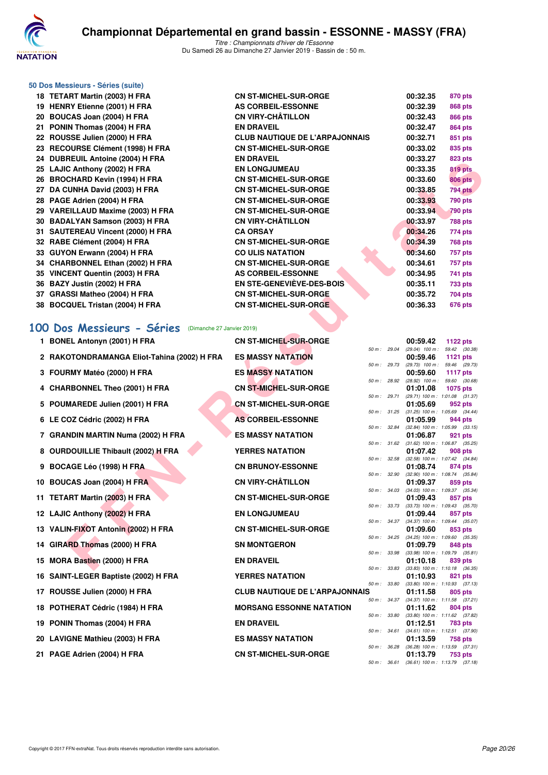

#### **50 Dos Messieurs - Séries (suite) 18 TETART Martin (2003) H FRA CN ST-MICHEL-SUR-ORGE 00:32.35 870 pts 19 HENRY Etienne (2001) H FRA AS CORBEIL-ESSONNE 00:32.39 868 pts 20 BOUCAS Joan (2004) H FRA CN VIRY-CHÂTILLON 00:32.43 866 pts 21 PONIN Thomas (2004) H FRA EN DRAVEIL 00:32.47 864 pts 22 ROUSSE Julien (2000) H FRA CLUB NAUTIQUE DE L'ARPAJONNAIS 00:32.71 851 pts 23 RECOURSE Clément (1998) H FRA CN ST-MICHEL-SUR-ORGE 00:33.02 835 pts 24 DUBREUIL Antoine (2004) H FRA EN DRAVEIL 00:33.27 823 pts 25 LAJIC Anthony (2002) H FRA EN LONGJUMEAU 00:33.35 819 pts 26 BROCHARD Kevin (1994) H FRA CN ST-MICHEL-SUR-ORGE 00:33.60 806 pts 27 DA CUNHA David (2003) H FRA CN ST-MICHEL-SUR-ORGE 00:33.85 794 pts 28 PAGE Adrien (2004) H FRA CN ST-MICHEL-SUR-ORGE 00:33.93 790 pts 29 VAREILLAUD Maxime (2003) H FRA CN ST-MICHEL-SUR-ORGE 00:33.94 790 pts 30 BADALYAN Samson (2003) H FRA CN VIRY-CHÂTILLON 00:33.97 788 pts 31 SAUTEREAU Vincent (2000) H FRA CA ORSAY 00:34.26 774 pts 32 RABE Clément (2004) H FRA CN ST-MICHEL-SUR-ORGE 00:34.39 768 pts 33 GUYON Erwann (2004) H FRA CO ULIS NATATION 00:34.60 757 pts 34 CHARBONNEL Ethan (2002) H FRA CN ST-MICHEL-SUR-ORGE 00:34.61 757 pts 35 VINCENT Quentin (2003) H FRA AS CORBEIL-ESSONNE 00:34.95 741 pts 36 BAZY Justin (2002) H FRA EN STE-GENEVIÈVE-DES-BOIS 00:35.11 733 pts 37 GRASSI Matheo (2004) H FRA CN ST-MICHEL-SUR-ORGE 00:35.72 704 pts 38 BOCQUEL Tristan (2004) H FRA CN ST-MICHEL-SUR-ORGE 00:36.33 676 pts**

#### **[100 Dos Messieurs - Séries](http://www.ffnatation.fr/webffn/resultats.php?idact=nat&go=epr&idcpt=58437&idepr=62)** (Dimanche 27 Janvier 2019)

| <b>24 DUDREUIL AIRUIR (2004) II FRA</b>                      | EN DRAVEIL                                              |              |               | ,,,,,,,,,,,          | uzu pis                                               |
|--------------------------------------------------------------|---------------------------------------------------------|--------------|---------------|----------------------|-------------------------------------------------------|
| 25 LAJIC Anthony (2002) H FRA                                | <b>EN LONGJUMEAU</b>                                    |              |               | 00:33.35             | 819 pts                                               |
| 26 BROCHARD Kevin (1994) H FRA                               | <b>CN ST-MICHEL-SUR-ORGE</b>                            |              |               | 00:33.60             | <b>806 pts</b>                                        |
| 27 DA CUNHA David (2003) H FRA                               | <b>CN ST-MICHEL-SUR-ORGE</b>                            |              |               | 00:33.85             | <b>794 pts</b>                                        |
| 28 PAGE Adrien (2004) H FRA                                  | <b>CN ST-MICHEL-SUR-ORGE</b>                            |              |               | 00:33.93             | 790 pts                                               |
| 29 VAREILLAUD Maxime (2003) H FRA                            | <b>CN ST-MICHEL-SUR-ORGE</b>                            |              |               | 00:33.94             | 790 pts                                               |
| 30 BADALYAN Samson (2003) H FRA                              | <b>CN VIRY-CHÂTILLON</b>                                |              |               | 00:33.97             | 788 pts                                               |
| 31 SAUTEREAU Vincent (2000) H FRA                            | <b>CA ORSAY</b>                                         |              |               | 00:34.26             | 774 pts                                               |
| 32 RABE Clément (2004) H FRA<br>33 GUYON Erwann (2004) H FRA | <b>CN ST-MICHEL-SUR-ORGE</b><br><b>CO ULIS NATATION</b> |              |               | 00:34.39<br>00:34.60 | <b>768 pts</b>                                        |
| 34 CHARBONNEL Ethan (2002) H FRA                             | <b>CN ST-MICHEL-SUR-ORGE</b>                            |              |               | 00:34.61             | 757 pts<br>757 pts                                    |
| 35 VINCENT Quentin (2003) H FRA                              | <b>AS CORBEIL-ESSONNE</b>                               |              |               | 00:34.95             | 741 pts                                               |
| 36 BAZY Justin (2002) H FRA                                  | EN STE-GENEVIÈVE-DES-BOIS                               |              |               | 00:35.11             | <b>733 pts</b>                                        |
| 37 GRASSI Matheo (2004) H FRA                                | <b>CN ST-MICHEL-SUR-ORGE</b>                            |              |               | 00:35.72             | 704 pts                                               |
| 38 BOCQUEL Tristan (2004) H FRA                              | CN ST-MICHEL-SUR-ORGE                                   |              |               | 00:36.33             | 676 pts                                               |
|                                                              |                                                         |              |               |                      |                                                       |
| 00 Dos Messieurs - Séries<br>(Dimanche 27 Janvier 2019)      |                                                         |              |               |                      |                                                       |
| 1 BONEL Antonyn (2001) H FRA                                 | <b>CN ST-MICHEL-SUR-ORGE</b>                            |              |               | 00:59.42             | 1122 pts                                              |
| 2 RAKOTONDRAMANGA Eliot-Tahina (2002) H FRA                  | <b>ES MASSY NATATION</b>                                |              | 50 m : 29.04  | 00:59.46             | $(29.04)$ 100 m : 59.42 $(30.38)$<br>1121 pts         |
|                                                              |                                                         |              |               |                      | 50 m : 29.73 (29.73) 100 m : 59.46 (29.73)            |
| 3 FOURMY Matéo (2000) H FRA                                  | <b>ES MASSY NATATION</b>                                |              | 50 m : 28.92  | 00:59.60             | 1117 $pts$<br>$(28.92)$ 100 m : 59.60 $(30.68)$       |
| 4 CHARBONNEL Theo (2001) H FRA                               | <b>CN ST-MICHEL-SUR-ORGE</b>                            |              |               | 01:01.08             | <b>1075 pts</b>                                       |
|                                                              |                                                         |              | 50 m : 29.71  |                      | $(29.71)$ 100 m : 1:01.08 $(31.37)$                   |
| 5 POUMAREDE Julien (2001) H FRA                              | <b>CN ST-MICHEL-SUR-ORGE</b>                            |              | 50 m : 31.25  | 01:05.69             | 952 pts<br>$(31.25)$ 100 m : 1:05.69 $(34.44)$        |
| 6 LE COZ Cédric (2002) H FRA                                 | <b>AS CORBEIL-ESSONNE</b>                               |              |               | 01:05.99             | 944 pts                                               |
| 7 GRANDIN MARTIN Numa (2002) H FRA                           | <b>ES MASSY NATATION</b>                                |              | 50 m : 32.84  | 01:06.87             | $(32.84)$ 100 m : 1:05.99 $(33.15)$<br>921 pts        |
|                                                              |                                                         |              | 50 m : 31.62  |                      | $(31.62)$ 100 m : 1:06.87 $(35.25)$                   |
| 8 OURDOUILLIE Thibault (2002) H FRA                          | <b>YERRES NATATION</b>                                  |              |               | 01:07.42             | 908 pts<br>50 m: 32.58 (32.58) 100 m: 1:07.42 (34.84) |
| 9 BOCAGE Léo (1998) H FRA                                    | <b>CN BRUNOY-ESSONNE</b>                                |              |               | 01:08.74             | 874 pts                                               |
| 10 BOUCAS Joan (2004) H FRA                                  | <b>CN VIRY-CHÂTILLON</b>                                |              | 50 m : 32.90  | 01:09.37             | $(32.90)$ 100 m : 1:08.74 $(35.84)$<br>859 pts        |
|                                                              |                                                         |              | 50 m: 34.03   |                      | $(34.03)$ 100 m : 1:09.37 $(35.34)$                   |
| 11 TETART Martin (2003) H FRA                                | <b>CN ST-MICHEL-SUR-ORGE</b>                            |              | 50 m : 33.73  | 01:09.43             | 857 pts<br>$(33.73)$ 100 m : 1:09.43 $(35.70)$        |
| 12 LAJIC Anthony (2002) H FRA                                | <b>EN LONGJUMEAU</b>                                    |              |               | 01:09.44             | 857 pts                                               |
| 13 VALIN-FIXOT Antonin (2002) H FRA                          | <b>CN ST-MICHEL-SUR-ORGE</b>                            |              | 50 m : 34.37  | 01:09.60             | $(34.37)$ 100 m : 1:09.44 $(35.07)$<br>853 pts        |
|                                                              |                                                         |              | 50 m : 34.25  |                      | (34.25) 100 m: 1:09.60 (35.35)                        |
| 14 GIRARD Thomas (2000) H FRA                                | <b>SN MONTGERON</b>                                     |              |               | 01:09.79             | 848 pts<br>50 m: 33.98 (33.98) 100 m: 1:09.79 (35.81) |
| 15 MORA Bastien (2000) H FRA                                 | <b>EN DRAVEIL</b>                                       |              |               | 01:10.18             | 839 pts                                               |
| 16 SAINT-LEGER Baptiste (2002) H FRA                         | <b>YERRES NATATION</b>                                  |              |               | 01:10.93             | 50 m: 33.83 (33.83) 100 m: 1:10.18 (36.35)<br>821 pts |
|                                                              |                                                         | 50 m : 33.80 |               |                      | $(33.80)$ 100 m : 1:10.93 $(37.13)$                   |
| 17 ROUSSE Julien (2000) H FRA                                | <b>CLUB NAUTIQUE DE L'ARPAJONNAIS</b>                   |              | 50 m : 34.37  | 01:11.58             | 805 pts<br>$(34.37)$ 100 m : 1:11.58 $(37.21)$        |
| 18 POTHERAT Cédric (1984) H FRA                              | <b>MORSANG ESSONNE NATATION</b>                         |              |               | 01:11.62             | 804 pts                                               |
| 19 PONIN Thomas (2004) H FRA                                 | <b>EN DRAVEIL</b>                                       |              | 50 m : 33.80  | 01:12.51             | $(33.80)$ 100 m : 1:11.62 $(37.82)$<br>783 pts        |
| 20 LAVIGNE Mathieu (2003) H FRA                              | <b>ES MASSY NATATION</b>                                |              | 50 m : 34.61  | 01:13.59             | $(34.61)$ 100 m : 1:12.51 $(37.90)$<br>758 pts        |
|                                                              |                                                         |              | 50 m : 36.28  |                      | (36.28) 100 m: 1:13.59 (37.31)                        |
| 21 PAGE Adrien (2004) H FRA                                  | <b>CN ST-MICHEL-SUR-ORGE</b>                            |              |               | 01:13.79             | 753 pts<br>$(36.61)$ 100 m $\cdot$ 1.13.79 $(37.18)$  |
|                                                              |                                                         |              | $50 m - 3661$ |                      |                                                       |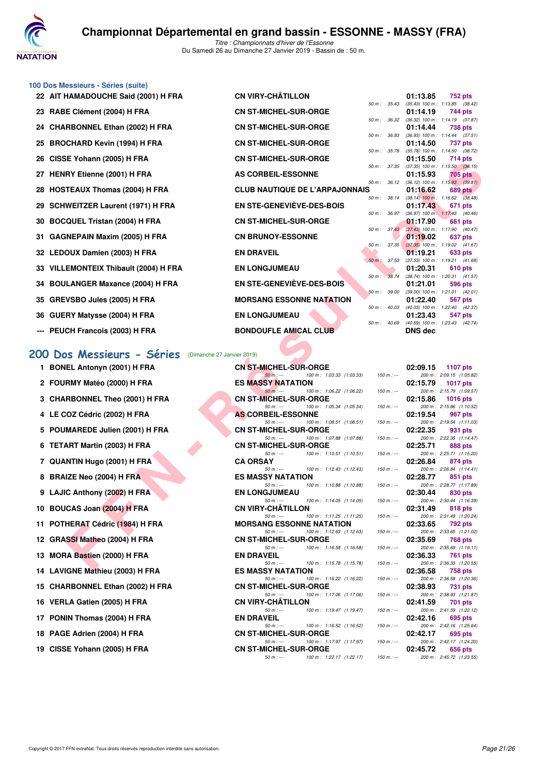

#### **100 Dos Messieurs - Séries (suite)**

| 22 AIT HAMADOUCHE Said (2001) H FRA                     | <b>CN VIRY-CHATILLON</b>                                                 |                  | 01:13.85       | <b>752 pts</b>                                 |
|---------------------------------------------------------|--------------------------------------------------------------------------|------------------|----------------|------------------------------------------------|
| 23 RABE Clément (2004) H FRA                            | <b>CN ST-MICHEL-SUR-ORGE</b>                                             | 50 m: 35.43      | 01:14.19       | $(35.43)$ 100 m : 1:13.85 $(38.42)$<br>744 pts |
| 24 CHARBONNEL Ethan (2002) H FRA                        | <b>CN ST-MICHEL-SUR-ORGE</b>                                             | 50 m : 36.32     | 01:14.44       | $(36.32)$ 100 m : 1:14.19 $(37.87)$<br>738 pts |
| 25 BROCHARD Kevin (1994) H FRA                          | <b>CN ST-MICHEL-SUR-ORGE</b>                                             | 50 m : 36.93     | 01:14.50       | $(36.93)$ 100 m : 1:14.44 $(37.51)$<br>737 pts |
|                                                         |                                                                          | 50 m : 35.78     |                | $(35.78)$ 100 m : 1:14.50 $(38.72)$            |
| 26 CISSE Yohann (2005) H FRA                            | <b>CN ST-MICHEL-SUR-ORGE</b>                                             | 50 m : 37.35     | 01:15.50       | 714 pts<br>$(37.35)$ 100 m : 1:15.50 $(38.15)$ |
| 27 HENRY Etienne (2001) H FRA                           | <b>AS CORBEIL-ESSONNE</b>                                                |                  | 01:15.93       | <b>705 pts</b>                                 |
| 28 HOSTEAUX Thomas (2004) H FRA                         | <b>CLUB NAUTIQUE DE L'ARPAJONNAIS</b>                                    | 50 m: 36.12      | 01:16.62       | $(36.12)$ 100 m : 1:15.93 $(39.81)$<br>689 pts |
| 29 SCHWEITZER Laurent (1971) H FRA                      | <b>EN STE-GENEVIÈVE-DES-BOIS</b>                                         | 50 m : 38.14     | 01:17.43       | $(38.14)$ 100 m : 1:16.62 $(38.48)$<br>671 pts |
| 30 BOCQUEL Tristan (2004) H FRA                         | <b>CN ST-MICHEL-SUR-ORGE</b>                                             | 50 m : 36.97     | 01:17.90       | (36.97) 100 m: 1:17.43 (40.46)<br>661 pts      |
|                                                         |                                                                          |                  |                | 50 m: 37.43 (37.43) 100 m: 1:17.90 (40.47)     |
| 31   GAGNEPAIN Maxim (2005) H FRA                       | <b>CN BRUNOY-ESSONNE</b>                                                 | $50 m$ : 37.35   | 01:19.02       | 637 pts<br>$(37.35)$ 100 m : 1:19.02 $(41.67)$ |
| 32 LEDOUX Damien (2003) H FRA                           | <b>EN DRAVEIL</b>                                                        |                  | 01:19.21       | 633 pts                                        |
| 33 VILLEMONTEIX Thibault (2004) H FRA                   | <b>EN LONGJUMEAU</b>                                                     | 50 m : 37.53     | 01:20.31       | $(37.53)$ 100 m : 1:19.21 $(41.68)$<br>610 pts |
|                                                         |                                                                          | 50 m : 38.74     |                | $(38.74)$ 100 m : 1:20.31 $(41.57)$            |
| 34 BOULANGER Maxance (2004) H FRA                       | <b>EN STE-GENEVIÈVE-DES-BOIS</b>                                         | 50 m: 39.00      | 01:21.01       | 596 pts<br>$(39.00)$ 100 m : 1:21.01 $(42.01)$ |
| 35   GREVSBO Jules (2005) H FRA                         | <b>MORSANG ESSONNE NATATION</b>                                          |                  | 01:22.40       | 567 pts                                        |
| 36   GUERY Matysse (2004) H FRA                         | <b>EN LONGJUMEAU</b>                                                     | $50 m$ : $40.03$ | 01:23.43       | $(40.03)$ 100 m : 1:22.40 $(42.37)$<br>547 pts |
|                                                         |                                                                          | 50 m: 40.69      |                | $(40.69)$ 100 m : 1:23.43 $(42.74)$            |
| --- PEUCH Francois (2003) H FRA                         | <b>BONDOUFLE AMICAL CLUB</b>                                             |                  | <b>DNS dec</b> |                                                |
|                                                         |                                                                          |                  |                |                                                |
| 00 Dos Messieurs - Séries<br>(Dimanche 27 Janvier 2019) |                                                                          |                  |                |                                                |
| 1 BONEL Antonyn (2001) H FRA                            | <b>CN ST-MICHEL-SUR-ORGE</b>                                             |                  | 02:09.15       | 1107 pts                                       |
|                                                         | $50 m: -$<br>100 m: 1:03.33 (1:03.33)                                    | $150 m: -$       |                | 200 m: 2:09.15 (1:05.82)                       |
| 2 FOURMY Matéo (2000) H FRA                             | <b>ES MASSY NATATION</b><br>$50 m: -$<br>100 m: 1:06.22 (1:06.22)        | $150 m : -$      | 02:15.79       | <b>1017 pts</b><br>200 m: 2:15.79 (1:09.57)    |
| 3 CHARBONNEL Theo (2001) H FRA                          | <b>CN ST-MICHEL-SUR-ORGE</b>                                             |                  | 02:15.86       | <b>1016 pts</b>                                |
| 4 LE COZ Cédric (2002) H FRA                            | $50 m: -$<br>100 m: 1:05.34 (1:05.34)<br><b>AS CORBEIL-ESSONNE</b>       | $150 m : -$      | 02:19.54       | 200 m: 2:15.86 (1:10.52)<br>967 pts            |
|                                                         | $50 m: -$<br>100 m: 1:08.51 (1:08.51)                                    | $150 m : -$      |                | 200 m: 2:19.54 (1:11.03)                       |
| 5 POUMAREDE Julien (2001) H FRA                         | <b>CN ST-MICHEL-SUR-ORGE</b><br>$50 m: -$<br>100 m: 1:07.88 (1:07.88)    | $150 m : -$      | 02:22.35       | 931 pts<br>200 m: 2:22.35 (1:14.47)            |
| 6 TETART Martin (2003) H FRA                            | <b>CN ST-MICHEL-SUR-ORGE</b>                                             |                  | 02:25.71       | 888 pts                                        |
| 7 QUANTIN Hugo (2001) H FRA                             | $100 m$ : 1:10.51 (1:10.51)<br>$50 m: -$<br><b>CA ORSAY</b>              | $150 m : -$      | 02:26.84       | 200 m: 2:25.71 (1:15.20)<br>874 pts            |
|                                                         | $50 m: -$<br>100 m: 1:12.43 (1:12.43)                                    | $150 m: -$       |                | 200 m: 2:26.84 (1:14.41)                       |
| 8 BRAIZE Neo (2004) H FRA                               | <b>ES MASSY NATATION</b><br>100 m: 1:10.88 (1:10.88)<br>$50 m: -$        | $150 m: -$       | 02:28.77       | 851 pts<br>200 m: 2:28.77 (1:17.89)            |
| 9 LAJIC Anthony (2002) H FRA                            | <b>EN LONGJUMEAU</b><br>100 m: 1:14.05 (1:14.05)<br>$50 m: -$            | $150 m : -$      | 02:30.44       | 830 pts<br>200 m: 2:30.44 (1:16.39)            |
| 10 BOUCAS Joan (2004) H FRA                             | <b>CN VIRY-CHATILLON</b>                                                 |                  | 02:31.49       | 818 pts                                        |
| 11 POTHERAT Cédric (1984) H FRA                         | 100 m: 1:11.25 (1:11.25)<br>$50 m: -$<br><b>MORSANG ESSONNE NATATION</b> | $150 m : -$      | 02:33.65       | 200 m: 2:31.49 (1:20.24)<br>792 pts            |
|                                                         | 100 m: 1:12.63 (1:12.63)<br>$50 m: -$                                    | $150 m : -$      |                | 200 m: 2:33.65 (1:21.02)                       |
| 12 GRASSI Matheo (2004) H FRA                           | <b>CN ST-MICHEL-SUR-ORGE</b><br>$50 m: -$<br>100 m: 1:16.58 (1:16.58)    | $150 m: -$       | 02:35.69       | 768 pts<br>200 m: 2:35.69 (1:19.11)            |
| 13 MORA Bastien (2000) H FRA                            | <b>EN DRAVEIL</b><br>$50 m: -$<br>100 m: 1:15.78 (1:15.78)               | $150 m: -$       | 02:36.33       | 761 pts<br>200 m: 2:36.33 (1:20.55)            |

# **[200 Dos Messieurs - Séries](http://www.ffnatation.fr/webffn/resultats.php?idact=nat&go=epr&idcpt=58437&idepr=63)** (Dimanche 27 Janvier 2019)

| 1 BONEL Antonyn (2001) H FRA     | <b>CN ST-MICHEL-SUR-ORGE</b>              |                                      |                       | 02:09.15 | <b>1107 pts</b>                       |
|----------------------------------|-------------------------------------------|--------------------------------------|-----------------------|----------|---------------------------------------|
|                                  | $50 m: -$                                 | 100 m: 1:03.33 (1:03.33)             | 150 m : ---           |          | 200 m: 2:09.15 (1:05.82)              |
| 2 FOURMY Matéo (2000) H FRA      | <b>ES MASSY NATATION</b>                  |                                      |                       | 02:15.79 | 1017 pts                              |
|                                  | $50 m: -$                                 | 100 m: 1:06.22 (1:06.22)             | $150 m : -$           |          | 200 m: 2:15.79 (1:09.57               |
| 3 CHARBONNEL Theo (2001) H FRA   | <b>CN ST-MICHEL-SUR-ORGE</b><br>$50 m: -$ | 100 m: 1:05.34 (1:05.34)             | $150 m : -$           | 02:15.86 | $1016$ pts<br>200 m: 2:15.86 (1:10.52 |
| 4 LE COZ Cédric (2002) H FRA     | <b>AS CORBEIL-ESSONNE</b>                 |                                      |                       | 02:19.54 | 967 pts                               |
|                                  | $50 m: -$                                 | 100 m: 1:08.51 (1:08.51)             | $150 m : -$           |          | 200 m: 2:19.54 (1:11.03)              |
| 5 POUMAREDE Julien (2001) H FRA  | <b>CN ST-MICHEL-SUR-ORGE</b>              |                                      |                       | 02:22.35 | 931 pts                               |
|                                  | $50 m : -$                                | 100 m: 1:07.88 (1:07.88)             | $150 m: -$            |          | 200 m: 2:22.35 (1:14.47)              |
| 6 TETART Martin (2003) H FRA     | <b>CN ST-MICHEL-SUR-ORGE</b>              |                                      |                       | 02:25.71 | 888 pts                               |
|                                  | $50 m: -$                                 | 100 m: 1:10.51 (1:10.51)             | $150 \text{ m}$ : --- |          | 200 m: 2:25.71 (1:15.20)              |
| 7 QUANTIN Hugo (2001) H FRA      | <b>CA ORSAY</b>                           |                                      |                       | 02:26.84 | 874 pts                               |
|                                  |                                           | $50 m : -100 m : 1:12.43 (1:12.43)$  | $150 m : -$           |          | 200 m: 2:26.84 (1:14.41               |
| 8 BRAIZE Neo (2004) H FRA        | <b>ES MASSY NATATION</b>                  |                                      |                       | 02:28.77 | 851 pts                               |
| 9 LAJIC Anthony (2002) H FRA     | $50 m: -$<br><b>EN LONGJUMEAU</b>         | 100 m: 1:10.88 (1:10.88)             | $150 m : -$           | 02:30.44 | 200 m: 2:28.77 (1:17.89<br>830 pts    |
|                                  | $50 m: -$                                 | 100 m: 1:14.05 (1:14.05)             | $150 m: -$            |          | 200 m: 2:30.44 (1:16.39               |
| 10 BOUCAS Joan (2004) H FRA      | <b>CN VIRY-CHÂTILLON</b>                  |                                      |                       | 02:31.49 | 818 pts                               |
|                                  | $50 m: -$                                 | $100 m$ : $1:11.25$ $(1:11.25)$      | $150 m : -$           |          | 200 m: 2:31.49 (1:20.24               |
| 11 POTHERAT Cédric (1984) H FRA  | <b>MORSANG ESSONNE NATATION</b>           |                                      |                       | 02:33.65 | 792 pts                               |
|                                  | $50 m: -$                                 | 100 m: 1:12.63 (1:12.63)             | $150 m: -$            |          | 200 m: 2:33.65 (1:21.02)              |
| 12 GRASSI Matheo (2004) H FRA    | <b>CN ST-MICHEL-SUR-ORGE</b>              |                                      |                       | 02:35.69 | 768 pts                               |
|                                  | $50 m : -$                                | 100 m: 1:16.58 (1:16.58)             | $150 m : -$           |          | 200 m: 2:35.69 (1:19.11)              |
| 13 MORA Bastien (2000) H FRA     | <b>EN DRAVEIL</b>                         |                                      |                       | 02:36.33 | 761 pts                               |
|                                  |                                           | 50 m : --- 100 m : 1:15.78 (1:15.78) | $150 m: -$            |          | 200 m: 2:36.33 (1:20.55)              |
| 14 LAVIGNE Mathieu (2003) H FRA  | <b>ES MASSY NATATION</b><br>$50 m: -$     | 100 m: 1:16.22 (1:16.22)             | $150 m: -$            | 02:36.58 | 758 pts<br>200 m: 2:36.58 (1:20.36    |
| 15 CHARBONNEL Ethan (2002) H FRA | <b>CN ST-MICHEL-SUR-ORGE</b>              |                                      |                       | 02:38.93 | 731 pts                               |
|                                  |                                           | 50 m :--- 100 m : 1:17.06 (1:17.06)  | $150 m : -$           |          | 200 m: 2:38.93 (1:21.87               |
| 16 VERLA Gatien (2005) H FRA     | <b>CN VIRY-CHÂTILLON</b>                  |                                      |                       | 02:41.59 | 701 pts                               |
|                                  | $50 m: -$                                 | 100 m: 1:19.47 (1:19.47)             | $150 m : -$           |          | 200 m: 2:41.59 (1:22.12)              |
| 17 PONIN Thomas (2004) H FRA     | <b>EN DRAVEIL</b>                         |                                      |                       | 02:42.16 | 695 pts                               |
|                                  |                                           | 50 m : --- 100 m : 1:16.52 (1:16.52) | $150 m : -$           |          | 200 m: 2:42.16 (1:25.64               |
| 18 PAGE Adrien (2004) H FRA      | <b>CN ST-MICHEL-SUR-ORGE</b>              |                                      |                       | 02:42.17 | 695 pts                               |
|                                  | $50 m: -$                                 | 100 m : 1:17.97 (1:17.97)            | $150 m : -$           |          | 200 m: 2:42.17 (1:24.20               |
| 19 CISSE Yohann (2005) H FRA     | <b>CN ST-MICHEL-SUR-ORGE</b>              |                                      |                       | 02:45.72 | 656 pts                               |
|                                  | $50 m: -$                                 | 100 m: 1:22.17 (1:22.17)             | $150 m : -$           |          | 200 m: 2:45.72 (1:23.55               |

|          | 02:09.15  | 1107 pts              |
|----------|-----------|-----------------------|
| $m:$ $-$ | 200 m:    | 2:09.15 (1:05.82)     |
|          | 02:15.79  | 1017 pts              |
| $m:$ $-$ | $200 m$ : | 2:15.79 (1:09.57)     |
|          | 02:15.86  | 1016 pts              |
| m : ---  | 200 m:    | 2:15.86 (1:10.52)     |
|          | 02:19.54  | 967 pts               |
| m : ---  | 200 m:    | 2:19.54 (1:11.03)     |
|          | 02:22.35  | 931 pts               |
| $m:$ $-$ | 200 m:    | 2:22.35 (1:14.47)     |
|          | 02:25.71  | 888 pts               |
| $m:$ $-$ | 200 m:    | 2:25.71 (1:15.20)     |
|          | 02:26.84  | 874 pts               |
| m : ---  | 200 m:    | $2:26.84$ $(1:14.41)$ |
|          | 02:28.77  | 851 pts               |
| m : ---  | 200 m:    | 2:28.77 (1:17.89)     |
|          | 02:30.44  | 830 pts               |
| m : ---  | 200 m:    | 2:30.44 (1:16.39)     |
|          | 02:31.49  | <b>818 pts</b>        |
| $m:$ $-$ | 200 m:    | 2:31.49 (1:20.24)     |
|          | 02:33.65  | 792 pts               |
| $m:$ $-$ | $200 m$ : | 2:33.65 (1:21.02)     |
|          | 02:35.69  | 768 pts               |
| $m:$ $-$ | 200 m:    | 2:35.69 (1:19.11)     |
|          | 02:36.33  | <b>761 pts</b>        |
| $m:$ $-$ | 200 m:    | 2:36.33 (1:20.55)     |
|          | 02:36.58  | <b>758 pts</b>        |
| $m:$ $-$ | 200 m:    | 2:36.58 (1:20.36)     |
|          | 02:38.93  | <b>731 pts</b>        |
| $m:$ $-$ | 200 m:    | 2:38.93 (1:21.87)     |
|          | 02:41.59  | <b>701 pts</b>        |
| $m:$ $-$ | 200 m:    | 2:41.59 (1:22.12)     |
|          | 02:42.16  | 695 pts               |
| m : ---  | 200 m:    | 2:42.16 (1:25.64)     |
|          | 02:42.17  | 695 pts               |
| $m:$ $-$ | 200 m:    | 2:42.17 (1:24.20)     |
|          | 02:45.72  | 656 pts               |
| m:       | $200 m$ : | 2:45.72 (1:23.55)     |
|          |           |                       |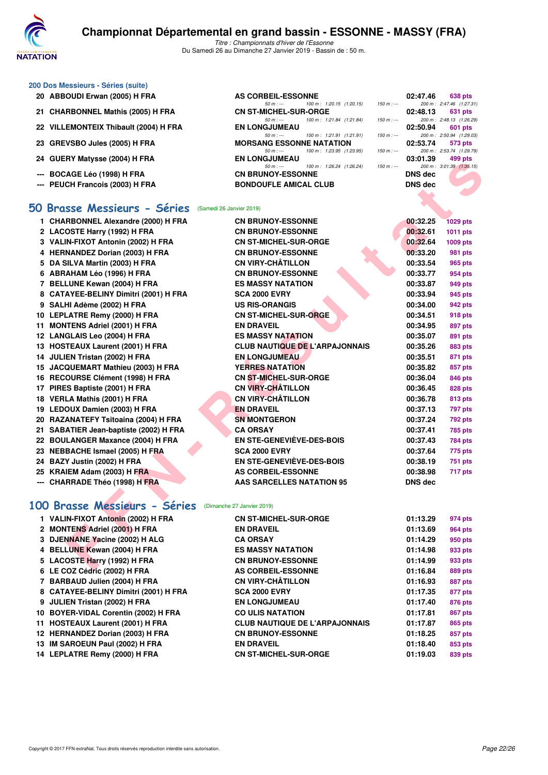

*50 m : --- 100 m : 1:20.15 (1:20.15)* CN ST-MICHEL-SUR-ORGE

*50 m : --- 100 m : 1:21.84 (1:21.84) 150 m : --- 200 m : 2:48.13 (1:26.29)*<br>**EN LONGJUMEAU 02:50.94** 601 pts

*50 m : --- 100 m : 1:21.91 (1:21.91)*  $150 m$  *: --- 200 m : 2:50.94 (1:29.03)*<br> **MORSANG ESSONNE NATATION** 02:53.74 573 pts

*50 m : --- 100 m : 1:23.95 (1:23.95) 150 m : --- 200 m : 2:53.74 (1:29.79)*

#### **200 Dos Messieurs - Séries (suite)**

- **20 ABBOUDI Erwan (2005) H FRA AS CORBEIL-ESSONNE 02:47.46 638 pts**<br> **AS CORBEIL-ESSONNE 100 m:** 1:20.15 (1:20.15) **150 m:** 200 m: 2:47.46 (1:27.31)
- **21 CHARBONNEL Mathis (2005) H FRA CN ST-MICHEL-SUR-ORGE 02:48.13 631 pts**
- **22 VILLEMONTEIX Thibault (2004) H FRA** EN LONGJUMEAU **60m** pts **121.91** (121.91)
- **23 GREVSBO Jules (2005) H FRA** MORSANG ESSONNE NATATION 02:53.74 573 pts<br>  $\frac{50 \text{ m}}{50 \text{ m}} = \frac{100 \text{ m}}{100 \text{ m}} = \frac{123.95}{120 \text{ m}} = \frac{150 \text{ m}}{200 \text{ m}} = \frac{253.74}{200 \text{ m}} = \frac{253.74}{200 \text{ m}} = \frac{253.74}{(1.29.79)}$
- **24 GUERY Matysse (2004) H FRA** EN LONGJUMEAU 50 m i + 126.24 (1:26.24)
- --- BOCAGE Léo (1998) H FRA CN BRUNOY-ESSONNE
- **--- PEUCH Francois (2003) H FRA BONDOUFLE AMICAL CLUB DNS dec**

#### **[50 Brasse Messieurs - Séries](http://www.ffnatation.fr/webffn/resultats.php?idact=nat&go=epr&idcpt=58437&idepr=71)** (Samedi 26 Janvier 2019)

| 24 GUL NI MALYSSE (2004) II FRA                         | EN LUNGJUMEAU                                                                    | 00.UI.OJ       | ຯວວ ນເວ                     |
|---------------------------------------------------------|----------------------------------------------------------------------------------|----------------|-----------------------------|
| --- BOCAGE Léo (1998) H FRA                             | $50 m : -$<br>100 m: 1:26.24 (1:26.24)<br>$150 m: -$<br><b>CN BRUNOY-ESSONNE</b> | <b>DNS</b> dec | 200 m: 3:01.39 (1:35.15)    |
| --- PEUCH Francois (2003) H FRA                         | <b>BONDOUFLE AMICAL CLUB</b>                                                     | <b>DNS dec</b> |                             |
|                                                         |                                                                                  |                |                             |
| 0 Brasse Messieurs - Séries<br>(Samedi 26 Janvier 2019) |                                                                                  |                |                             |
| 1 CHARBONNEL Alexandre (2000) H FRA                     | <b>CN BRUNOY-ESSONNE</b>                                                         | 00:32.25       |                             |
| 2 LACOSTE Harry (1992) H FRA                            | <b>CN BRUNOY-ESSONNE</b>                                                         | 00:32.61       | <b>1029 pts</b><br>1011 pts |
| 3 VALIN-FIXOT Antonin (2002) H FRA                      | <b>CN ST-MICHEL-SUR-ORGE</b>                                                     | 00:32.64       | 1009 pts                    |
| 4 HERNANDEZ Dorian (2003) H FRA                         | <b>CN BRUNOY-ESSONNE</b>                                                         | 00:33.20       | 981 pts                     |
| 5 DA SILVA Martin (2003) H FRA                          | <b>CN VIRY-CHÂTILLON</b>                                                         | 00:33.54       | 965 pts                     |
| 6 ABRAHAM Léo (1996) H FRA                              | <b>CN BRUNOY-ESSONNE</b>                                                         | 00:33.77       | 954 pts                     |
| 7 BELLUNE Kewan (2004) H FRA                            | <b>ES MASSY NATATION</b>                                                         | 00:33.87       | 949 pts                     |
| 8 CATAYEE-BELINY Dimitri (2001) H FRA                   | <b>SCA 2000 EVRY</b>                                                             | 00:33.94       | 945 pts                     |
| 9 SALHI Adème (2002) H FRA                              | <b>US RIS-ORANGIS</b>                                                            | 00:34.00       | 942 pts                     |
| 10 LEPLATRE Remy (2000) H FRA                           | <b>CN ST-MICHEL-SUR-ORGE</b>                                                     | 00:34.51       | 918 pts                     |
| 11 MONTENS Adriel (2001) H FRA                          | <b>EN DRAVEIL</b>                                                                | 00:34.95       | 897 pts                     |
| 12 LANGLAIS Leo (2004) H FRA                            | <b>ES MASSY NATATION</b>                                                         | 00:35.07       | 891 pts                     |
| 13 HOSTEAUX Laurent (2001) H FRA                        | <b>CLUB NAUTIQUE DE L'ARPAJONNAIS</b>                                            | 00:35.26       | 883 pts                     |
| 14 JULIEN Tristan (2002) H FRA                          | <b>EN LONGJUMEAU</b>                                                             | 00:35.51       | 871 pts                     |
| 15 JACQUEMART Mathieu (2003) H FRA                      | <b>YERRES NATATION</b>                                                           | 00:35.82       | 857 pts                     |
| 16 RECOURSE Clément (1998) H FRA                        | <b>CN ST-MICHEL-SUR-ORGE</b>                                                     | 00:36.04       | 846 pts                     |
| 17 PIRES Baptiste (2001) H FRA                          | <b>CN VIRY-CHÂTILLON</b>                                                         | 00:36.45       | 828 pts                     |
| 18 VERLA Mathis (2001) H FRA                            | <b>CN VIRY-CHÂTILLON</b>                                                         | 00:36.78       | <b>813 pts</b>              |
| 19 LEDOUX Damien (2003) H FRA                           | <b>EN DRAVEIL</b>                                                                | 00:37.13       | 797 pts                     |
| 20 RAZANATEFY Tsitoaina (2004) H FRA                    | <b>SN MONTGERON</b>                                                              | 00:37.24       | <b>792 pts</b>              |
| 21 SABATIER Jean-baptiste (2002) H FRA                  | <b>CA ORSAY</b>                                                                  | 00:37.41       | 785 pts                     |
| 22 BOULANGER Maxance (2004) H FRA                       | EN STE-GENEVIÈVE-DES-BOIS                                                        | 00:37.43       | <b>784 pts</b>              |
| 23 NEBBACHE Ismael (2005) H FRA                         | <b>SCA 2000 EVRY</b>                                                             | 00:37.64       | 775 pts                     |
| 24 BAZY Justin (2002) H FRA                             | <b>EN STE-GENEVIÈVE-DES-BOIS</b>                                                 | 00:38.19       | 751 pts                     |
| 25 KRAIEM Adam (2003) H FRA                             | <b>AS CORBEIL-ESSONNE</b>                                                        | 00:38.98       | 717 pts                     |
| --- CHARRADE Théo (1998) H FRA                          | <b>AAS SARCELLES NATATION 95</b>                                                 | <b>DNS dec</b> |                             |
|                                                         |                                                                                  |                |                             |
| 00 Brasse Messieurs - Séries (Dimanche 27 Janvier 2019) |                                                                                  |                |                             |
| 1 VALIN-FIXOT Antonin (2002) H FRA                      | <b>CN ST-MICHEL-SUR-ORGE</b>                                                     | 01:13.29       | 974 pts                     |
| 2 MONTENS Adriel (2001) H FRA                           | <b>EN DRAVEIL</b>                                                                | 01:13.69       | 964 pts                     |
| 3 DJENNANE Yacine (2002) H ALG                          | <b>CA ORSAY</b>                                                                  | 01:14.29       | 950 pts                     |
| 4 BELLUNE Kewan (2004) H FRA                            | <b>ES MASSY NATATION</b>                                                         | 01:14.98       | 933 pts                     |
| 5 LACOSTE Harry (1992) H FRA                            | <b>CN BRUNOY-ESSONNE</b>                                                         | 01:14.99       | 933 pts                     |
| $C \cup C$ $O(2 \pi)$ $O(2 \pi)$ $O(200)$ $H$ $CDA$     | AC CODDEIL ECCONINE                                                              | 04.4004        | $000 - 1$                   |

#### **[100 Brasse Messieurs - Séries](http://www.ffnatation.fr/webffn/resultats.php?idact=nat&go=epr&idcpt=58437&idepr=72)** (Dimanche 27 Janvier 2019)

| 1 VALIN-FIXOT Antonin (2002) H FRA    | <b>CN ST-MICHEL-SUR-ORGE</b>          | 01:13.29 | 974 pts        |
|---------------------------------------|---------------------------------------|----------|----------------|
| 2 MONTENS Adriel (2001) H FRA         | <b>EN DRAVEIL</b>                     | 01:13.69 | 964 pts        |
| 3 DJENNANE Yacine (2002) H ALG        | <b>CA ORSAY</b>                       | 01:14.29 | 950 pts        |
| 4 BELLUNE Kewan (2004) H FRA          | <b>ES MASSY NATATION</b>              | 01:14.98 | 933 pts        |
| 5 LACOSTE Harry (1992) H FRA          | <b>CN BRUNOY-ESSONNE</b>              | 01:14.99 | 933 pts        |
| 6 LE COZ Cédric (2002) H FRA          | <b>AS CORBEIL-ESSONNE</b>             | 01:16.84 | 889 pts        |
| 7 BARBAUD Julien (2004) H FRA         | <b>CN VIRY-CHÂTILLON</b>              | 01:16.93 | <b>887 pts</b> |
| 8 CATAYEE-BELINY Dimitri (2001) H FRA | <b>SCA 2000 EVRY</b>                  | 01:17.35 | 877 pts        |
| 9 JULIEN Tristan (2002) H FRA         | <b>EN LONGJUMEAU</b>                  | 01:17.40 | 876 pts        |
| 10 BOYER-VIDAL Corentin (2002) H FRA  | <b>CO ULIS NATATION</b>               | 01:17.81 | <b>867 pts</b> |
| 11 HOSTEAUX Laurent (2001) H FRA      | <b>CLUB NAUTIQUE DE L'ARPAJONNAIS</b> | 01:17.87 | 865 pts        |
| 12 HERNANDEZ Dorian (2003) H FRA      | <b>CN BRUNOY-ESSONNE</b>              | 01:18.25 | 857 pts        |
| 13 IM SAROEUN Paul (2002) H FRA       | <b>EN DRAVEIL</b>                     | 01:18.40 | 853 pts        |
| 14 LEPLATRE Remy (2000) H FRA         | <b>CN ST-MICHEL-SUR-ORGE</b>          | 01:19.03 | 839 pts        |
|                                       |                                       |          |                |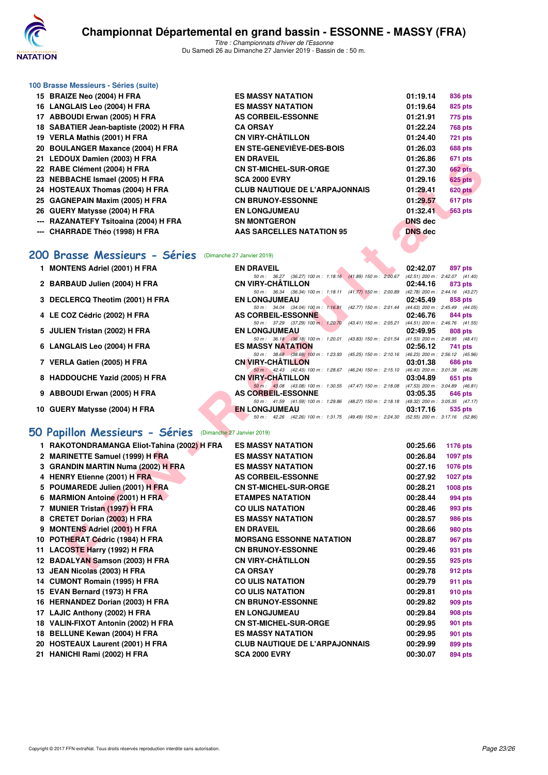

#### **100 Brasse Messieurs - Séries (suite)**

| 15 BRAIZE Neo (2004) H FRA             | <b>ES MASSY NATATION</b>              | 01:19.14       | 836 pts        |
|----------------------------------------|---------------------------------------|----------------|----------------|
| 16 LANGLAIS Leo (2004) H FRA           | <b>ES MASSY NATATION</b>              | 01:19.64       | <b>825 pts</b> |
| 17 ABBOUDI Erwan (2005) H FRA          | AS CORBEIL-ESSONNE                    | 01:21.91       | 775 pts        |
| 18 SABATIER Jean-baptiste (2002) H FRA | <b>CA ORSAY</b>                       | 01:22.24       | <b>768 pts</b> |
| 19 VERLA Mathis (2001) H FRA           | <b>CN VIRY-CHÂTILLON</b>              | 01:24.40       | <b>721 pts</b> |
| 20 BOULANGER Maxance (2004) H FRA      | <b>EN STE-GENEVIÈVE-DES-BOIS</b>      | 01:26.03       | <b>688 pts</b> |
| 21 LEDOUX Damien (2003) H FRA          | <b>EN DRAVEIL</b>                     | 01:26.86       | <b>671 pts</b> |
| 22 RABE Clément (2004) H FRA           | <b>CN ST-MICHEL-SUR-ORGE</b>          | 01:27.30       | <b>662 pts</b> |
| 23 NEBBACHE Ismael (2005) H FRA        | <b>SCA 2000 EVRY</b>                  | 01:29.16       | <b>625 pts</b> |
| 24 HOSTEAUX Thomas (2004) H FRA        | <b>CLUB NAUTIQUE DE L'ARPAJONNAIS</b> | 01:29.41       | <b>620 pts</b> |
| 25 GAGNEPAIN Maxim (2005) H FRA        | <b>CN BRUNOY-ESSONNE</b>              | 01:29.57       | 617 pts        |
| 26 GUERY Matysse (2004) H FRA          | <b>EN LONGJUMEAU</b>                  | 01:32.41       | <b>563 pts</b> |
| --- RAZANATEFY Tsitoaina (2004) H FRA  | <b>SN MONTGERON</b>                   | <b>DNS</b> dec |                |
| --- CHARRADE Théo (1998) H FRA         | AAS SARCELLES NATATION 95             | <b>DNS</b> dec |                |
|                                        |                                       |                |                |

# **[200 Brasse Messieurs - Séries](http://www.ffnatation.fr/webffn/resultats.php?idact=nat&go=epr&idcpt=58437&idepr=73)** (Dimanche 27 Janvier 2019)

|  | 1 MONTENS Adriel (2001) H FRA |  |  |  |
|--|-------------------------------|--|--|--|
|--|-------------------------------|--|--|--|

| 1 MONTENS Adriel (2001) H FRA   | <b>EN DRAVEIL</b>         |                                                                                         |  | 02:42.07                        | 897 pts |
|---------------------------------|---------------------------|-----------------------------------------------------------------------------------------|--|---------------------------------|---------|
|                                 |                           | 50 m : 36.27 (36.27) 100 m : 1:18.16 (41.89) 150 m : 2:00.67                            |  | (42.51) 200 m : 2:42.07 (41.40  |         |
| 2 BARBAUD Julien (2004) H FRA   | <b>CN VIRY-CHÂTILLON</b>  |                                                                                         |  | 02:44.16                        | 873 pts |
|                                 |                           | 50 m: 36.34 (36.34) 100 m: 1:18.11 (41.77) 150 m: 2:00.89                               |  | (42.78) 200 m : 2:44.16 (43.27  |         |
| 3 DECLERCQ Theotim (2001) H FRA | <b>EN LONGJUMEAU</b>      |                                                                                         |  | 02:45.49                        | 858 pts |
|                                 |                           | 50 m: 34.04 (34.04) 100 m: 1:16.81 (42.77) 150 m: 2:01.44                               |  | (44.63) 200 m : 2:45.49 (44.05  |         |
| 4 LE COZ Cédric (2002) H FRA    | AS CORBEIL-ESSONNE        |                                                                                         |  | 02:46.76                        | 844 pts |
|                                 |                           | 50 m : 37.29 (37.29) 100 m : 1:20.70 (43.41) 150 m : 2:05.21                            |  | (44.51) 200 m : 2:46.76 (41.55  |         |
| 5 JULIEN Tristan (2002) H FRA   | <b>EN LONGJUMEAU</b>      |                                                                                         |  | 02:49.95                        | 808 pts |
|                                 |                           | 50 m : 36.18 (36.18) 100 m : 1:20.01 (43.83) 150 m : 2:01.54                            |  | (41.53) 200 m : 2:49.95 (48.41  |         |
| 6 LANGLAIS Leo (2004) H FRA     | <b>ES MASSY NATATION</b>  |                                                                                         |  | 02:56.12                        | 741 pts |
|                                 |                           | 50 m : 38.68 (38.68) 100 m : 1:23.93 (45.25) 150 m : 2:10.16                            |  | (46.23) 200 m : 2:56.12 (45.96  |         |
| 7 VERLA Gatien (2005) H FRA     | <b>CN VIRY-CHÂTILLON</b>  |                                                                                         |  | 03:01.38                        | 686 pts |
|                                 |                           | 50 m : 42.43 (42.43) 100 m : 1:28.67 (46.24) 150 m : 2:15.10                            |  | (46.43) 200 m : 3:01.38 (46.28  |         |
| 8 HADDOUCHE Yazid (2005) H FRA  | <b>CN VIRY-CHÂTILLON</b>  |                                                                                         |  | 03:04.89                        | 651 pts |
|                                 |                           | 50 m : 43.08 (43.08) 100 m : 1:30.55 (47.47) 150 m : 2:18.08                            |  | (47.53) 200 m : 3:04.89 (46.81  |         |
| 9 ABBOUDI Erwan (2005) H FRA    | <b>AS CORBEIL-ESSONNE</b> |                                                                                         |  | 03:05.35                        | 646 pts |
|                                 |                           | 50 m: 41.59 (41.59) 100 m: 1:29.86 (48.27) 150 m: 2:18.18                               |  | (48.32) 200 m : 3:05.35 (47.17) |         |
| 10 GUERY Matysse (2004) H FRA   | <b>EN LONGJUMEAU</b>      |                                                                                         |  | 03:17.16                        | 535 pts |
|                                 |                           | 50 m: 42.26 (42.26) 100 m: 1:31.75 (49.49) 150 m: 2:24.30 (52.55) 200 m: 3:17.16 (52.86 |  |                                 |         |
|                                 |                           |                                                                                         |  |                                 |         |

#### **[50 Papillon Messieurs - Séries](http://www.ffnatation.fr/webffn/resultats.php?idact=nat&go=epr&idcpt=58437&idepr=81)** (Dimanche 27 Janvier 2019)

| 21 LEDOUA DAIMEN (2003) II FRA              |                                                                                                                      | <b>UI.40.00</b> | ur i pis        |
|---------------------------------------------|----------------------------------------------------------------------------------------------------------------------|-----------------|-----------------|
| 22 RABE Clément (2004) H FRA                | <b>CN ST-MICHEL-SUR-ORGE</b>                                                                                         | 01:27.30        | 662 pts         |
| 23 NEBBACHE Ismael (2005) H FRA             | <b>SCA 2000 EVRY</b>                                                                                                 | 01:29.16        | <b>625 pts</b>  |
| 24 HOSTEAUX Thomas (2004) H FRA             | <b>CLUB NAUTIQUE DE L'ARPAJONNAIS</b>                                                                                | 01:29.41        | <b>620 pts</b>  |
| 25 GAGNEPAIN Maxim (2005) H FRA             | <b>CN BRUNOY-ESSONNE</b>                                                                                             | 01:29.57        | 617 pts         |
| 26 GUERY Matysse (2004) H FRA               | <b>EN LONGJUMEAU</b>                                                                                                 | 01:32.41        | <b>563 pts</b>  |
|                                             |                                                                                                                      |                 |                 |
| --- RAZANATEFY Tsitoaina (2004) H FRA       | <b>SN MONTGERON</b>                                                                                                  | <b>DNS</b> dec  |                 |
| --- CHARRADE Théo (1998) H FRA              | AAS SARCELLES NATATION 95                                                                                            | <b>DNS dec</b>  |                 |
|                                             |                                                                                                                      |                 |                 |
| <b>200 Brasse Messieurs - Séries</b>        | (Dimanche 27 Janvier 2019)                                                                                           |                 |                 |
| 1 MONTENS Adriel (2001) H FRA               | <b>EN DRAVEIL</b>                                                                                                    | 02:42.07        | 897 pts         |
|                                             | 50 m: 36.27 (36.27) 100 m: 1:18.16 (41.89) 150 m: 2:00.67 (42.51) 200 m: 2:42.07 (41.40)                             |                 |                 |
| 2 BARBAUD Julien (2004) H FRA               | <b>CN VIRY-CHATILLON</b>                                                                                             | 02:44.16        | 873 pts         |
| 3 DECLERCQ Theotim (2001) H FRA             | 50 m: 36.34 (36.34) 100 m: 1:18.11 (41.77) 150 m: 2:00.89 (42.78) 200 m: 2:44.16 (43.27)<br><b>EN LONGJUMEAU</b>     | 02:45.49        | 858 pts         |
|                                             | 50 m: 34.04 (34.04) 100 m: 1:16.81 (42.77) 150 m: 2:01.44 (44.63) 200 m: 2:45.49 (44.05)                             |                 |                 |
| 4 LE COZ Cédric (2002) H FRA                | <b>AS CORBEIL-ESSONNE</b>                                                                                            | 02:46.76        | 844 pts         |
|                                             | 50 m: 37.29 (37.29) 100 m: 1:20.70<br>(43.41) 150 m : 2:05.21 (44.51) 200 m : 2:46.76 (41.55)                        |                 |                 |
| 5 JULIEN Tristan (2002) H FRA               | <b>EN LONGJUMEAU</b>                                                                                                 | 02:49.95        | 808 pts         |
| 6 LANGLAIS Leo (2004) H FRA                 | 50 m: 36.18 (36.18) 100 m: 1:20.01 (43.83) 150 m: 2:01.54 (41.53) 200 m: 2:49.95 (48.41)<br><b>ES MASSY NATATION</b> | 02:56.12        | 741 pts         |
|                                             | 50 m: 38.68 (38.68) 100 m: 1:23.93 (45.25) 150 m: 2:10.16 (46.23) 200 m: 2:56.12 (45.96)                             |                 |                 |
| 7 VERLA Gatien (2005) H FRA                 | <b>CN VIRY-CHATILLON</b>                                                                                             | 03:01.38        | 686 pts         |
|                                             | 50 m: 42.43 (42.43) 100 m: 1:28.67 (46.24) 150 m: 2:15.10 (46.43) 200 m: 3:01.38 (46.28)                             |                 |                 |
| 8 HADDOUCHE Yazid (2005) H FRA              | <b>CN VIRY-CHATILLON</b><br>50 m: 43.08 (43.08) 100 m: 1:30.55 (47.47) 150 m: 2:18.08 (47.53) 200 m: 3:04.89 (46.81) | 03:04.89        | 651 pts         |
| 9 ABBOUDI Erwan (2005) H FRA                | <b>AS CORBEIL-ESSONNE</b>                                                                                            | 03:05.35        | 646 pts         |
|                                             | 50 m: 41.59 (41.59) 100 m: 1:29.86 (48.27) 150 m: 2:18.18 (48.32) 200 m: 3:05.35 (47.17)                             |                 |                 |
| 10 GUERY Matysse (2004) H FRA               | <b>EN LONGJUMEAU</b>                                                                                                 | 03:17.16        | 535 pts         |
|                                             | 50 m: 42.26 (42.26) 100 m: 1:31.75 (49.49) 150 m: 2:24.30 (52.55) 200 m: 3:17.16 (52.86)                             |                 |                 |
| iO Papillon Messieurs - Séries              | (Dimanche 27 Janvier 2019)                                                                                           |                 |                 |
|                                             |                                                                                                                      |                 |                 |
| 1 RAKOTONDRAMANGA Eliot-Tahina (2002) H FRA | <b>ES MASSY NATATION</b>                                                                                             | 00:25.66        | 1176 pts        |
| 2 MARINETTE Samuel (1999) H FRA             | <b>ES MASSY NATATION</b>                                                                                             | 00:26.84        | <b>1097 pts</b> |
| 3 GRANDIN MARTIN Numa (2002) H FRA          | <b>ES MASSY NATATION</b>                                                                                             | 00:27.16        | <b>1076 pts</b> |
| 4 HENRY Etienne (2001) H FRA                | <b>AS CORBEIL-ESSONNE</b>                                                                                            | 00:27.92        | <b>1027 pts</b> |
| 5 POUMAREDE Julien (2001) H FRA             | <b>CN ST-MICHEL-SUR-ORGE</b>                                                                                         | 00:28.21        | 1008 pts        |
| 6 MARMION Antoine (2001) H FRA              | <b>ETAMPES NATATION</b>                                                                                              | 00:28.44        | 994 pts         |
| 7 MUNIER Tristan (1997) H FRA               | <b>CO ULIS NATATION</b>                                                                                              | 00:28.46        | 993 pts         |
| 8 CRETET Dorian (2003) H FRA                | <b>ES MASSY NATATION</b>                                                                                             | 00:28.57        | 986 pts         |
| 9 MONTENS Adriel (2001) H FRA               | <b>EN DRAVEIL</b>                                                                                                    | 00:28.66        | 980 pts         |
| 10 POTHERAT Cédric (1984) H FRA             | <b>MORSANG ESSONNE NATATION</b>                                                                                      | 00:28.87        | 967 pts         |
| 11 LACOSTE Harry (1992) H FRA               | <b>CN BRUNOY-ESSONNE</b>                                                                                             | 00:29.46        | 931 pts         |
| 12 BADALYAN Samson (2003) H FRA             | <b>CN VIRY-CHÂTILLON</b>                                                                                             | 00:29.55        | 925 pts         |
|                                             | <b>CA ORSAY</b>                                                                                                      | 00:29.78        |                 |
| 13 JEAN Nicolas (2003) H FRA                |                                                                                                                      |                 | 912 pts         |
| 14 CUMONT Romain (1995) H FRA               | <b>CO ULIS NATATION</b>                                                                                              | 00:29.79        | 911 pts         |
| 15 EVAN Bernard (1973) H FRA                | <b>CO ULIS NATATION</b>                                                                                              | 00:29.81        | <b>910 pts</b>  |
| 16 HERNANDEZ Dorian (2003) H FRA            | <b>CN BRUNOY-ESSONNE</b>                                                                                             | 00:29.82        | 909 pts         |
| 17 LAJIC Anthony (2002) H FRA               | <b>EN LONGJUMEAU</b>                                                                                                 | 00:29.84        | <b>908 pts</b>  |
| 18 VALIN-FIXOT Antonin (2002) H FRA         | <b>CN ST-MICHEL-SUR-ORGE</b>                                                                                         | 00:29.95        | 901 pts         |
| 18 BELLUNE Kewan (2004) H FRA               | <b>ES MASSY NATATION</b>                                                                                             | 00:29.95        | 901 pts         |
| 20 HOSTEAUX Laurent (2001) H FRA            | <b>CLUB NAUTIQUE DE L'ARPAJONNAIS</b>                                                                                | 00:29.99        | 899 pts         |
| 21 HANICHI Rami (2002) H FRA                | <b>SCA 2000 EVRY</b>                                                                                                 | 00:30.07        | 894 pts         |
|                                             |                                                                                                                      |                 |                 |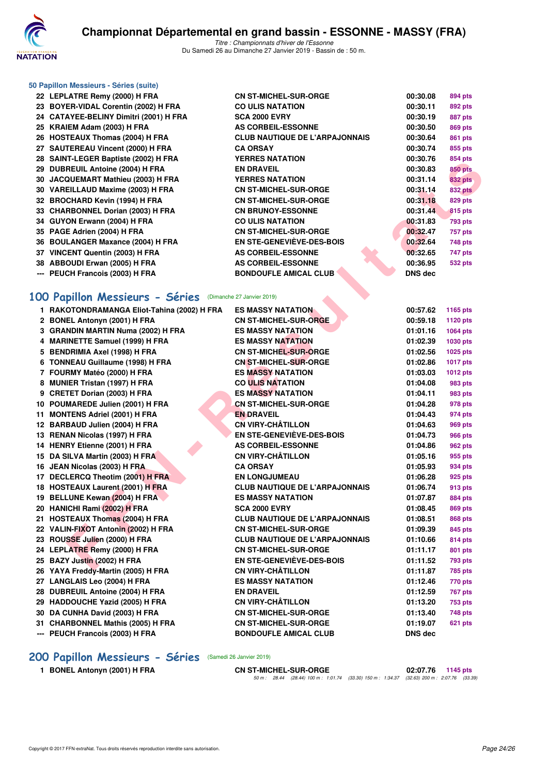

**50 Papillon Messieurs - Séries (suite)**

*Titre : Championnats d'hiver de l'Essonne* Du Samedi 26 au Dimanche 27 Janvier 2019 - Bassin de : 50 m.

|    | 22 LEPLATRE Remy (2000) H FRA          | <b>CN ST-MICHEL-SUR-ORGE</b>          | 00:30.08       | 894 pts        |
|----|----------------------------------------|---------------------------------------|----------------|----------------|
|    | 23 BOYER-VIDAL Corentin (2002) H FRA   | <b>CO ULIS NATATION</b>               | 00:30.11       | 892 pts        |
|    | 24 CATAYEE-BELINY Dimitri (2001) H FRA | <b>SCA 2000 EVRY</b>                  | 00:30.19       | 887 pts        |
|    | 25 KRAIEM Adam (2003) H FRA            | <b>AS CORBEIL-ESSONNE</b>             | 00:30.50       | 869 pts        |
|    | 26 HOSTEAUX Thomas (2004) H FRA        | <b>CLUB NAUTIQUE DE L'ARPAJONNAIS</b> | 00:30.64       | 861 pts        |
|    | 27 SAUTEREAU Vincent (2000) H FRA      | <b>CA ORSAY</b>                       | 00:30.74       | 855 pts        |
|    | 28 SAINT-LEGER Baptiste (2002) H FRA   | <b>YERRES NATATION</b>                | 00:30.76       | 854 pts        |
|    | 29 DUBREUIL Antoine (2004) H FRA       | <b>EN DRAVEIL</b>                     | 00:30.83       | <b>850 pts</b> |
| 30 | JACQUEMART Mathieu (2003) H FRA        | <b>YERRES NATATION</b>                | 00:31.14       | <b>832 pts</b> |
|    | 30 VAREILLAUD Maxime (2003) H FRA      | <b>CN ST-MICHEL-SUR-ORGE</b>          | 00:31.14       | <b>832 pts</b> |
|    | 32 BROCHARD Kevin (1994) H FRA         | <b>CN ST-MICHEL-SUR-ORGE</b>          | 00:31.18       | 829 pts        |
|    | 33 CHARBONNEL Dorian (2003) H FRA      | <b>CN BRUNOY-ESSONNE</b>              | 00:31.44       | 815 pts        |
|    | 34 GUYON Erwann (2004) H FRA           | <b>CO ULIS NATATION</b>               | 00:31.83       | 793 pts        |
| 35 | PAGE Adrien (2004) H FRA               | <b>CN ST-MICHEL-SUR-ORGE</b>          | 00:32.47       | <b>757 pts</b> |
|    | 36 BOULANGER Maxance (2004) H FRA      | EN STE-GENEVIÈVE-DES-BOIS             | 00:32.64       | 748 pts        |
|    | 37 VINCENT Quentin (2003) H FRA        | <b>AS CORBEIL-ESSONNE</b>             | 00:32.65       | 747 pts        |
|    | 38 ABBOUDI Erwan (2005) H FRA          | <b>AS CORBEIL-ESSONNE</b>             | 00:36.95       | <b>532 pts</b> |
|    | --- PEUCH Francois (2003) H FRA        | <b>BONDOUFLE AMICAL CLUB</b>          | <b>DNS dec</b> |                |

### **[100 Papillon Messieurs - Séries](http://www.ffnatation.fr/webffn/resultats.php?idact=nat&go=epr&idcpt=58437&idepr=82)** (Dimanche 27 Janvier 2019)

| 20 SAINT-LEGEN Baptiste (2002) IT FRA                     | I ENNEJ IVA I ATIVIV                                  | uu.ju. <i>i</i> u    | ບບ+ µເວ            |
|-----------------------------------------------------------|-------------------------------------------------------|----------------------|--------------------|
| 29 DUBREUIL Antoine (2004) H FRA                          | <b>EN DRAVEIL</b>                                     | 00:30.83             | <b>850 pts</b>     |
| 30 JACQUEMART Mathieu (2003) H FRA                        | <b>YERRES NATATION</b>                                | 00:31.14             | <b>832 pts</b>     |
| 30 VAREILLAUD Maxime (2003) H FRA                         | <b>CN ST-MICHEL-SUR-ORGE</b>                          | 00:31.14             | <b>832 pts</b>     |
| 32 BROCHARD Kevin (1994) H FRA                            | <b>CN ST-MICHEL-SUR-ORGE</b>                          | 00:31.18             | 829 pts            |
| 33 CHARBONNEL Dorian (2003) H FRA                         | <b>CN BRUNOY-ESSONNE</b>                              | 00:31.44             | <b>815 pts</b>     |
| 34 GUYON Erwann (2004) H FRA                              | <b>CO ULIS NATATION</b>                               | 00:31.83             | 793 pts            |
| 35 PAGE Adrien (2004) H FRA                               | <b>CN ST-MICHEL-SUR-ORGE</b>                          | 00:32.47             | 757 pts            |
| 36 BOULANGER Maxance (2004) H FRA                         | <b>EN STE-GENEVIÈVE-DES-BOIS</b>                      | 00:32.64             | 748 pts            |
| 37 VINCENT Quentin (2003) H FRA                           | <b>AS CORBEIL-ESSONNE</b>                             | 00:32.65             | 747 pts            |
| 38 ABBOUDI Erwan (2005) H FRA                             | <b>AS CORBEIL-ESSONNE</b>                             | 00:36.95             | 532 pts            |
| --- PEUCH Francois (2003) H FRA                           | <b>BONDOUFLE AMICAL CLUB</b>                          | DNS dec              |                    |
| 00 Papillon Messieurs - Séries (Dimanche 27 Janvier 2019) |                                                       |                      |                    |
| 1 RAKOTONDRAMANGA Eliot-Tahina (2002) H FRA               | <b>ES MASSY NATATION</b>                              | 00:57.62             | 1165 pts           |
| 2 BONEL Antonyn (2001) H FRA                              | <b>CN ST-MICHEL-SUR-ORGE</b>                          | 00:59.18             | 1120 pts           |
| 3 GRANDIN MARTIN Numa (2002) H FRA                        | <b>ES MASSY NATATION</b>                              | 01:01.16             | 1064 pts           |
| 4 MARINETTE Samuel (1999) H FRA                           | <b>ES MASSY NATATION</b>                              | 01:02.39             | 1030 pts           |
| 5 BENDRIMIA Axel (1998) H FRA                             | <b>CN ST-MICHEL-SUR-ORGE</b>                          | 01:02.56             | 1025 pts           |
| 6 TONNEAU Guillaume (1998) H FRA                          | <b>CN ST-MICHEL-SUR-ORGE</b>                          | 01:02.86             | <b>1017 pts</b>    |
| 7 FOURMY Matéo (2000) H FRA                               | <b>ES MASSY NATATION</b>                              | 01:03.03             | 1012 pts           |
| 8 MUNIER Tristan (1997) H FRA                             | <b>CO ULIS NATATION</b>                               | 01:04.08             | 983 pts            |
| 9 CRETET Dorian (2003) H FRA                              | <b>ES MASSY NATATION</b>                              | 01:04.11             | 983 pts            |
| 10 POUMAREDE Julien (2001) H FRA                          | <b>CN ST-MICHEL-SUR-ORGE</b>                          | 01:04.28             |                    |
| 11 MONTENS Adriel (2001) H FRA                            | <b>EN DRAVEIL</b>                                     |                      | 978 pts            |
| 12 BARBAUD Julien (2004) H FRA                            | <b>CN VIRY-CHÂTILLON</b>                              | 01:04.43<br>01:04.63 | 974 pts<br>969 pts |
| 13 RENAN Nicolas (1997) H FRA                             | EN STE-GENEVIÈVE-DES-BOIS                             | 01:04.73             |                    |
|                                                           |                                                       |                      | 966 pts            |
| 14 HENRY Etienne (2001) H FRA                             | <b>AS CORBEIL-ESSONNE</b><br><b>CN VIRY-CHÂTILLON</b> | 01:04.86             | 962 pts            |
| 15 DA SILVA Martin (2003) H FRA                           |                                                       | 01:05.16             | 955 pts            |
| 16 JEAN Nicolas (2003) H FRA                              | <b>CA ORSAY</b>                                       | 01:05.93             | 934 pts            |
| 17 DECLERCQ Theotim (2001) H FRA                          | <b>EN LONGJUMEAU</b>                                  | 01:06.28             | 925 pts            |
| 18 HOSTEAUX Laurent (2001) H FRA                          | <b>CLUB NAUTIQUE DE L'ARPAJONNAIS</b>                 | 01:06.74             | 913 pts            |
| 19 BELLUNE Kewan (2004) H FRA                             | <b>ES MASSY NATATION</b><br><b>SCA 2000 EVRY</b>      | 01:07.87             | 884 pts            |
| 20 HANICHI Rami (2002) H FRA                              |                                                       | 01:08.45             | 869 pts            |
| 21 HOSTEAUX Thomas (2004) H FRA                           | <b>CLUB NAUTIQUE DE L'ARPAJONNAIS</b>                 | 01:08.51             | 868 pts            |
| 22 VALIN-FIXOT Antonin (2002) H FRA                       | <b>CN ST-MICHEL-SUR-ORGE</b>                          | 01:09.39             | 845 pts            |
| 23 ROUSSE Julien (2000) H FRA                             | <b>CLUB NAUTIQUE DE L'ARPAJONNAIS</b>                 | 01:10.66             | 814 pts            |
| 24 LEPLATRE Remy (2000) H FRA                             | <b>CN ST-MICHEL-SUR-ORGE</b>                          | 01:11.17             | 801 pts            |
| 25 BAZY Justin (2002) H FRA                               | EN STE-GENEVIÈVE-DES-BOIS                             | 01:11.52             | 793 pts            |
| 26 YAYA Freddy-Martin (2005) H FRA                        | <b>CN VIRY-CHÂTILLON</b>                              | 01:11.87             | <b>785 pts</b>     |
| 27 LANGLAIS Leo (2004) H FRA                              | <b>ES MASSY NATATION</b>                              | 01:12.46             | 770 pts            |
| 28 DUBREUIL Antoine (2004) H FRA                          | <b>EN DRAVEIL</b>                                     | 01:12.59             | <b>767 pts</b>     |
| 29 HADDOUCHE Yazid (2005) H FRA                           | <b>CN VIRY-CHÂTILLON</b>                              | 01:13.20             | <b>753 pts</b>     |
| 30 DA CUNHA David (2003) H FRA                            | <b>CN ST-MICHEL-SUR-ORGE</b>                          | 01:13.40             | 748 pts            |
| 31 CHARBONNEL Mathis (2005) H FRA                         | <b>CN ST-MICHEL-SUR-ORGE</b>                          | 01:19.07             | <b>621 pts</b>     |
| --- PEUCH Francois (2003) H FRA                           | <b>BONDOUFLE AMICAL CLUB</b>                          | DNS dec              |                    |
|                                                           |                                                       |                      |                    |

# **[200 Papillon Messieurs - Séries](http://www.ffnatation.fr/webffn/resultats.php?idact=nat&go=epr&idcpt=58437&idepr=83)** (Samedi 26 Janvier 2019)

**1 BONEL Antonyn (2001) H FRA CN ST-MICHEL-SUR-ORGE 02:07.76 1145 pts** *50 m : 28.44 (28.44) 100 m : 1:01.74 (33.30) 150 m : 1:34.37 (32.63) 200 m : 2:07.76 (33.39)*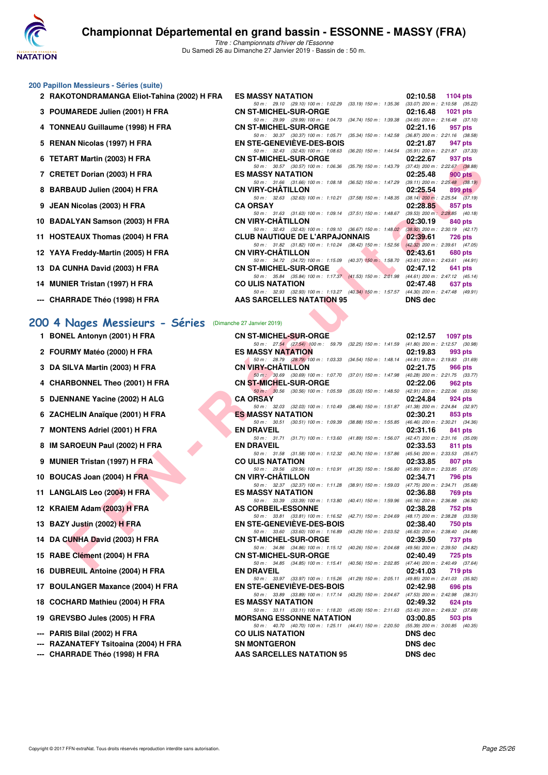

*50 m : 29.10 (29.10) 100 m : 1:02.29 (33.19) 150 m : 1:35.36 (33.07) 200 m : 2:10.58 (35.22)*

*50 m : 29.99 (29.99) 100 m : 1:04.73 (34.74) 150 m : 1:39.38 (34.65) 200 m : 2:16.48 (37.10)*<br>**CN ST-MICHEL-SUR-ORGE 02:21.16 957 pts** 

*50 m : 30.37 (30.37) 100 m : 1:05.71 (35.34) 150 m : 1:42.58 (36.87) 200 m : 2:21.16 (38.58)*<br>**EN STE-GENEVIÈVE-DES-BOIS** 02:21.87 947 pts

*50 m : 32.43 (32.43) 100 m : 1:08.63 (36.20) 150 m : 1:44.54 (35.91) 200 m : 2:21.87 (37.3)*<br>**T-MICHEL-SUR-ORGE 02:22.67 937 pts** 

#### **200 Papillon Messieurs - Séries (suite)**

- **2 RAKOTONDRAMANGA Eliot-Tahina (2002) H FRA** ES MASSY NATATION 02:10.58 02:10.58 1104 pts<br>
50 m: 29.10 (29.10) 100 m: 1:02.29 (33.19) 150 m: 1:35.36 (33.07) 200 m: 2:10.58 (35.22)
- **3 POUMAREDE Julien (2001) H FRA CN ST-MICHEL-SUR-ORGE 02:16.48 1021 pts**
- **4 TONNEAU Guillaume (1998) H FRA**
- **5 RENAN Nicolas (1997) H FRA** EN STE-GENEVIÈVE-DES-BOIS 02:21.87 947 pts<br>  $\frac{50 \text{ m} \div 3243}$  (32.43) 100 m : 1:08.63 (36.20) 150 m : 1:44.54 (35.91) 200 m : 2:21.87 (37.33)
- **6 TETART Martin (2003) H FRA CN ST-MICHEL-SUR-ORGE 02:22.67 937 pts**
- **7 CRETET Dorian (2003) H FRA ES MASSY NATATION 02:25.48 900 pts**
- **8 BARBAUD Julien (2004) H FRA CN VIRY-CHÂTILLON 02:25.54 899 pts 699 pts 699 pts 699 pts 699 pts 699 pts 699 pts 699 pts 699 pts 699 pts 699 pts 699 pts 699 pts 699 pts 699 pts 699 pts**
- **9 JEAN Nicolas (2003) H FRA CA ORSAY 02:28.85 857 pts**
- **10 BADALYAN Samson (2003) H FRA CN VIRY-CHÂTILLON 02:30.19 02:30.19 840 pts** 50 m: 32.43 (32.43) 100 m: 1:09.10 (36.67) 150 m: 1:48.02 (38.92) 200 m: 2:30.19 (42.17)
- **11 HOSTEAUX Thomas (2004) H FRA CLUB NAUTIQUE DE L'ARPAJONNAIS 02:39.61 726 pts**<br>
50 m: 31.82 (31.82) 100 m: 1:10.24 (38.42) 150 m: 1:52.56 (42.32) 200 m: 2:39.61 (47.05)
- **12 YAYA Freddy-Martin (2005) H FRA CN VIRY-CHÂTILLON 02:43.61 680 pts**<br>
50 m: 34.72 (34.72) 100 m: 1:15.09 (40.37) 150 m: 1:58.70 (43.61) 200 m: 2:43.61 (44.91)
- **13 DA CUNHA David (2003) H FRA CN ST-MICHEL-SUR-ORGE 02:47.12 641 pts 02:47.12 641 pts 641 pts 641 pts 641 pts 641 pts 641 pts 647 pts 641 pts 641 pts 641 pts 641 pts 641 pts 641 pts 64**
- **14 MUNIER Tristan (1997) H FRA CO ULIS NATATION 02:47.48 637 pts**<br>
50 m: 32.93 (32.93) 100 m: 1:13.27 (40.34) 150 m: 1:53.57 (44.30) 200 m: 2:47.48 (49.91)
- **--- CHARRADE Théo (1998) H FRA AAS SARCELLES NATATION 95 DNS dec**

**1 BONEL Antonyn (2001) H FRA** 

2 FOURMY Matéo (2000) H FRA

**3 DA SILVA Martin (2003) H FRA** 

**4 CHARBONNEL Theo (2001) H FRA** 

**5 DJENNANE Yacine (2002) H ALG** 

**6 ZACHELIN Anaïque (2001) H FRA** 

**7 MONTENS Adriel (2001) H FRA** 

8 IM SAROEUN Paul (2002) H FRA

**9 MUNIER Tristan (1997) H FRA** 

**10 BOUCAS Joan (2004) H FRA** 

**11 LANGLAIS Leo (2004) H FRA** 

**12 KRAIEM Adam (2003) H FRA** 

**14 DA CUNHA David (2003) H FRA** 

16 DUBREUIL Antoine (2004) H FRA

**17 BOULANGER Maxance (2004) H FRA** 

**15 RABE Clément (2004) H FRA** 

**13 BAZY Justin (2002) H FRA** 

#### **[200 4 Nages Messieurs - Séries](http://www.ffnatation.fr/webffn/resultats.php?idact=nat&go=epr&idcpt=58437&idepr=91)** (Dimanche 27 Janvier 2019)

| וחרון (ב-טעט) ווידוואוויז                           | UN JI-MIUILL-JUN-UNUL                                                                                                             | <u>UZ.ZZ.UI</u><br><b>JJI PIS</b> |
|-----------------------------------------------------|-----------------------------------------------------------------------------------------------------------------------------------|-----------------------------------|
| TET Dorian (2003) H FRA                             | 50 m: 30.57 (30.57) 100 m: 1:06.36 (35.79) 150 m: 1:43.79 (37.43) 200 m: 2:22.67 (38.88)<br><b>ES MASSY NATATION</b>              | 02:25.48<br><b>900 pts</b>        |
| <b>BAUD Julien (2004) H FRA</b>                     | 50 m: 31.66 (31.66) 100 m: 1:08.18 (36.52) 150 m: 1:47.29 (39.11) 200 m: 2:25.48 (38.19)<br><b>CN VIRY-CHATILLON</b>              | 02:25.54<br>899 pts               |
|                                                     | 50 m: 32.63 (32.63) 100 m: 1:10.21 (37.58) 150 m: 1:48.35 (38.14) 200 m: 2:25.54 (37.19)                                          |                                   |
| <b>\  Nicolas (2003) H FRA</b>                      | <b>CA ORSAY</b><br>50 m: 31.63 (31.63) 100 m: 1:09.14 (37.51) 150 m: 1:48.67 (39.53) 200 m: 2:28.85 (40.18)                       | 02:28.85<br>857 pts               |
| ALYAN Samson (2003) H FRA                           | <b>CN VIRY-CHATILLON</b>                                                                                                          | 02:30.19<br>840 pts               |
| TEAUX Thomas (2004) H FRA                           | 50 m: 32.43 (32.43) 100 m: 1:09.10 (36.67) 150 m: 1:48.02 (38.92) 200 m: 2:30.19 (42.17)<br><b>CLUB NAUTIQUE DE L'ARPAJONNAIS</b> | 02:39.61<br>726 pts               |
|                                                     | 50 m: 31.82 (31.82) 100 m: 1:10.24 (38.42) 150 m: 1:52.56 (42.32) 200 m: 2:39.61 (47.05)                                          |                                   |
| A Freddy-Martin (2005) H FRA                        | <b>CN VIRY-CHATILLON</b>                                                                                                          | 02:43.61<br>680 pts               |
| <b>CUNHA David (2003) H FRA</b>                     | 50 m: 34.72 (34.72) 100 m: 1:15.09 (40.37) 150 m: 1:58.70 (43.61) 200 m: 2:43.61 (44.91)<br><b>CN ST-MICHEL-SUR-ORGE</b>          | 02:47.12<br>641 pts               |
| IER Tristan (1997) H FRA                            | 50 m: 35.84 (35.84) 100 m: 1:17.37 (41.53) 150 m: 2:01.98 (44.61) 200 m: 2:47.12 (45.14)<br><b>CO ULIS NATATION</b>               | 02:47.48<br>637 pts               |
|                                                     | 50 m: 32.93 (32.93) 100 m: 1:13.27 (40.34) 150 m: 1:57.57 (44.30) 200 m: 2:47.48 (49.91)                                          |                                   |
| RRADE Théo (1998) H FRA                             | <b>AAS SARCELLES NATATION 95</b>                                                                                                  | <b>DNS dec</b>                    |
|                                                     |                                                                                                                                   |                                   |
| Nages Messieurs - Séries (Dimanche 27 Janvier 2019) |                                                                                                                                   |                                   |
| EL Antonyn (2001) H FRA                             | <b>CN ST-MICHEL-SUR-ORGE</b>                                                                                                      | 02:12.57 1097 pts                 |
| RMY Matéo (2000) H FRA                              | 50 m: 27.54 (27.54) 100 m: 59.79 (32.25) 150 m: 1.41.59 (41.80) 200 m: 2:12.57 (30.98)<br><b>ES MASSY NATATION</b>                | 02:19.83<br>993 pts               |
|                                                     | 50 m: 28.79 (28.79) 100 m: 1:03.33 (34.54) 150 m: 1:48.14 (44.81) 200 m: 2:19.83 (31.69)                                          |                                   |
| ilLVA Martin (2003) H FRA                           | <b>CN VIRY-CHATILLON</b><br>50 m: 30.69 (30.69) 100 m: 1:07.70 (37.01) 150 m: 1:47.98 (40.28) 200 m: 2:21.75 (33.77)              | 02:21.75<br><b>966 pts</b>        |
| <b>RBONNEL Theo (2001) H FRA</b>                    | <b>CN ST-MICHEL-SUR-ORGE</b>                                                                                                      | 02:22.06<br>962 pts               |
| <b>NNANE Yacine (2002) H ALG</b>                    | 50 m: 30.56 (30.56) 100 m: 1:05.59 (35.03) 150 m: 1:48.50 (42.91) 200 m: 2:22.06 (33.56)<br><b>CA ORSAY</b>                       | 02:24.84                          |
|                                                     | 50 m: 32.03 (32.03) 100 m: 1:10.49 (38.46) 150 m: 1:51.87 (41.38) 200 m: 2:24.84 (32.97)                                          | 924 pts                           |
| HELIN Anaïque (2001) H FRA                          | <b>ES MASSY NATATION</b>                                                                                                          | 02:30.21<br>853 pts               |
| ITENS Adriel (2001) H FRA                           | 50 m: 30.51 (30.51) 100 m: 1:09.39 (38.88) 150 m: 1:55.85 (46.46) 200 m: 2:30.21 (34.36)<br><b>EN DRAVEIL</b>                     | 02:31.16<br>841 pts               |
|                                                     | 50 m: 31.71 (31.71) 100 m: 1:13.60 (41.89) 150 m: 1:56.07 (42.47) 200 m: 2:31.16 (35.09)                                          |                                   |
| AROEUN Paul (2002) H FRA                            | <b>EN DRAVEIL</b><br>50 m: 31.58 (31.58) 100 m: 1:12.32 (40.74) 150 m: 1:57.86 (45.54) 200 m: 2:33.53 (35.67)                     | 02:33.53<br>811 pts               |
| IER Tristan (1997) H FRA                            | <b>CO ULIS NATATION</b>                                                                                                           | 02:33.85<br>807 pts               |
| CAS Joan (2004) H FRA                               | 50 m: 29.56 (29.56) 100 m: 1:10.91 (41.35) 150 m: 1:56.80 (45.89) 200 m: 2:33.85 (37.05)<br><b>CN VIRY-CHATILLON</b>              | 02:34.71<br>796 pts               |
|                                                     | 50 m: 32.37 (32.37) 100 m: 1:11.28 (38.91) 150 m: 1:59.03 (47.75) 200 m: 2:34.71 (35.68)                                          |                                   |
| <b>GLAIS Leo (2004) H FRA</b>                       | <b>ES MASSY NATATION</b><br>50 m: 33.39 (33.39) 100 m: 1:13.80 (40.41) 150 m: 1:59.96 (46.16) 200 m: 2:36.88 (36.92)              | 02:36.88<br>769 pts               |
| IEM Adam (2003) H FRA                               | <b>AS CORBEIL-ESSONNE</b>                                                                                                         | 02:38.28<br>752 pts               |
| Y Justin (2002) H FRA                               | 50 m: 33.81 (33.81) 100 m: 1:16.52 (42.71) 150 m: 2:04.69 (48.17) 200 m: 2:38.28 (33.59)<br><b>EN STE-GENEVIEVE-DES-BOIS</b>      | 02:38.40<br><b>750 pts</b>        |
|                                                     | 50 m: 33.60 (33.60) 100 m: 1:16.89 (43.29) 150 m: 2:03.52 (46.63) 200 m: 2:38.40 (34.88)                                          |                                   |
| <b>:UNHA David (2003) H FRA</b>                     | <b>CN ST-MICHEL-SUR-ORGE</b>                                                                                                      | 02:39.50<br>737 pts               |
| E Clément (2004) H FRA                              | 50 m: 34.86 (34.86) 100 m: 1:15.12 (40.26) 150 m: 2:04.68 (49.56) 200 m: 2:39.50 (34.82)<br><b>CN ST-MICHEL-SUR-ORGE</b>          | 02:40.49<br>725 pts               |
|                                                     | 50 m: 34.85 (34.85) 100 m: 1:15.41 (40.56) 150 m: 2:02.85 (47.44) 200 m: 2:40.49 (37.64)                                          |                                   |
| REUIL Antoine (2004) H FRA                          | <b>EN DRAVEIL</b><br>50 m: 33.97 (33.97) 100 m: 1:15.26 (41.29) 150 m: 2:05.11 (49.85) 200 m: 2:41.03 (35.92)                     | 02:41.03<br>719 pts               |
| <b>LANGER Maxance (2004) H FRA</b>                  | <b>EN STE-GENEVIEVE-DES-BOIS</b>                                                                                                  | 02:42.98<br>696 pts               |
| HARD Mathieu (2004) H FRA                           | 50 m: 33.89 (33.89) 100 m: 1:17.14 (43.25) 150 m: 2:04.67 (47.53) 200 m: 2:42.98 (38.31)<br><b>ES MASSY NATATION</b>              | 02:49.32                          |
|                                                     | 50 m: 33.11 (33.11) 100 m: 1:18.20 (45.09) 150 m: 2:11.63 (53.43) 200 m: 2:49.32 (37.69)                                          | 624 pts                           |
| VSBO Jules (2005) H FRA                             | <b>MORSANG ESSONNE NATATION</b>                                                                                                   | 03:00.85<br>503 pts               |
| IS Bilal (2002) H FRA                               | 50 m: 40.70 (40.70) 100 m: 1:25.11 (44.41) 150 m: 2:20.50 (55.39) 200 m: 3:00.85 (40.35)<br><b>CO ULIS NATATION</b>               | <b>DNS</b> dec                    |
| ANATEFY Tsitoaina (2004) H FRA                      | <b>SN MONTGERON</b>                                                                                                               | <b>DNS dec</b>                    |
|                                                     |                                                                                                                                   |                                   |

18 COCHARD Mathieu (2004) H FRA **19 GREVSBO Jules (2005) H FRA** 

**--- PARIS Bilal (2002) H FRA** 

- **--- RAZANATEFY Tsitoaina (2004) H FRA**
- **--- CHARRADE Théo (1998) H FRA AAS SARCELLES NATATION 95 DNS dec**